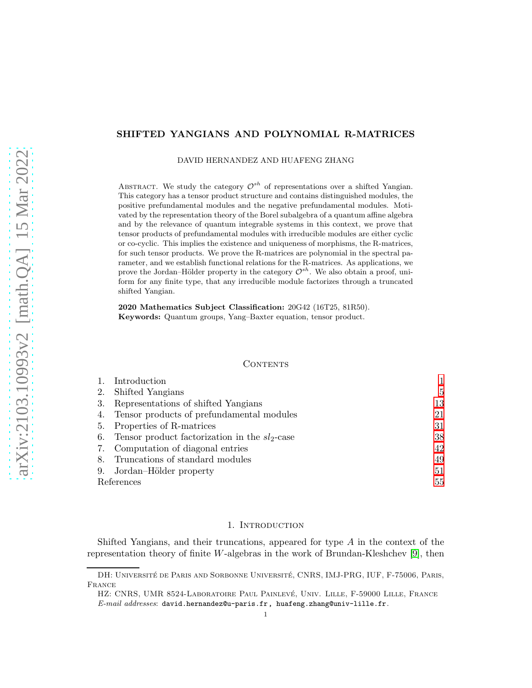# SHIFTED YANGIANS AND POLYNOMIAL R-MATRICES

DAVID HERNANDEZ AND HUAFENG ZHANG

ABSTRACT. We study the category  $\mathcal{O}^{sh}$  of representations over a shifted Yangian. This category has a tensor product structure and contains distinguished modules, the positive prefundamental modules and the negative prefundamental modules. Motivated by the representation theory of the Borel subalgebra of a quantum affine algebra and by the relevance of quantum integrable systems in this context, we prove that tensor products of prefundamental modules with irreducible modules are either cyclic or co-cyclic. This implies the existence and uniqueness of morphisms, the R-matrices, for such tensor products. We prove the R-matrices are polynomial in the spectral parameter, and we establish functional relations for the R-matrices. As applications, we prove the Jordan–Hölder property in the category  $\mathcal{O}^{sh}$ . We also obtain a proof, uniform for any finite type, that any irreducible module factorizes through a truncated shifted Yangian.

2020 Mathematics Subject Classification: 20G42 (16T25, 81R50). Keywords: Quantum groups, Yang–Baxter equation, tensor product.

#### **CONTENTS**

|            | Introduction                                     |    |
|------------|--------------------------------------------------|----|
| 2.         | Shifted Yangians                                 | 5  |
| 3.         | Representations of shifted Yangians              | 13 |
| 4.         | Tensor products of prefundamental modules        | 21 |
| 5.         | Properties of R-matrices                         | 31 |
| 6.         | Tensor product factorization in the $sl_2$ -case | 38 |
|            | 7. Computation of diagonal entries               | 42 |
| 8.         | Truncations of standard modules                  | 49 |
| 9.         | Jordan-Hölder property                           | 51 |
| References |                                                  | 55 |

## 1. INTRODUCTION

<span id="page-0-0"></span>Shifted Yangians, and their truncations, appeared for type A in the context of the representation theory of finite W-algebras in the work of Brundan-Kleshchev [\[9\]](#page-54-1), then

DH: UNIVERSITÉ DE PARIS AND SORBONNE UNIVERSITÉ, CNRS, IMJ-PRG, IUF, F-75006, PARIS, France

HZ: CNRS, UMR 8524-LABORATOIRE PAUL PAINLEVÉ, UNIV. LILLE, F-59000 LILLE, FRANCE  $E-mail$  addresses: david.hernandez@u-paris.fr, huafeng.zhang@univ-lille.fr.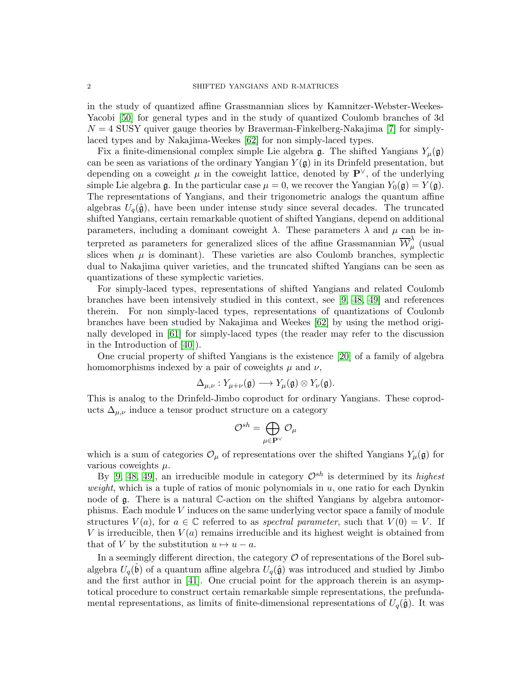in the study of quantized affine Grassmannian slices by Kamnitzer-Webster-Weekes-Yacobi [\[50\]](#page-55-0) for general types and in the study of quantized Coulomb branches of 3d  $N = 4$  SUSY quiver gauge theories by Braverman-Finkelberg-Nakajima [\[7\]](#page-54-2) for simplylaced types and by Nakajima-Weekes [\[62\]](#page-56-0) for non simply-laced types.

Fix a finite-dimensional complex simple Lie algebra  $\mathfrak{g}$ . The shifted Yangians  $Y_\mu(\mathfrak{g})$ can be seen as variations of the ordinary Yangian  $Y(\mathfrak{g})$  in its Drinfeld presentation, but depending on a coweight  $\mu$  in the coweight lattice, denoted by  $\mathbf{P}^{\vee}$ , of the underlying simple Lie algebra g. In the particular case  $\mu = 0$ , we recover the Yangian  $Y_0(\mathfrak{g}) = Y(\mathfrak{g})$ . The representations of Yangians, and their trigonometric analogs the quantum affine algebras  $U_q(\hat{\mathfrak{g}})$ , have been under intense study since several decades. The truncated shifted Yangians, certain remarkable quotient of shifted Yangians, depend on additional parameters, including a dominant coweight  $\lambda$ . These parameters  $\lambda$  and  $\mu$  can be interpreted as parameters for generalized slices of the affine Grassmannian  $\overline{\mathcal{W}}_{\mu}^{\lambda}$  $\hat{\mu}$  (usual slices when  $\mu$  is dominant). These varieties are also Coulomb branches, symplectic dual to Nakajima quiver varieties, and the truncated shifted Yangians can be seen as quantizations of these symplectic varieties.

For simply-laced types, representations of shifted Yangians and related Coulomb branches have been intensively studied in this context, see [\[9,](#page-54-1) [48,](#page-55-1) [49\]](#page-55-2) and references therein. For non simply-laced types, representations of quantizations of Coulomb branches have been studied by Nakajima and Weekes [\[62\]](#page-56-0) by using the method originally developed in [\[61\]](#page-56-1) for simply-laced types (the reader may refer to the discussion in the Introduction of [\[40\]](#page-55-3)).

One crucial property of shifted Yangians is the existence [\[20\]](#page-54-3) of a family of algebra homomorphisms indexed by a pair of coweights  $\mu$  and  $\nu$ ,

$$
\Delta_{\mu,\nu}: Y_{\mu+\nu}(\mathfrak{g}) \longrightarrow Y_\mu(\mathfrak{g}) \otimes Y_\nu(\mathfrak{g}).
$$

This is analog to the Drinfeld-Jimbo coproduct for ordinary Yangians. These coproducts  $\Delta_{\mu,\nu}$  induce a tensor product structure on a category

$$
\mathcal{O}^{sh}=\bigoplus_{\mu\in \mathbf{P}^{\vee}}\mathcal{O}_{\mu}
$$

which is a sum of categories  $\mathcal{O}_{\mu}$  of representations over the shifted Yangians  $Y_{\mu}(\mathfrak{g})$  for various coweights  $\mu$ .

By [\[9,](#page-54-1) [48,](#page-55-1) [49\]](#page-55-2), an irreducible module in category  $\mathcal{O}^{sh}$  is determined by its highest weight, which is a tuple of ratios of monic polynomials in  $u$ , one ratio for each Dynkin node of g. There is a natural C-action on the shifted Yangians by algebra automorphisms. Each module V induces on the same underlying vector space a family of module structures  $V(a)$ , for  $a \in \mathbb{C}$  referred to as *spectral parameter*, such that  $V(0) = V$ . If V is irreducible, then  $V(a)$  remains irreducible and its highest weight is obtained from that of V by the substitution  $u \mapsto u - a$ .

In a seemingly different direction, the category  $\mathcal O$  of representations of the Borel subalgebra  $U_q(\hat{b})$  of a quantum affine algebra  $U_q(\hat{\mathfrak{g}})$  was introduced and studied by Jimbo and the first author in [\[41\]](#page-55-4). One crucial point for the approach therein is an asymptotical procedure to construct certain remarkable simple representations, the prefundamental representations, as limits of finite-dimensional representations of  $U_q(\hat{\mathfrak{g}})$ . It was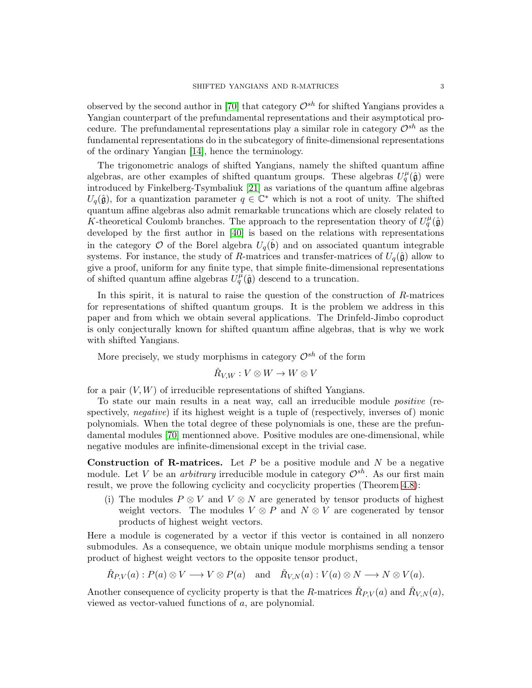observed by the second author in [\[70\]](#page-56-2) that category  $\mathcal{O}^{sh}$  for shifted Yangians provides a Yangian counterpart of the prefundamental representations and their asymptotical procedure. The prefundamental representations play a similar role in category  $\mathcal{O}^{sh}$  as the fundamental representations do in the subcategory of finite-dimensional representations of the ordinary Yangian [\[14\]](#page-54-4), hence the terminology.

The trigonometric analogs of shifted Yangians, namely the shifted quantum affine algebras, are other examples of shifted quantum groups. These algebras  $U_q^{\mu}(\hat{\mathfrak{g}})$  were introduced by Finkelberg-Tsymbaliuk [\[21\]](#page-54-5) as variations of the quantum affine algebras  $U_q(\hat{\mathfrak{g}})$ , for a quantization parameter  $q \in \mathbb{C}^*$  which is not a root of unity. The shifted quantum affine algebras also admit remarkable truncations which are closely related to K-theoretical Coulomb branches. The approach to the representation theory of  $U_q^{\mu}(\hat{\mathfrak{g}})$ developed by the first author in [\[40\]](#page-55-3) is based on the relations with representations in the category  $\mathcal O$  of the Borel algebra  $U_q(\hat{\mathfrak b})$  and on associated quantum integrable systems. For instance, the study of R-matrices and transfer-matrices of  $U_q(\hat{\mathfrak{g}})$  allow to give a proof, uniform for any finite type, that simple finite-dimensional representations of shifted quantum affine algebras  $U_q^{\mu}(\hat{\mathfrak{g}})$  descend to a truncation.

In this spirit, it is natural to raise the question of the construction of  $R$ -matrices for representations of shifted quantum groups. It is the problem we address in this paper and from which we obtain several applications. The Drinfeld-Jimbo coproduct is only conjecturally known for shifted quantum affine algebras, that is why we work with shifted Yangians.

More precisely, we study morphisms in category  $\mathcal{O}^{sh}$  of the form

$$
\check R_{V,W}: V \otimes W \to W \otimes V
$$

for a pair  $(V, W)$  of irreducible representations of shifted Yangians.

To state our main results in a neat way, call an irreducible module positive (respectively, *negative*) if its highest weight is a tuple of (respectively, inverses of) monic polynomials. When the total degree of these polynomials is one, these are the prefundamental modules [\[70\]](#page-56-2) mentionned above. Positive modules are one-dimensional, while negative modules are infinite-dimensional except in the trivial case.

Construction of R-matrices. Let  $P$  be a positive module and  $N$  be a negative module. Let V be an *arbitrary* irreducible module in category  $\mathcal{O}^{sh}$ . As our first main result, we prove the following cyclicity and cocyclicity properties (Theorem [4.8\)](#page-22-0):

(i) The modules  $P \otimes V$  and  $V \otimes N$  are generated by tensor products of highest weight vectors. The modules  $V \otimes P$  and  $N \otimes V$  are cogenerated by tensor products of highest weight vectors.

Here a module is cogenerated by a vector if this vector is contained in all nonzero submodules. As a consequence, we obtain unique module morphisms sending a tensor product of highest weight vectors to the opposite tensor product,

 $\check{R}_{P,V}(a): P(a) \otimes V \longrightarrow V \otimes P(a) \text{ and } \check{R}_{V,N}(a): V(a) \otimes N \longrightarrow N \otimes V(a).$ 

Another consequence of cyclicity property is that the R-matrices  $\check{R}_{P,V}(a)$  and  $\check{R}_{V,N}(a)$ , viewed as vector-valued functions of a, are polynomial.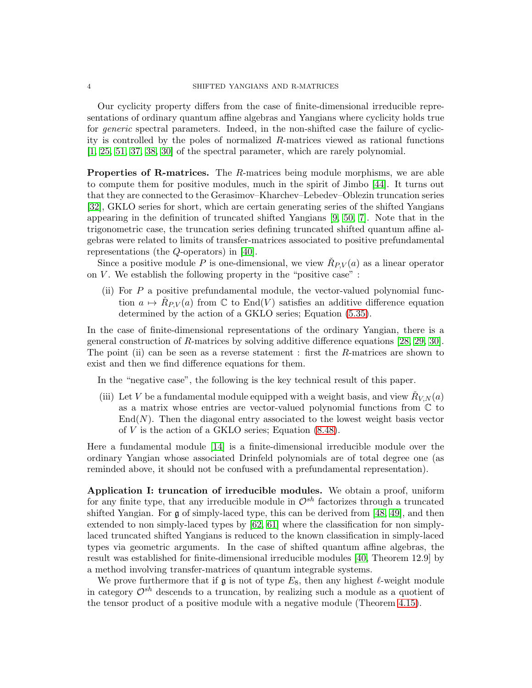Our cyclicity property differs from the case of finite-dimensional irreducible representations of ordinary quantum affine algebras and Yangians where cyclicity holds true for generic spectral parameters. Indeed, in the non-shifted case the failure of cyclicity is controlled by the poles of normalized R-matrices viewed as rational functions [\[1,](#page-54-6) [25,](#page-55-5) [51,](#page-56-3) [37,](#page-55-6) [38,](#page-55-7) [30\]](#page-55-8) of the spectral parameter, which are rarely polynomial.

**Properties of R-matrices.** The R-matrices being module morphisms, we are able to compute them for positive modules, much in the spirit of Jimbo [\[44\]](#page-55-9). It turns out that they are connected to the Gerasimov–Kharchev–Lebedev–Oblezin truncation series [\[32\]](#page-55-10), GKLO series for short, which are certain generating series of the shifted Yangians appearing in the definition of truncated shifted Yangians [\[9,](#page-54-1) [50,](#page-55-0) [7\]](#page-54-2). Note that in the trigonometric case, the truncation series defining truncated shifted quantum affine algebras were related to limits of transfer-matrices associated to positive prefundamental representations (the Q-operators) in [\[40\]](#page-55-3).

Since a positive module P is one-dimensional, we view  $\check{R}_{P,V}(a)$  as a linear operator on  $V$ . We establish the following property in the "positive case" :

(ii) For  $P$  a positive prefundamental module, the vector-valued polynomial function  $a \mapsto \check{R}_{P,V}(a)$  from  $\mathbb C$  to  $\text{End}(V)$  satisfies an additive difference equation determined by the action of a GKLO series; Equation [\(5.35\)](#page-34-0).

In the case of finite-dimensional representations of the ordinary Yangian, there is a general construction of R-matrices by solving additive difference equations [\[28,](#page-55-11) [29,](#page-55-12) [30\]](#page-55-8). The point (ii) can be seen as a reverse statement : first the R-matrices are shown to exist and then we find difference equations for them.

In the "negative case", the following is the key technical result of this paper.

(iii) Let V be a fundamental module equipped with a weight basis, and view  $\check{R}_{V,N}(a)$ as a matrix whose entries are vector-valued polynomial functions from C to  $\text{End}(N)$ . Then the diagonal entry associated to the lowest weight basis vector of V is the action of a GKLO series; Equation [\(8.48\)](#page-49-0).

Here a fundamental module [\[14\]](#page-54-4) is a finite-dimensional irreducible module over the ordinary Yangian whose associated Drinfeld polynomials are of total degree one (as reminded above, it should not be confused with a prefundamental representation).

Application I: truncation of irreducible modules. We obtain a proof, uniform for any finite type, that any irreducible module in  $\mathcal{O}^{sh}$  factorizes through a truncated shifted Yangian. For g of simply-laced type, this can be derived from [\[48,](#page-55-1) [49\]](#page-55-2), and then extended to non simply-laced types by [\[62,](#page-56-0) [61\]](#page-56-1) where the classification for non simplylaced truncated shifted Yangians is reduced to the known classification in simply-laced types via geometric arguments. In the case of shifted quantum affine algebras, the result was established for finite-dimensional irreducible modules [\[40,](#page-55-3) Theorem 12.9] by a method involving transfer-matrices of quantum integrable systems.

We prove furthermore that if g is not of type  $E_8$ , then any highest  $\ell$ -weight module in category  $\mathcal{O}^{sh}$  descends to a truncation, by realizing such a module as a quotient of the tensor product of a positive module with a negative module (Theorem [4.15\)](#page-29-0).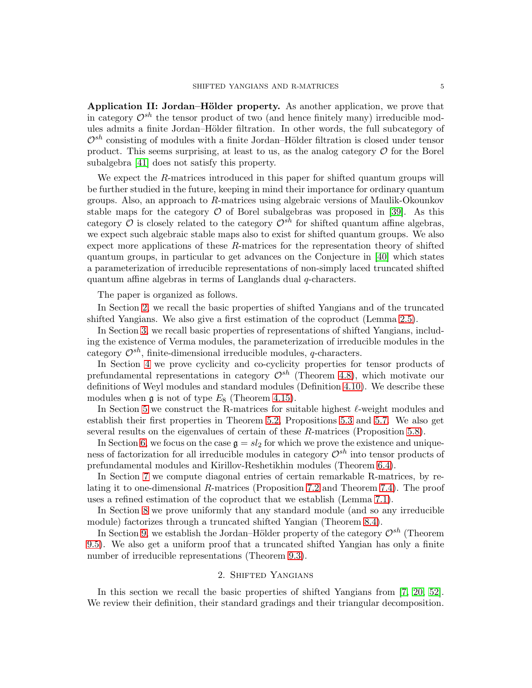Application II: Jordan–Hölder property. As another application, we prove that in category  $\mathcal{O}^{sh}$  the tensor product of two (and hence finitely many) irreducible modules admits a finite Jordan–Hölder filtration. In other words, the full subcategory of  $\mathcal{O}^{sh}$  consisting of modules with a finite Jordan–Hölder filtration is closed under tensor product. This seems surprising, at least to us, as the analog category  $\mathcal O$  for the Borel subalgebra [\[41\]](#page-55-4) does not satisfy this property.

We expect the R-matrices introduced in this paper for shifted quantum groups will be further studied in the future, keeping in mind their importance for ordinary quantum groups. Also, an approach to R-matrices using algebraic versions of Maulik-Okounkov stable maps for the category  $\mathcal O$  of Borel subalgebras was proposed in [\[39\]](#page-55-13). As this category  $\mathcal O$  is closely related to the category  $\mathcal O^{sh}$  for shifted quantum affine algebras, we expect such algebraic stable maps also to exist for shifted quantum groups. We also expect more applications of these R-matrices for the representation theory of shifted quantum groups, in particular to get advances on the Conjecture in [\[40\]](#page-55-3) which states a parameterization of irreducible representations of non-simply laced truncated shifted quantum affine algebras in terms of Langlands dual q-characters.

The paper is organized as follows.

In Section [2,](#page-4-0) we recall the basic properties of shifted Yangians and of the truncated shifted Yangians. We also give a first estimation of the coproduct (Lemma [2.5\)](#page-9-0).

In Section [3,](#page-12-0) we recall basic properties of representations of shifted Yangians, including the existence of Verma modules, the parameterization of irreducible modules in the category  $\mathcal{O}^{sh}$ , finite-dimensional irreducible modules, q-characters.

In Section [4](#page-20-0) we prove cyclicity and co-cyclicity properties for tensor products of prefundamental representations in category  $\mathcal{O}^{sh}$  (Theorem [4.8\)](#page-22-0), which motivate our definitions of Weyl modules and standard modules (Definition [4.10\)](#page-26-0). We describe these modules when  $\mathfrak g$  is not of type  $E_8$  (Theorem [4.15\)](#page-29-0).

In Section [5](#page-30-0) we construct the R-matrices for suitable highest  $\ell$ -weight modules and establish their first properties in Theorem [5.2,](#page-30-1) Propositions [5.3](#page-31-0) and [5.7.](#page-33-0) We also get several results on the eigenvalues of certain of these R-matrices (Proposition [5.8\)](#page-34-1).

In Section [6,](#page-37-0) we focus on the case  $\mathfrak{g} = sl_2$  for which we prove the existence and uniqueness of factorization for all irreducible modules in category  $\mathcal{O}^{sh}$  into tensor products of prefundamental modules and Kirillov-Reshetikhin modules (Theorem [6.4\)](#page-40-0).

In Section [7](#page-41-0) we compute diagonal entries of certain remarkable R-matrices, by relating it to one-dimensional R-matrices (Proposition [7.2](#page-42-0) and Theorem [7.4\)](#page-44-0). The proof uses a refined estimation of the coproduct that we establish (Lemma [7.1\)](#page-41-1).

In Section [8](#page-48-0) we prove uniformly that any standard module (and so any irreducible module) factorizes through a truncated shifted Yangian (Theorem [8.4\)](#page-49-1).

In Section [9,](#page-50-0) we establish the Jordan–Hölder property of the category  $\mathcal{O}^{sh}$  (Theorem [9.5\)](#page-53-0). We also get a uniform proof that a truncated shifted Yangian has only a finite number of irreducible representations (Theorem [9.3\)](#page-51-0).

# 2. Shifted Yangians

<span id="page-4-0"></span>In this section we recall the basic properties of shifted Yangians from [\[7,](#page-54-2) [20,](#page-54-3) [52\]](#page-56-4). We review their definition, their standard gradings and their triangular decomposition.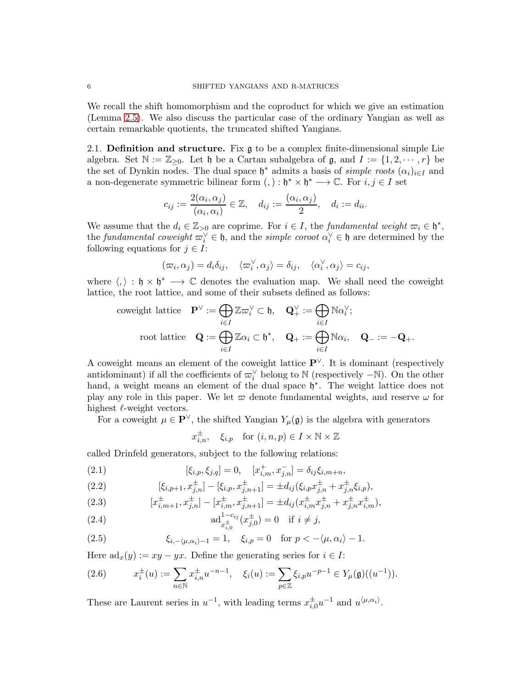We recall the shift homomorphism and the coproduct for which we give an estimation (Lemma [2.5\)](#page-9-0). We also discuss the particular case of the ordinary Yangian as well as certain remarkable quotients, the truncated shifted Yangians.

2.1. **Definition and structure.** Fix  $\mathfrak{g}$  to be a complex finite-dimensional simple Lie algebra. Set  $\mathbb{N} := \mathbb{Z}_{\geq 0}$ . Let  $\mathfrak{h}$  be a Cartan subalgebra of  $\mathfrak{g}$ , and  $I := \{1, 2, \cdots, r\}$  be the set of Dynkin nodes. The dual space  $\mathfrak{h}^*$  admits a basis of *simple roots*  $(\alpha_i)_{i\in I}$  and a non-degenerate symmetric bilinear form  $(,) : \mathfrak{h}^* \times \mathfrak{h}^* \longrightarrow \mathbb{C}$ . For  $i, j \in I$  set

$$
c_{ij} := \frac{2(\alpha_i, \alpha_j)}{(\alpha_i, \alpha_i)} \in \mathbb{Z}, \quad d_{ij} := \frac{(\alpha_i, \alpha_j)}{2}, \quad d_i := d_{ii}.
$$

We assume that the  $d_i \in \mathbb{Z}_{\geq 0}$  are coprime. For  $i \in I$ , the fundamental weight  $\varpi_i \in \mathfrak{h}^*$ , the fundamental coweight  $\varpi_i^{\vee} \in \mathfrak{h}$ , and the simple coroot  $\alpha_i^{\vee} \in \mathfrak{h}$  are determined by the following equations for  $j \in I$ :

$$
(\varpi_i, \alpha_j) = d_i \delta_{ij}, \quad \langle \varpi_i^{\vee}, \alpha_j \rangle = \delta_{ij}, \quad \langle \alpha_i^{\vee}, \alpha_j \rangle = c_{ij},
$$

where  $\langle, \rangle : \mathfrak{h} \times \mathfrak{h}^* \longrightarrow \mathbb{C}$  denotes the evaluation map. We shall need the coweight lattice, the root lattice, and some of their subsets defined as follows:

$$
\text{coveight lattice} \quad \mathbf{P}^{\vee} := \bigoplus_{i \in I} \mathbb{Z} \varpi_i^{\vee} \subset \mathfrak{h}, \quad \mathbf{Q}_{+}^{\vee} := \bigoplus_{i \in I} \mathbb{N} \alpha_i^{\vee};
$$
\n
$$
\text{root lattice} \quad \mathbf{Q} := \bigoplus_{i \in I} \mathbb{Z} \alpha_i \subset \mathfrak{h}^*, \quad \mathbf{Q}_{+} := \bigoplus_{i \in I} \mathbb{N} \alpha_i, \quad \mathbf{Q}_{-} := -\mathbf{Q}_{+}.
$$

A coweight means an element of the coweight lattice P∨. It is dominant (respectively antidominant) if all the coefficients of  $\varpi_i^{\vee}$  belong to N (respectively  $-\mathbb{N}$ ). On the other hand, a weight means an element of the dual space  $\mathfrak{h}^*$ . The weight lattice does not play any role in this paper. We let  $\varpi$  denote fundamental weights, and reserve  $\omega$  for highest  $\ell$ -weight vectors.

For a coweight  $\mu \in \mathbf{P}^{\vee}$ , the shifted Yangian  $Y_{\mu}(\mathfrak{g})$  is the algebra with generators

$$
x_{i,n}^{\pm}
$$
,  $\xi_{i,p}$  for  $(i, n, p) \in I \times \mathbb{N} \times \mathbb{Z}$ 

called Drinfeld generators, subject to the following relations:

<span id="page-5-2"></span>(2.1) 
$$
[\xi_{i,p}, \xi_{j,q}] = 0, \quad [x_{i,m}^+, x_{j,n}^-] = \delta_{ij}\xi_{i,m+n},
$$

<span id="page-5-0"></span>(2.2) 
$$
[\xi_{i,p+1}, x_{j,n}^{\pm}] - [\xi_{i,p}, x_{j,n+1}^{\pm}] = \pm d_{ij}(\xi_{i,p} x_{j,n}^{\pm} + x_{j,n}^{\pm} \xi_{i,p}),
$$

<span id="page-5-4"></span>(2.3) 
$$
[x_{i,m+1}^{\pm}, x_{j,n}^{\pm}] - [x_{i,m}^{\pm}, x_{j,n+1}^{\pm}] = \pm d_{ij} (x_{i,m}^{\pm} x_{j,n}^{\pm} + x_{j,n}^{\pm} x_{i,m}^{\pm}),
$$

<span id="page-5-3"></span>(2.4) 
$$
\mathrm{ad}^{1-c_{ij}}_{x_{i,0}^{\pm}}(x_{j,0}^{\pm}) = 0 \quad \text{if } i \neq j,
$$

<span id="page-5-1"></span>(2.5) 
$$
\xi_{i,-\langle\mu,\alpha_i\rangle-1}=1, \quad \xi_{i,p}=0 \quad \text{for } p<-\langle\mu,\alpha_i\rangle-1.
$$

Here  $ad_x(y) := xy - yx$ . Define the generating series for  $i \in I$ :

(2.6) 
$$
x_i^{\pm}(u) := \sum_{n \in \mathbb{N}} x_{i,n}^{\pm} u^{-n-1}, \quad \xi_i(u) := \sum_{p \in \mathbb{Z}} \xi_{i,p} u^{-p-1} \in Y_{\mu}(\mathfrak{g})((u^{-1})).
$$

These are Laurent series in  $u^{-1}$ , with leading terms  $x_{i,0}^{\pm}u^{-1}$  and  $u^{\langle\mu,\alpha_i\rangle}$ .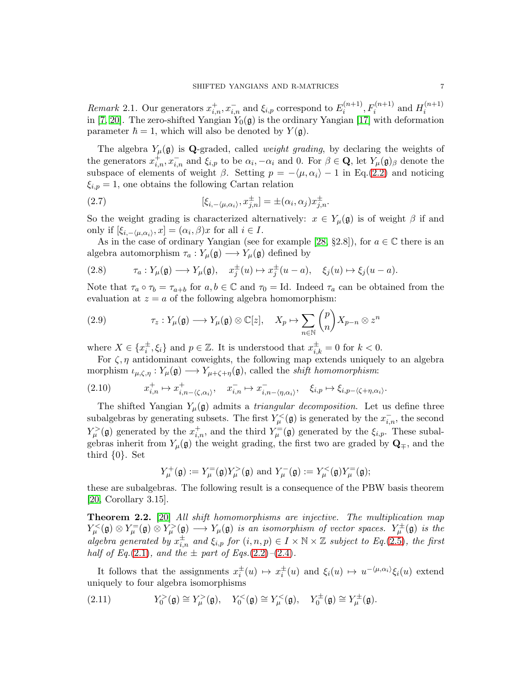Remark 2.1. Our generators  $x_{i,n}^+, x_{i,n}^-$  and  $\xi_{i,p}$  correspond to  $E_i^{(n+1)}$  $f_i^{(n+1)}, F_i^{(n+1)}$  and  $H_i^{(n+1)}$ i in [\[7,](#page-54-2) [20\]](#page-54-3). The zero-shifted Yangian  $Y_0(\mathfrak{g})$  is the ordinary Yangian [\[17\]](#page-54-7) with deformation parameter  $\hbar = 1$ , which will also be denoted by  $Y(\mathfrak{g})$ .

The algebra  $Y_\mu(\mathfrak{g})$  is Q-graded, called *weight grading*, by declaring the weights of the generators  $x_{i,n}^+, x_{i,n}^-$  and  $\xi_{i,p}$  to be  $\alpha_i, -\alpha_i$  and 0. For  $\beta \in \mathbf{Q}$ , let  $Y_\mu(\mathfrak{g})_\beta$  denote the subspace of elements of weight  $\beta$ . Setting  $p = -\langle \mu, \alpha_i \rangle - 1$  in Eq.[\(2.2\)](#page-5-0) and noticing  $\xi_{i,p} = 1$ , one obtains the following Cartan relation

<span id="page-6-2"></span>(2.7) 
$$
[\xi_{i,-\langle\mu,\alpha_i\rangle},x_{j,n}^{\pm}]=\pm(\alpha_i,\alpha_j)x_{j,n}^{\pm}.
$$

So the weight grading is characterized alternatively:  $x \in Y_\mu(\mathfrak{g})$  is of weight  $\beta$  if and only if  $[\xi_{i,-\langle \mu,\alpha_i \rangle}, x] = (\alpha_i, \beta)x$  for all  $i \in I$ .

As in the case of ordinary Yangian (see for example [\[28,](#page-55-11) §2.8]), for  $a \in \mathbb{C}$  there is an algebra automorphism  $\tau_a: Y_\mu(\mathfrak{g}) \longrightarrow Y_\mu(\mathfrak{g})$  defined by

<span id="page-6-3"></span>(2.8) 
$$
\tau_a: Y_\mu(\mathfrak{g}) \longrightarrow Y_\mu(\mathfrak{g}), \quad x_j^{\pm}(u) \mapsto x_j^{\pm}(u-a), \quad \xi_j(u) \mapsto \xi_j(u-a).
$$

Note that  $\tau_a \circ \tau_b = \tau_{a+b}$  for  $a, b \in \mathbb{C}$  and  $\tau_0 = \text{Id}$ . Indeed  $\tau_a$  can be obtained from the evaluation at  $z = a$  of the following algebra homomorphism:

<span id="page-6-5"></span>(2.9) 
$$
\tau_z: Y_\mu(\mathfrak{g}) \longrightarrow Y_\mu(\mathfrak{g}) \otimes \mathbb{C}[z], \quad X_p \mapsto \sum_{n \in \mathbb{N}} {p \choose n} X_{p-n} \otimes z^n
$$

where  $X \in \{x_i^{\pm}, \xi_i\}$  and  $p \in \mathbb{Z}$ . It is understood that  $x_{i,k}^{\pm} = 0$  for  $k < 0$ .

For  $\zeta$ ,  $\eta$  antidominant coweights, the following map extends uniquely to an algebra morphism  $\iota_{\mu,\zeta,\eta}: Y_{\mu}(\mathfrak{g}) \longrightarrow Y_{\mu+\zeta+\eta}(\mathfrak{g})$ , called the *shift homomorphism*:

<span id="page-6-1"></span>
$$
(2.10) \t x_{i,n}^+ \mapsto x_{i,n-\langle \zeta,\alpha_i \rangle}^+, \t x_{i,n}^- \mapsto x_{i,n-\langle \eta,\alpha_i \rangle}^-, \t \xi_{i,p} \mapsto \xi_{i,p-\langle \zeta+\eta,\alpha_i \rangle}.
$$

The shifted Yangian  $Y_\mu(\mathfrak{g})$  admits a *triangular decomposition*. Let us define three subalgebras by generating subsets. The first  $Y^{\lt}_{\mu}(\mathfrak{g})$  is generated by the  $x_{i,n}^-$ , the second  $Y_{\mu}^{>}(\mathfrak{g})$  generated by the  $x_{i,n}^{+}$ , and the third  $Y_{\mu}^{-}(\mathfrak{g})$  generated by the  $\xi_{i,p}$ . These subalgebras inherit from  $Y_\mu(\mathfrak{g})$  the weight grading, the first two are graded by  $\mathbf{Q}_{\mp}$ , and the third {0}. Set

$$
Y_\mu^+(\mathfrak{g}):=Y_\mu^=(\mathfrak{g})Y_\mu^>(\mathfrak{g})\text{ and }Y_\mu^-(\mathfrak{g}):=Y_\mu^<(\mathfrak{g})Y_\mu^=(\mathfrak{g});
$$

these are subalgebras. The following result is a consequence of the PBW basis theorem  $[20,$  Corollary 3.15.

<span id="page-6-4"></span>Theorem 2.2. [\[20\]](#page-54-3) All shift homomorphisms are injective. The multiplication map  $Y_\mu^<(\mathfrak{g}) \otimes Y_\mu^=(\mathfrak{g}) \otimes Y_\mu^>(\mathfrak{g}) \longrightarrow Y_\mu(\mathfrak{g})$  is an isomorphism of vector spaces.  $Y_\mu^{\pm}(\mathfrak{g})$  is the algebra generated by  $x_{i,n}^{\pm}$  and  $\xi_{i,p}$  for  $(i, n, p) \in I \times \mathbb{N} \times \mathbb{Z}$  subject to Eq.[\(2.5\)](#page-5-1), the first half of Eq.[\(2.1\)](#page-5-2), and the  $\pm$  part of Eqs.[\(2.2\)](#page-5-0)–[\(2.4\)](#page-5-3).

It follows that the assignments  $x_i^{\pm}(u) \mapsto x_i^{\pm}(u)$  and  $\xi_i(u) \mapsto u^{-\langle \mu, \alpha_i \rangle} \xi_i(u)$  extend uniquely to four algebra isomorphisms

<span id="page-6-0"></span>(2.11) 
$$
Y_0^>(\mathfrak{g}) \cong Y_\mu^>(\mathfrak{g}), \quad Y_0^<(\mathfrak{g}) \cong Y_\mu^<(\mathfrak{g}), \quad Y_0^{\pm}(\mathfrak{g}) \cong Y_\mu^{\pm}(\mathfrak{g}).
$$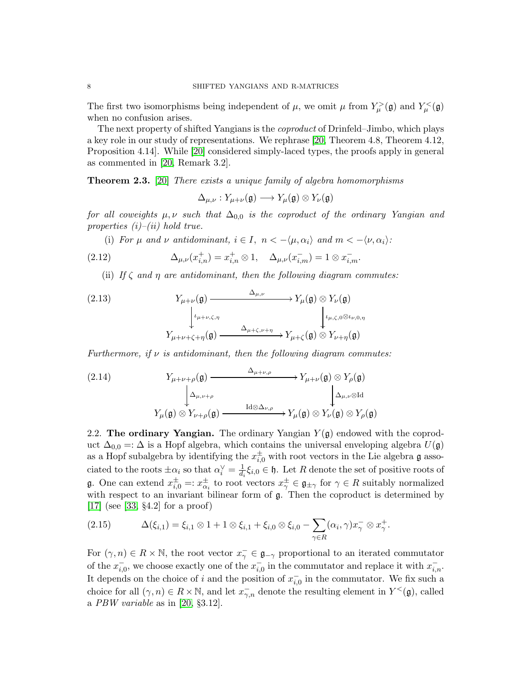The first two isomorphisms being independent of  $\mu$ , we omit  $\mu$  from  $Y^{\geq}_{\mu}(\mathfrak{g})$  and  $Y^{\leq}_{\mu}(\mathfrak{g})$ when no confusion arises.

The next property of shifted Yangians is the coproduct of Drinfeld–Jimbo, which plays a key role in our study of representations. We rephrase [\[20,](#page-54-3) Theorem 4.8, Theorem 4.12, Proposition 4.14]. While [\[20\]](#page-54-3) considered simply-laced types, the proofs apply in general as commented in [\[20,](#page-54-3) Remark 3.2].

<span id="page-7-2"></span>Theorem 2.3. [\[20\]](#page-54-3) There exists a unique family of algebra homomorphisms

$$
\Delta_{\mu,\nu}: Y_{\mu+\nu}(\mathfrak{g}) \longrightarrow Y_\mu(\mathfrak{g}) \otimes Y_\nu(\mathfrak{g})
$$

for all coweights  $\mu, \nu$  such that  $\Delta_{0,0}$  is the coproduct of the ordinary Yangian and properties  $(i)$ – $(ii)$  hold true.

(i) For  $\mu$  and  $\nu$  antidominant,  $i \in I$ ,  $n < -\langle \mu, \alpha_i \rangle$  and  $m < -\langle \nu, \alpha_i \rangle$ :

<span id="page-7-1"></span>(2.12) 
$$
\Delta_{\mu,\nu}(x_{i,n}^+) = x_{i,n}^+ \otimes 1, \quad \Delta_{\mu,\nu}(x_{i,m}^-) = 1 \otimes x_{i,m}^-.
$$

(ii) If  $\zeta$  and  $\eta$  are antidominant, then the following diagram commutes:

<span id="page-7-0"></span>(2.13) 
$$
Y_{\mu+\nu}(\mathfrak{g}) \xrightarrow{\Delta_{\mu,\nu}} Y_{\mu}(\mathfrak{g}) \otimes Y_{\nu}(\mathfrak{g})
$$

$$
\downarrow^{\iota_{\mu+\nu,\zeta,\eta}} Y_{\mu+\nu+\zeta+\eta}(\mathfrak{g}) \xrightarrow{\Delta_{\mu+\zeta,\nu+\eta}} Y_{\mu+\zeta}(\mathfrak{g}) \otimes Y_{\nu+\eta}(\mathfrak{g})
$$

Furthermore, if  $\nu$  is antidominant, then the following diagram commutes:

<span id="page-7-3"></span>(2.14) 
$$
Y_{\mu+\nu+\rho}(\mathfrak{g}) \xrightarrow{\Delta_{\mu+\nu,\rho}} Y_{\mu+\nu}(\mathfrak{g}) \otimes Y_{\rho}(\mathfrak{g})
$$

$$
\downarrow \Delta_{\mu,\nu+\rho} \qquad \qquad \downarrow \Delta_{\mu,\nu \otimes \text{Id}}
$$

$$
Y_{\mu}(\mathfrak{g}) \otimes Y_{\nu+\rho}(\mathfrak{g}) \xrightarrow{\text{Id} \otimes \Delta_{\nu,\rho}} Y_{\mu}(\mathfrak{g}) \otimes Y_{\nu}(\mathfrak{g}) \otimes Y_{\rho}(\mathfrak{g})
$$

<span id="page-7-4"></span>2.2. The ordinary Yangian. The ordinary Yangian  $Y(\mathfrak{g})$  endowed with the coproduct  $\Delta_{0,0} =: \Delta$  is a Hopf algebra, which contains the universal enveloping algebra  $U(\mathfrak{g})$ as a Hopf subalgebra by identifying the  $x_{i,0}^{\pm}$  with root vectors in the Lie algebra g associated to the roots  $\pm \alpha_i$  so that  $\alpha_i^{\vee} = \frac{1}{d_i}$  $\frac{1}{d_i}\xi_{i,0} \in \mathfrak{h}$ . Let R denote the set of positive roots of g. One can extend  $x_{i,0}^{\pm} =: x_{\alpha_i}^{\pm}$  to root vectors  $x_{\gamma}^{\pm} \in \mathfrak{g}_{\pm \gamma}$  for  $\gamma \in R$  suitably normalized with respect to an invariant bilinear form of  $\mathfrak{g}$ . Then the coproduct is determined by [\[17\]](#page-54-7) (see [\[33,](#page-55-14) §4.2] for a proof)

<span id="page-7-5"></span>(2.15) 
$$
\Delta(\xi_{i,1}) = \xi_{i,1} \otimes 1 + 1 \otimes \xi_{i,1} + \xi_{i,0} \otimes \xi_{i,0} - \sum_{\gamma \in R} (\alpha_i, \gamma) x_{\gamma}^{-} \otimes x_{\gamma}^{+}.
$$

For  $(\gamma, n) \in R \times \mathbb{N}$ , the root vector  $x_{\gamma}^{-} \in \mathfrak{g}_{-\gamma}$  proportional to an iterated commutator of the  $x_{i,0}^-$ , we choose exactly one of the  $x_{i,0}^-$  in the commutator and replace it with  $x_{i,n}^-$ . It depends on the choice of i and the position of  $x_{i,0}^-$  in the commutator. We fix such a choice for all  $(\gamma, n) \in R \times \mathbb{N}$ , and let  $x_{\gamma,n}^-$  denote the resulting element in  $Y^{\lt}(\mathfrak{g})$ , called a  $PBW$  variable as in [\[20,](#page-54-3) §3.12].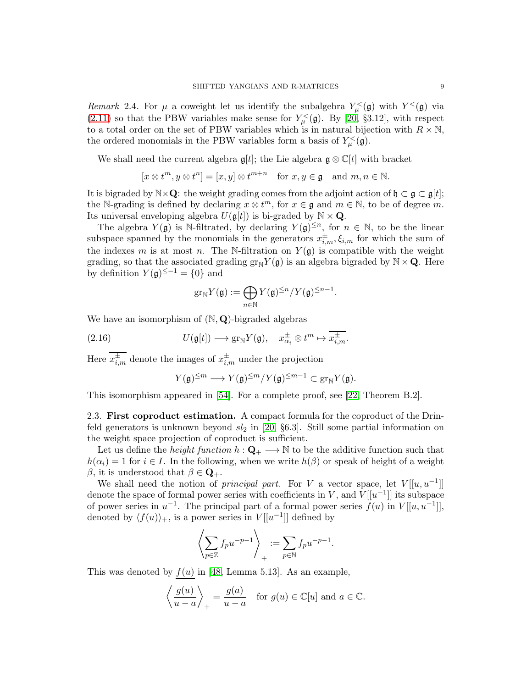Remark 2.4. For  $\mu$  a coweight let us identify the subalgebra  $Y^{\lt}_{\mu}(\mathfrak{g})$  with  $Y^{\lt}(\mathfrak{g})$  via [\(2.11\)](#page-6-0) so that the PBW variables make sense for  $Y^{\lt}_{\mu}(\mathfrak{g})$ . By [\[20,](#page-54-3) §3.12], with respect to a total order on the set of PBW variables which is in natural bijection with  $R \times \mathbb{N}$ , the ordered monomials in the PBW variables form a basis of  $Y^{\lt}_{\mu}(\mathfrak{g})$ .

We shall need the current algebra  $\mathfrak{g}[t]$ ; the Lie algebra  $\mathfrak{g} \otimes \mathbb{C}[t]$  with bracket

$$
[x \otimes t^m, y \otimes t^n] = [x, y] \otimes t^{m+n} \text{ for } x, y \in \mathfrak{g} \text{ and } m, n \in \mathbb{N}.
$$

It is bigraded by  $\mathbb{N}\times\mathbf{Q}$ : the weight grading comes from the adjoint action of  $\mathfrak{h}\subset\mathfrak{g}\subset\mathfrak{g}[t]$ ; the N-grading is defined by declaring  $x \otimes t^m$ , for  $x \in \mathfrak{g}$  and  $m \in \mathbb{N}$ , to be of degree m. Its universal enveloping algebra  $U(\mathfrak{g}[t])$  is bi-graded by  $\mathbb{N} \times \mathbf{Q}$ .

The algebra  $Y(\mathfrak{g})$  is N-filtrated, by declaring  $Y(\mathfrak{g})^{\leq n}$ , for  $n \in \mathbb{N}$ , to be the linear subspace spanned by the monomials in the generators  $x_{i,m}^{\pm}, \xi_{i,m}$  for which the sum of the indexes m is at most n. The N-filtration on  $Y(\mathfrak{g})$  is compatible with the weight grading, so that the associated grading  $gr_{\mathbb{N}}Y(\mathfrak{g})$  is an algebra bigraded by  $\mathbb{N}\times\mathbf{Q}$ . Here by definition  $Y(\mathfrak{g})^{\leq -1} = \{0\}$  and

$$
\mathrm{gr}_{\mathbb{N}}Y(\mathfrak{g}):=\bigoplus_{n\in\mathbb{N}}Y(\mathfrak{g})^{\leq n}/Y(\mathfrak{g})^{\leq n-1}.
$$

We have an isomorphism of  $(N, Q)$ -bigraded algebras

<span id="page-8-0"></span>(2.16) 
$$
U(\mathfrak{g}[t]) \longrightarrow \text{gr}_{\mathbb{N}} Y(\mathfrak{g}), \quad x_{\alpha_i}^{\pm} \otimes t^m \mapsto \overline{x_{i,m}^{\pm}}.
$$

Here  $x_{i,m}^{\pm}$  denote the images of  $x_{i,m}^{\pm}$  under the projection

$$
Y(\mathfrak{g})^{\leq m} \longrightarrow Y(\mathfrak{g})^{\leq m}/Y(\mathfrak{g})^{\leq m-1} \subset \mathrm{gr}_{\mathbb{N}}Y(\mathfrak{g}).
$$

This isomorphism appeared in [\[54\]](#page-56-5). For a complete proof, see [\[22,](#page-54-8) Theorem B.2].

2.3. First coproduct estimation. A compact formula for the coproduct of the Drinfeld generators is unknown beyond  $sl_2$  in [\[20,](#page-54-3) §6.3]. Still some partial information on the weight space projection of coproduct is sufficient.

Let us define the *height function*  $h: \mathbf{Q}_+ \longrightarrow \mathbb{N}$  to be the additive function such that  $h(\alpha_i) = 1$  for  $i \in I$ . In the following, when we write  $h(\beta)$  or speak of height of a weight β, it is understood that  $β ∈ \mathbf{Q}_{+}$ .

We shall need the notion of *principal part*. For V a vector space, let  $V[[u, u^{-1}]]$ denote the space of formal power series with coefficients in V, and  $V[[u^{-1}]]$  its subspace of power series in  $u^{-1}$ . The principal part of a formal power series  $\tilde{f}(u)$  in  $V[[u, u^{-1}]]$ , denoted by  $\langle f(u) \rangle_+$ , is a power series in  $V[[u^{-1}]]$  defined by

$$
\left\langle \sum_{p \in \mathbb{Z}} f_p u^{-p-1} \right\rangle_+ := \sum_{p \in \mathbb{N}} f_p u^{-p-1}.
$$

This was denoted by  $f(u)$  in [\[48,](#page-55-1) Lemma 5.13]. As an example,

$$
\left\langle \frac{g(u)}{u-a} \right\rangle_+ = \frac{g(a)}{u-a}
$$
 for  $g(u) \in \mathbb{C}[u]$  and  $a \in \mathbb{C}$ .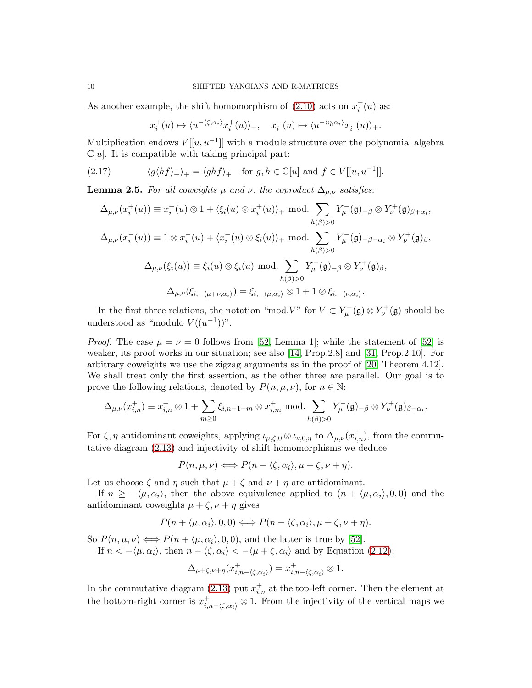As another example, the shift homomorphism of  $(2.10)$  acts on  $x_i^{\pm}(u)$  as:

<span id="page-9-1"></span>
$$
x_i^+(u) \mapsto \langle u^{-\langle \zeta, \alpha_i \rangle} x_i^+(u) \rangle_+, \quad x_i^-(u) \mapsto \langle u^{-\langle \eta, \alpha_i \rangle} x_i^-(u) \rangle_+.
$$

Multiplication endows  $V[[u, u^{-1}]]$  with a module structure over the polynomial algebra  $\mathbb{C}[u]$ . It is compatible with taking principal part:

(2.17) 
$$
\langle g \langle h f \rangle_+ \rangle_+ = \langle gh f \rangle_+ \text{ for } g, h \in \mathbb{C}[u] \text{ and } f \in V[[u, u^{-1}]].
$$

<span id="page-9-0"></span>**Lemma 2.5.** For all coweights  $\mu$  and  $\nu$ , the coproduct  $\Delta_{\mu,\nu}$  satisfies:

$$
\Delta_{\mu,\nu}(x_i^+(u)) \equiv x_i^+(u) \otimes 1 + \langle \xi_i(u) \otimes x_i^+(u) \rangle_+ \text{ mod.} \sum_{h(\beta) > 0} Y_{\mu}^-(\mathfrak{g})_{-\beta} \otimes Y_{\nu}^+(\mathfrak{g})_{\beta + \alpha_i},
$$
\n
$$
\Delta_{\mu,\nu}(x_i^-(u)) \equiv 1 \otimes x_i^-(u) + \langle x_i^-(u) \otimes \xi_i(u) \rangle_+ \text{ mod.} \sum_{h(\beta) > 0} Y_{\mu}^-(\mathfrak{g})_{-\beta - \alpha_i} \otimes Y_{\nu}^+(\mathfrak{g})_{\beta},
$$
\n
$$
\Delta_{\mu,\nu}(\xi_i(u)) \equiv \xi_i(u) \otimes \xi_i(u) \text{ mod.} \sum_{h(\beta) > 0} Y_{\mu}^-(\mathfrak{g})_{-\beta} \otimes Y_{\nu}^+(\mathfrak{g})_{\beta},
$$
\n
$$
\Delta_{\mu,\nu}(\xi_{i,-\langle \mu + \nu, \alpha_i \rangle}) = \xi_{i,-\langle \mu, \alpha_i \rangle} \otimes 1 + 1 \otimes \xi_{i,-\langle \nu, \alpha_i \rangle}.
$$

In the first three relations, the notation "mod. V" for  $V \subset Y_{\mu}^-(\mathfrak{g}) \otimes Y_{\nu}^+(\mathfrak{g})$  should be understood as "modulo  $V((u^{-1}))$ ".

*Proof.* The case  $\mu = \nu = 0$  follows from [\[52,](#page-56-4) Lemma 1]; while the statement of [\[52\]](#page-56-4) is weaker, its proof works in our situation; see also [\[14,](#page-54-4) Prop.2.8] and [\[31,](#page-55-15) Prop.2.10]. For arbitrary coweights we use the zigzag arguments as in the proof of [\[20,](#page-54-3) Theorem 4.12]. We shall treat only the first assertion, as the other three are parallel. Our goal is to prove the following relations, denoted by  $P(n, \mu, \nu)$ , for  $n \in \mathbb{N}$ :

$$
\Delta_{\mu,\nu}(x_{i,n}^+) \equiv x_{i,n}^+ \otimes 1 + \sum_{m \geq 0} \xi_{i,n-1-m} \otimes x_{i,m}^+ \text{ mod.} \sum_{h(\beta) > 0} Y_{\mu}^-(\mathfrak{g})_{-\beta} \otimes Y_{\nu}^+(\mathfrak{g})_{\beta+\alpha_i}.
$$

For  $\zeta$ ,  $\eta$  antidominant coweights, applying  $\iota_{\mu,\zeta,0} \otimes \iota_{\nu,0,\eta}$  to  $\Delta_{\mu,\nu}(x_{i,n}^+)$ , from the commutative diagram [\(2.13\)](#page-7-0) and injectivity of shift homomorphisms we deduce

$$
P(n,\mu,\nu) \Longleftrightarrow P(n-\langle \zeta,\alpha_i \rangle,\mu+\zeta,\nu+\eta).
$$

Let us choose  $\zeta$  and  $\eta$  such that  $\mu + \zeta$  and  $\nu + \eta$  are antidominant.

If  $n \ge -\langle \mu, \alpha_i \rangle$ , then the above equivalence applied to  $(n + \langle \mu, \alpha_i \rangle, 0, 0)$  and the antidominant coweights  $\mu + \zeta$ ,  $\nu + \eta$  gives

$$
P(n + \langle \mu, \alpha_i \rangle, 0, 0) \Longleftrightarrow P(n - \langle \zeta, \alpha_i \rangle, \mu + \zeta, \nu + \eta).
$$

So  $P(n, \mu, \nu) \Longleftrightarrow P(n + \langle \mu, \alpha_i \rangle, 0, 0)$ , and the latter is true by [\[52\]](#page-56-4). If  $n < -\langle \mu, \alpha_i \rangle$ , then  $n - \langle \zeta, \alpha_i \rangle < -\langle \mu + \zeta, \alpha_i \rangle$  and by Equation [\(2.12\)](#page-7-1),

$$
\Delta_{\mu+\zeta,\nu+\eta}(x_{i,n-\langle\zeta,\alpha_i\rangle}^+) = x_{i,n-\langle\zeta,\alpha_i\rangle}^+ \otimes 1.
$$

In the commutative diagram [\(2.13\)](#page-7-0) put  $x_{i,n}^+$  at the top-left corner. Then the element at the bottom-right corner is  $x_{i,n-\langle \zeta,\alpha_i \rangle}^+ \otimes 1$ . From the injectivity of the vertical maps we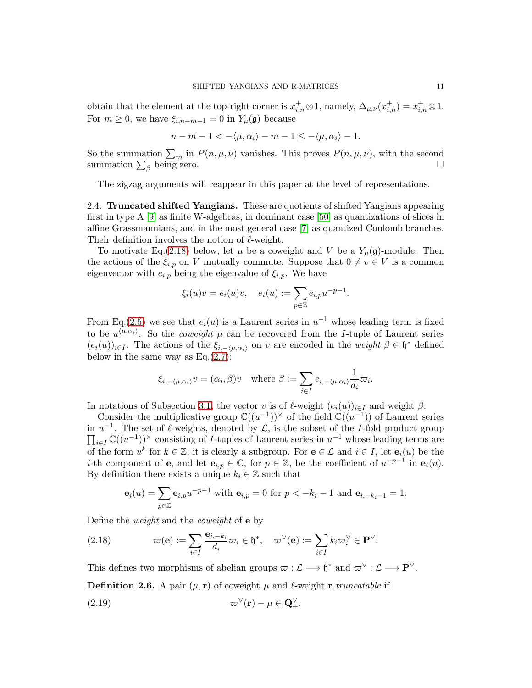obtain that the element at the top-right corner is  $x_{i,n}^+ \otimes 1$ , namely,  $\Delta_{\mu,\nu}(x_{i,n}^+) = x_{i,n}^+ \otimes 1$ . For  $m \geq 0$ , we have  $\xi_{i,n-m-1} = 0$  in  $Y_\mu(\mathfrak{g})$  because

$$
n-m-1<-\langle \mu, \alpha_i \rangle -m-1\leq -\langle \mu, \alpha_i \rangle -1.
$$

So the summation  $\sum_m$  in  $P(n,\mu,\nu)$  vanishes. This proves  $P(n,\mu,\nu)$ , with the second summation  $\sum_{\beta}$  being zero.

The zigzag arguments will reappear in this paper at the level of representations.

2.4. Truncated shifted Yangians. These are quotients of shifted Yangians appearing first in type A [\[9\]](#page-54-1) as finite W-algebras, in dominant case [\[50\]](#page-55-0) as quantizations of slices in affine Grassmannians, and in the most general case [\[7\]](#page-54-2) as quantized Coulomb branches. Their definition involves the notion of  $\ell$ -weight.

To motivate Eq.[\(2.18\)](#page-10-0) below, let  $\mu$  be a coweight and V be a  $Y_{\mu}(\mathfrak{g})$ -module. Then the actions of the  $\xi_{i,p}$  on V mutually commute. Suppose that  $0 \neq v \in V$  is a common eigenvector with  $e_{i,p}$  being the eigenvalue of  $\xi_{i,p}$ . We have

$$
\xi_i(u)v = e_i(u)v, \quad e_i(u) := \sum_{p \in \mathbb{Z}} e_{i,p}u^{-p-1}.
$$

From Eq.[\(2.5\)](#page-5-1) we see that  $e_i(u)$  is a Laurent series in  $u^{-1}$  whose leading term is fixed to be  $u^{\langle \mu,\alpha_i \rangle}$ . So the *coweight*  $\mu$  can be recovered from the *I*-tuple of Laurent series  $(e_i(u))_{i\in I}$ . The actions of the  $\xi_{i,-\langle\mu,\alpha_i\rangle}$  on v are encoded in the weight  $\beta \in \mathfrak{h}^*$  defined below in the same way as  $Eq.(2.7)$  $Eq.(2.7)$ :

$$
\xi_{i,-\langle\mu,\alpha_i\rangle}v=(\alpha_i,\beta)v \quad \text{where } \beta:=\sum_{i\in I}e_{i,-\langle\mu,\alpha_i\rangle}\frac{1}{d_i}\varpi_i.
$$

In notations of Subsection [3.1,](#page-12-1) the vector v is of  $\ell$ -weight  $(e_i(u))_{i\in I}$  and weight  $\beta$ .

Consider the multiplicative group  $\mathbb{C}((u^{-1}))^{\times}$  of the field  $\mathbb{C}((u^{-1}))$  of Laurent series in  $u^{-1}$ . The set of  $\ell$ -weights, denoted by  $\mathcal{L}$ , is the subset of the I-fold product group  $\prod_{i\in I}\mathbb{C}((u^{-1}))^{\times}$  consisting of *I*-tuples of Laurent series in  $u^{-1}$  whose leading terms are of the form  $u^k$  for  $k \in \mathbb{Z}$ ; it is clearly a subgroup. For  $e \in \mathcal{L}$  and  $i \in I$ , let  $e_i(u)$  be the *i*-th component of **e**, and let  $\mathbf{e}_{i,p} \in \mathbb{C}$ , for  $p \in \mathbb{Z}$ , be the coefficient of  $u^{-p-1}$  in  $\mathbf{e}_i(u)$ . By definition there exists a unique  $k_i \in \mathbb{Z}$  such that

$$
\mathbf{e}_i(u) = \sum_{p \in \mathbb{Z}} \mathbf{e}_{i,p} u^{-p-1} \text{ with } \mathbf{e}_{i,p} = 0 \text{ for } p < -k_i - 1 \text{ and } \mathbf{e}_{i,-k_i-1} = 1.
$$

Define the weight and the coweight of e by

<span id="page-10-0"></span>(2.18) 
$$
\varpi(\mathbf{e}) := \sum_{i \in I} \frac{\mathbf{e}_{i,-k_i}}{d_i} \varpi_i \in \mathfrak{h}^*, \quad \varpi^{\vee}(\mathbf{e}) := \sum_{i \in I} k_i \varpi_i^{\vee} \in \mathbf{P}^{\vee}.
$$

This defines two morphisms of abelian groups  $\varpi : L \longrightarrow \mathfrak{h}^*$  and  $\varpi^{\vee} : L \longrightarrow \mathbf{P}^{\vee}$ .

**Definition 2.6.** A pair  $(\mu, r)$  of coweight  $\mu$  and  $\ell$ -weight r truncatable if

<span id="page-10-1"></span>(2.19) 
$$
\varpi^{\vee}(\mathbf{r}) - \mu \in \mathbf{Q}_{+}^{\vee}.
$$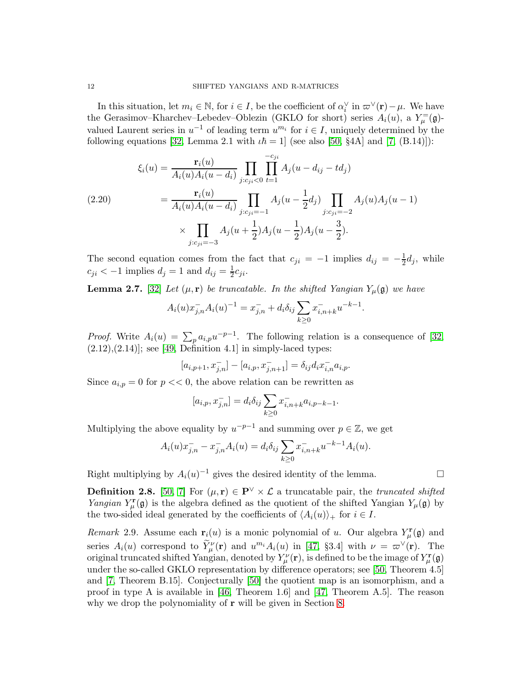In this situation, let  $m_i \in \mathbb{N}$ , for  $i \in I$ , be the coefficient of  $\alpha_i^{\vee}$  in  $\varpi^{\vee}(\mathbf{r}) - \mu$ . We have the Gerasimov–Kharchev–Lebedev–Oblezin (GKLO for short) series  $A_i(u)$ , a  $Y^{\equiv}_{\mu}(\mathfrak{g})$ valued Laurent series in  $u^{-1}$  of leading term  $u^{m_i}$  for  $i \in I$ , uniquely determined by the following equations [\[32,](#page-55-10) Lemma 2.1 with  $\iota\hbar = 1$ ] (see also [\[50,](#page-55-0) §4A] and [\[7,](#page-54-2) (B.14)]):

<span id="page-11-0"></span>(2.20) 
$$
\xi_i(u) = \frac{\mathbf{r}_i(u)}{A_i(u)A_i(u - d_i)} \prod_{j:c_{ji} < 0} \prod_{t=1}^{-c_{ji}} A_j(u - d_{ij} - td_j)
$$
\n
$$
= \frac{\mathbf{r}_i(u)}{A_i(u)A_i(u - d_i)} \prod_{j:c_{ji} = -1} A_j(u - \frac{1}{2}d_j) \prod_{j:c_{ji} = -2} A_j(u)A_j(u - 1)
$$
\n
$$
\times \prod_{j:c_{ji} = -3} A_j(u + \frac{1}{2})A_j(u - \frac{1}{2})A_j(u - \frac{3}{2}).
$$

The second equation comes from the fact that  $c_{ji} = -1$  implies  $d_{ij} = -\frac{1}{2}d_j$ , while  $c_{ji} < -1$  implies  $d_j = 1$  and  $d_{ij} = \frac{1}{2}$  $rac{1}{2}c_{ji}.$ 

<span id="page-11-1"></span>**Lemma 2.7.** [\[32\]](#page-55-10) Let  $(\mu, r)$  be truncatable. In the shifted Yangian  $Y_{\mu}(\mathfrak{g})$  we have

$$
A_i(u)x_{j,n}^- A_i(u)^{-1} = x_{j,n}^- + d_i \delta_{ij} \sum_{k \ge 0} x_{i,n+k}^- u^{-k-1}.
$$

*Proof.* Write  $A_i(u) = \sum_p a_{i,p} u^{-p-1}$ . The following relation is a consequence of [\[32,](#page-55-10)  $(2.12),(2.14)$ ; see [\[49,](#page-55-2) Definition 4.1] in simply-laced types:

$$
[a_{i,p+1}, x_{j,n}^-] - [a_{i,p}, x_{j,n+1}^-] = \delta_{ij} d_i x_{i,n}^- a_{i,p}.
$$

Since  $a_{i,p} = 0$  for  $p \ll 0$ , the above relation can be rewritten as

$$
[a_{i,p}, x_{j,n}^-] = d_i \delta_{ij} \sum_{k \ge 0} x_{i,n+k}^- a_{i,p-k-1}.
$$

Multiplying the above equality by  $u^{-p-1}$  and summing over  $p \in \mathbb{Z}$ , we get

$$
A_i(u)x_{j,n}^- - x_{j,n}^- A_i(u) = d_i \delta_{ij} \sum_{k \ge 0} x_{i,n+k}^- u^{-k-1} A_i(u).
$$

Right multiplying by  $A_i(u)^{-1}$  gives the desired identity of the lemma.

**Definition 2.8.** [\[50,](#page-55-0) [7\]](#page-54-2) For  $(\mu, \mathbf{r}) \in \mathbf{P}^{\vee} \times \mathcal{L}$  a truncatable pair, the *truncated shifted* Yangian  $Y^{\mathbf{r}}_{\mu}(\mathfrak{g})$  is the algebra defined as the quotient of the shifted Yangian  $Y_{\mu}(\mathfrak{g})$  by the two-sided ideal generated by the coefficients of  $\langle A_i(u)\rangle_+$  for  $i \in I$ .

<span id="page-11-2"></span>Remark 2.9. Assume each  $\mathbf{r}_i(u)$  is a monic polynomial of u. Our algebra  $Y^{\mathbf{r}}_{\mu}(\mathfrak{g})$  and series  $A_i(u)$  correspond to  $\widetilde{Y}_{\mu}^{\nu}(\mathbf{r})$  and  $u^{m_i}A_i(u)$  in [\[47,](#page-55-16) §3.4] with  $\nu = \varpi^{\vee}(\mathbf{r})$ . The original truncated shifted Yangian, denoted by  $Y_\mu^\nu(\mathbf{r})$ , is defined to be the image of  $Y_\mu^\mathbf{r}(\mathfrak{g})$ under the so-called GKLO representation by difference operators; see [\[50,](#page-55-0) Theorem 4.5] and [\[7,](#page-54-2) Theorem B.15]. Conjecturally [\[50\]](#page-55-0) the quotient map is an isomorphism, and a proof in type A is available in [\[46,](#page-55-17) Theorem 1.6] and [\[47,](#page-55-16) Theorem A.5]. The reason why we drop the polynomiality of **r** will be given in Section [8.](#page-48-0)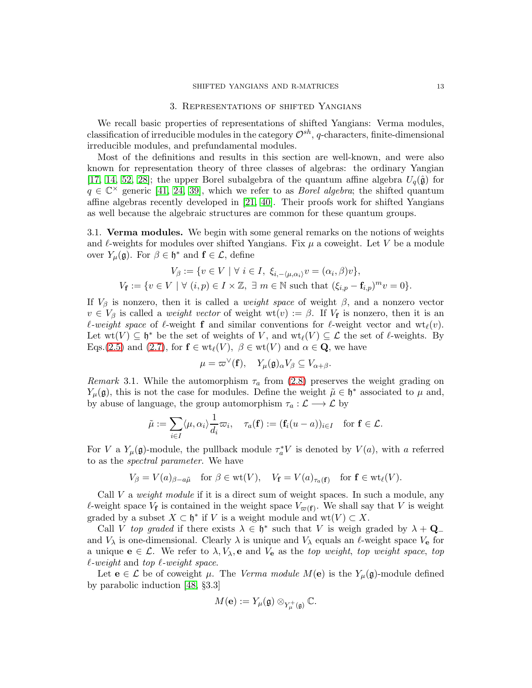#### 3. Representations of shifted Yangians

<span id="page-12-0"></span>We recall basic properties of representations of shifted Yangians: Verma modules, classification of irreducible modules in the category  $\mathcal{O}^{sh}$ , q-characters, finite-dimensional irreducible modules, and prefundamental modules.

Most of the definitions and results in this section are well-known, and were also known for representation theory of three classes of algebras: the ordinary Yangian [\[17,](#page-54-7) [14,](#page-54-4) [52,](#page-56-4) [28\]](#page-55-11); the upper Borel subalgebra of the quantum affine algebra  $U_q(\hat{\mathfrak{g}})$  for  $q \in \mathbb{C}^\times$  generic [\[41,](#page-55-4) [24,](#page-55-18) [39\]](#page-55-13), which we refer to as *Borel algebra*; the shifted quantum affine algebras recently developed in [\[21,](#page-54-5) [40\]](#page-55-3). Their proofs work for shifted Yangians as well because the algebraic structures are common for these quantum groups.

<span id="page-12-1"></span>3.1. Verma modules. We begin with some general remarks on the notions of weights and  $\ell$ -weights for modules over shifted Yangians. Fix  $\mu$  a coweight. Let V be a module over  $Y_{\mu}(\mathfrak{g})$ . For  $\beta \in \mathfrak{h}^*$  and  $\mathbf{f} \in \mathcal{L}$ , define

$$
V_{\beta} := \{ v \in V \mid \forall i \in I, \ \xi_{i,-\langle \mu, \alpha_i \rangle} v = (\alpha_i, \beta)v \},
$$
  

$$
V_{\mathbf{f}} := \{ v \in V \mid \forall (i, p) \in I \times \mathbb{Z}, \ \exists \ m \in \mathbb{N} \text{ such that } (\xi_{i,p} - \mathbf{f}_{i,p})^m v = 0 \}.
$$

If  $V_\beta$  is nonzero, then it is called a *weight space* of weight  $\beta$ , and a nonzero vector  $v \in V_\beta$  is called a *weight vector* of weight  $wt(v) := \beta$ . If  $V_f$  is nonzero, then it is an  $\ell$ -weight space of  $\ell$ -weight f and similar conventions for  $\ell$ -weight vector and  $\operatorname{wt}_{\ell}(v)$ . Let  $wt(V) \subseteq \mathfrak{h}^*$  be the set of weights of V, and  $wt_{\ell}(V) \subseteq \mathcal{L}$  the set of  $\ell$ -weights. By Eqs.[\(2.5\)](#page-5-1) and [\(2.7\)](#page-6-2), for  $f \in wt_{\ell}(V)$ ,  $\beta \in wt(V)$  and  $\alpha \in \mathbf{Q}$ , we have

$$
\mu = \varpi^{\vee}(\mathbf{f}), \quad Y_{\mu}(\mathfrak{g})_{\alpha} V_{\beta} \subseteq V_{\alpha+\beta}.
$$

<span id="page-12-2"></span>Remark 3.1. While the automorphism  $\tau_a$  from [\(2.8\)](#page-6-3) preserves the weight grading on  $Y_{\mu}(\mathfrak{g})$ , this is not the case for modules. Define the weight  $\tilde{\mu} \in \mathfrak{h}^*$  associated to  $\mu$  and, by abuse of language, the group automorphism  $\tau_a : \mathcal{L} \longrightarrow \mathcal{L}$  by

$$
\tilde{\mu} := \sum_{i \in I} \langle \mu, \alpha_i \rangle \frac{1}{d_i} \varpi_i, \quad \tau_a(\mathbf{f}) := (\mathbf{f}_i(u-a))_{i \in I} \quad \text{for } \mathbf{f} \in \mathcal{L}.
$$

For V a  $Y_\mu(\mathfrak{g})$ -module, the pullback module  $\tau_a^*V$  is denoted by  $V(a)$ , with a referred to as the spectral parameter. We have

$$
V_{\beta} = V(a)_{\beta - a\tilde{\mu}} \quad \text{for } \beta \in \text{wt}(V), \quad V_{\mathbf{f}} = V(a)_{\tau_a(\mathbf{f})} \quad \text{for } \mathbf{f} \in \text{wt}_{\ell}(V).
$$

Call  $V$  a *weight module* if it is a direct sum of weight spaces. In such a module, any l-weight space  $V_f$  is contained in the weight space  $V_{\varpi(f)}$ . We shall say that V is weight graded by a subset  $X \subset \mathfrak{h}^*$  if V is a weight module and  $\text{wt}(V) \subset X$ .

Call V top graded if there exists  $\lambda \in \mathfrak{h}^*$  such that V is weigh graded by  $\lambda + \mathbf{Q}_$ and  $V_{\lambda}$  is one-dimensional. Clearly  $\lambda$  is unique and  $V_{\lambda}$  equals an  $\ell$ -weight space  $V_{e}$  for a unique  $\mathbf{e} \in \mathcal{L}$ . We refer to  $\lambda, V_{\lambda}$ , e and  $V_{\mathbf{e}}$  as the top weight, top weight space, top  $\ell$ -weight and top  $\ell$ -weight space.

Let  $e \in \mathcal{L}$  be of coweight  $\mu$ . The Verma module  $M(e)$  is the  $Y_{\mu}(g)$ -module defined by parabolic induction [\[48,](#page-55-1) §3.3]

$$
M(\mathbf{e}) := Y_{\mu}(\mathfrak{g}) \otimes_{Y_{\mu}^{+}(\mathfrak{g})} \mathbb{C}.
$$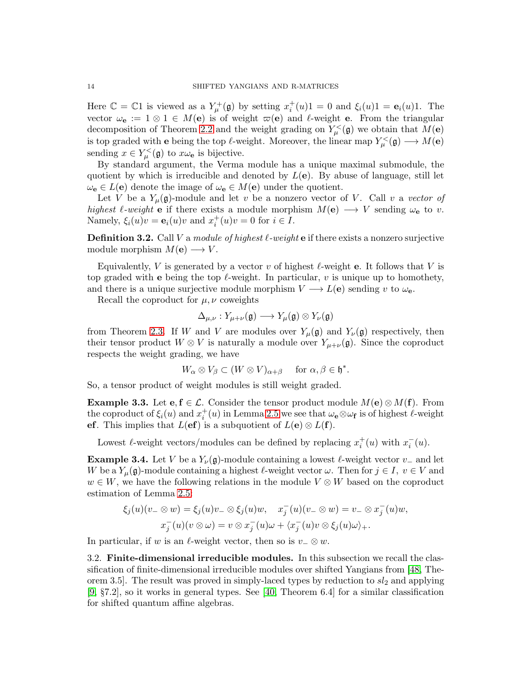Here  $\mathbb{C} = \mathbb{C}1$  is viewed as a  $Y^+_{\mu}(\mathfrak{g})$  by setting  $x_i^+(u)1 = 0$  and  $\xi_i(u)1 = \mathbf{e}_i(u)1$ . The vector  $\omega_{\mathbf{e}} := 1 \otimes 1 \in M(\mathbf{e})$  is of weight  $\varpi(\mathbf{e})$  and  $\ell$ -weight **e**. From the triangular decomposition of Theorem [2.2](#page-6-4) and the weight grading on  $Y_{\mu}^{\lt}(\mathfrak{g})$  we obtain that  $M(\mathbf{e})$ is top graded with **e** being the top  $\ell$ -weight. Moreover, the linear map  $Y^{\leq}_{\mu}(\mathfrak{g}) \longrightarrow M(\mathbf{e})$ sending  $x \in Y^{\lt}_{\mu}(\mathfrak{g})$  to  $x\omega_{\mathbf{e}}$  is bijective.

By standard argument, the Verma module has a unique maximal submodule, the quotient by which is irreducible and denoted by  $L(e)$ . By abuse of language, still let  $\omega_{\mathbf{e}} \in L(\mathbf{e})$  denote the image of  $\omega_{\mathbf{e}} \in M(\mathbf{e})$  under the quotient.

Let V be a  $Y_\mu(\mathfrak{g})$ -module and let v be a nonzero vector of V. Call v a vector of highest  $\ell$ -weight **e** if there exists a module morphism  $M(e) \longrightarrow V$  sending  $\omega_e$  to v. Namely,  $\xi_i(u)v = \mathbf{e}_i(u)v$  and  $x_i^+(u)v = 0$  for  $i \in I$ .

**Definition 3.2.** Call V a module of highest  $\ell$ -weight e if there exists a nonzero surjective module morphism  $M(e) \longrightarrow V$ .

Equivalently, V is generated by a vector v of highest  $\ell$ -weight **e**. It follows that V is top graded with e being the top  $\ell$ -weight. In particular, v is unique up to homothety, and there is a unique surjective module morphism  $V \to L(e)$  sending v to  $\omega_{\mathbf{e}}$ .

Recall the coproduct for  $\mu, \nu$  coweights

$$
\Delta_{\mu,\nu}: Y_{\mu+\nu}(\mathfrak{g}) \longrightarrow Y_{\mu}(\mathfrak{g}) \otimes Y_{\nu}(\mathfrak{g})
$$

from Theorem [2.3.](#page-7-2) If W and V are modules over  $Y_{\mu}(\mathfrak{g})$  and  $Y_{\nu}(\mathfrak{g})$  respectively, then their tensor product  $W \otimes V$  is naturally a module over  $Y_{\mu+\nu}(\mathfrak{g})$ . Since the coproduct respects the weight grading, we have

$$
W_{\alpha} \otimes V_{\beta} \subset (W \otimes V)_{\alpha+\beta} \quad \text{ for } \alpha, \beta \in \mathfrak{h}^*.
$$

So, a tensor product of weight modules is still weight graded.

<span id="page-13-0"></span>**Example 3.3.** Let  $e, f \in \mathcal{L}$ . Consider the tensor product module  $M(e) \otimes M(f)$ . From the coproduct of  $\xi_i(u)$  and  $x_i^+(u)$  in Lemma [2.5](#page-9-0) we see that  $\omega_e \otimes \omega_f$  is of highest  $\ell$ -weight ef. This implies that  $L(ef)$  is a subquotient of  $L(e) \otimes L(f)$ .

Lowest  $\ell$ -weight vectors/modules can be defined by replacing  $x_i^+(u)$  with  $x_i^-(u)$ .

<span id="page-13-1"></span>**Example 3.4.** Let V be a  $Y_{\nu}(\mathfrak{g})$ -module containing a lowest  $\ell$ -weight vector  $v_{-}$  and let W be a  $Y_\mu(\mathfrak{g})$ -module containing a highest  $\ell$ -weight vector  $\omega$ . Then for  $j \in I$ ,  $v \in V$  and  $w \in W$ , we have the following relations in the module  $V \otimes W$  based on the coproduct estimation of Lemma [2.5:](#page-9-0)

$$
\xi_j(u)(v_-\otimes w)=\xi_j(u)v_-\otimes \xi_j(u)w, \quad x_j^-(u)(v_-\otimes w)=v_-\otimes x_j^-(u)w,
$$
  

$$
x_j^-(u)(v\otimes \omega)=v\otimes x_j^-(u)\omega+\langle x_j^-(u)v\otimes \xi_j(u)\omega\rangle_+.
$$

In particular, if w is an  $\ell$ -weight vector, then so is  $v_-\otimes w$ .

3.2. Finite-dimensional irreducible modules. In this subsection we recall the classification of finite-dimensional irreducible modules over shifted Yangians from [\[48,](#page-55-1) Theorem 3.5. The result was proved in simply-laced types by reduction to  $sl_2$  and applying [\[9,](#page-54-1) §7.2], so it works in general types. See [\[40,](#page-55-3) Theorem 6.4] for a similar classification for shifted quantum affine algebras.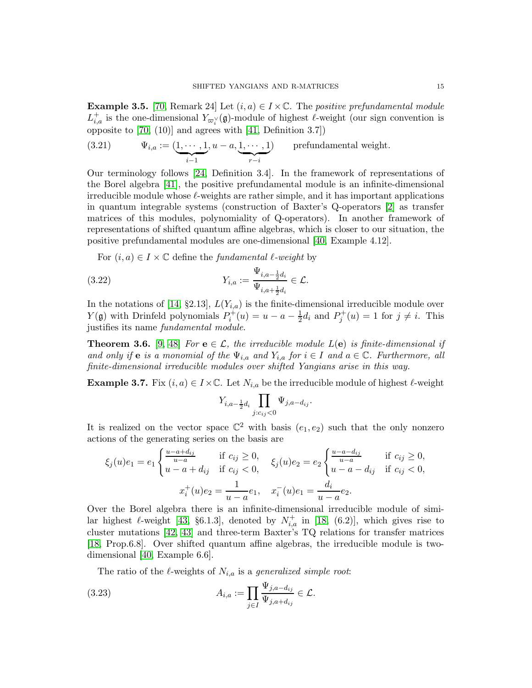<span id="page-14-1"></span>**Example 3.5.** [\[70,](#page-56-2) Remark 24] Let  $(i, a) \in I \times \mathbb{C}$ . The positive prefundamental module  $L_{i,a}^+$  is the one-dimensional  $Y_{\varpi_i^\vee}(\mathfrak{g})$ -module of highest  $\ell$ -weight (our sign convention is opposite to [\[70,](#page-56-2) (10)] and agrees with [\[41,](#page-55-4) Definition 3.7])

(3.21) 
$$
\Psi_{i,a} := (\underbrace{1, \cdots, 1}_{i-1}, u - a, \underbrace{1, \cdots, 1}_{r-i})
$$
 *prefundamental weight.*

Our terminology follows [\[24,](#page-55-18) Definition 3.4]. In the framework of representations of the Borel algebra [\[41\]](#page-55-4), the positive prefundamental module is an infinite-dimensional irreducible module whose  $\ell$ -weights are rather simple, and it has important applications in quantum integrable systems (construction of Baxter's Q-operators [\[2\]](#page-54-9) as transfer matrices of this modules, polynomiality of Q-operators). In another framework of representations of shifted quantum affine algebras, which is closer to our situation, the positive prefundamental modules are one-dimensional [\[40,](#page-55-3) Example 4.12].

For  $(i, a) \in I \times \mathbb{C}$  define the *fundamental*  $\ell$ -weight by

(3.22) 
$$
Y_{i,a} := \frac{\Psi_{i,a-\frac{1}{2}d_i}}{\Psi_{i,a+\frac{1}{2}d_i}} \in \mathcal{L}.
$$

In the notations of [\[14,](#page-54-4) §2.13],  $L(Y_{i,a})$  is the finite-dimensional irreducible module over  $Y(\mathfrak{g})$  with Drinfeld polynomials  $P_i^+(u) = u - a - \frac{1}{2}$  $\frac{1}{2}d_i$  and  $P_j^+(u) = 1$  for  $j \neq i$ . This justifies its name fundamental module.

**Theorem 3.6.** [\[9,](#page-54-1) [48\]](#page-55-1) For  $e \in \mathcal{L}$ , the irreducible module  $L(e)$  is finite-dimensional if and only if e is a monomial of the  $\Psi_{i,a}$  and  $Y_{i,a}$  for  $i \in I$  and  $a \in \mathbb{C}$ . Furthermore, all finite-dimensional irreducible modules over shifted Yangians arise in this way.

<span id="page-14-0"></span>**Example 3.7.** Fix  $(i, a) \in I \times \mathbb{C}$ . Let  $N_{i,a}$  be the irreducible module of highest  $\ell$ -weight

$$
Y_{i,a-\frac{1}{2}d_i} \prod_{j:c_{ij} < 0} \Psi_{j,a-d_{ij}}.
$$

It is realized on the vector space  $\mathbb{C}^2$  with basis  $(e_1, e_2)$  such that the only nonzero actions of the generating series on the basis are

$$
\xi_j(u)e_1 = e_1 \begin{cases} \frac{u - a + d_{ij}}{u - a} & \text{if } c_{ij} \ge 0, \\ u - a + d_{ij} & \text{if } c_{ij} < 0, \end{cases} \quad \xi_j(u)e_2 = e_2 \begin{cases} \frac{u - a - d_{ij}}{u - a} & \text{if } c_{ij} \ge 0, \\ u - a - d_{ij} & \text{if } c_{ij} < 0, \end{cases}
$$
\n
$$
x_i^+(u)e_2 = \frac{1}{u - a}e_1, \quad x_i^-(u)e_1 = \frac{d_i}{u - a}e_2.
$$

Over the Borel algebra there is an infinite-dimensional irreducible module of similar highest  $\ell$ -weight [\[43,](#page-55-19) §6.1.3], denoted by  $N^+_{i,a}$  in [\[18,](#page-54-10) (6.2)], which gives rise to cluster mutations [\[42,](#page-55-20) [43\]](#page-55-19) and three-term Baxter's TQ relations for transfer matrices [\[18,](#page-54-10) Prop.6.8]. Over shifted quantum affine algebras, the irreducible module is twodimensional [\[40,](#page-55-3) Example 6.6].

<span id="page-14-2"></span>The ratio of the  $\ell$ -weights of  $N_{i,a}$  is a generalized simple root:

(3.23) 
$$
A_{i,a} := \prod_{j \in I} \frac{\Psi_{j,a-d_{ij}}}{\Psi_{j,a+d_{ij}}} \in \mathcal{L}.
$$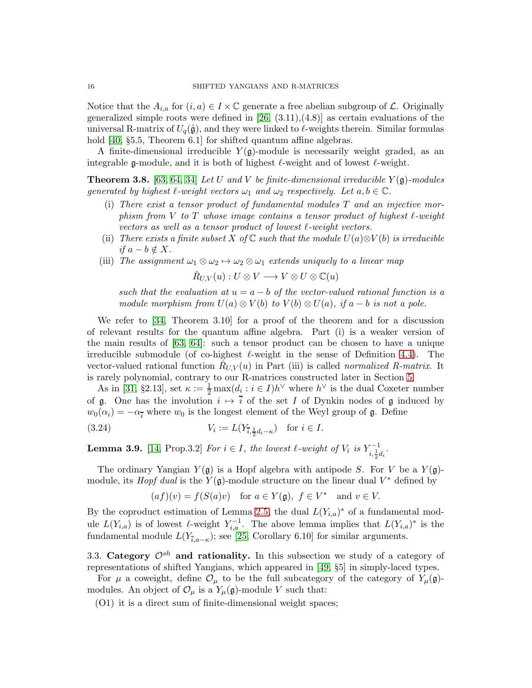Notice that the  $A_{i,a}$  for  $(i, a) \in I \times \mathbb{C}$  generate a free abelian subgroup of  $\mathcal{L}$ . Originally generalized simple roots were defined in  $[26, (3.11), (4.8)]$  as certain evaluations of the universal R-matrix of  $U_q(\hat{\mathfrak{g}})$ , and they were linked to  $\ell$ -weights therein. Similar formulas hold [\[40,](#page-55-3) §5.5, Theorem 6.1] for shifted quantum affine algebras.

A finite-dimensional irreducible  $Y(\mathfrak{g})$ -module is necessarily weight graded, as an integrable g-module, and it is both of highest  $\ell$ -weight and of lowest  $\ell$ -weight.

<span id="page-15-0"></span>**Theorem 3.8.** [\[63,](#page-56-6) [64,](#page-56-7) [34\]](#page-55-22) Let U and V be finite-dimensional irreducible  $Y(\mathfrak{g})$ -modules generated by highest  $\ell$ -weight vectors  $\omega_1$  and  $\omega_2$  respectively. Let  $a, b \in \mathbb{C}$ .

- (i) There exist a tensor product of fundamental modules  $T$  and an injective morphism from V to T whose image contains a tensor product of highest  $\ell$ -weight vectors as well as a tensor product of lowest ℓ-weight vectors.
- (ii) There exists a finite subset X of C such that the module  $U(a) \otimes V(b)$  is irreducible if  $a - b \notin X$ .
- (iii) The assignment  $\omega_1 \otimes \omega_2 \mapsto \omega_2 \otimes \omega_1$  extends uniquely to a linear map

$$
\check{R}_{U,V}(u):U\otimes V\longrightarrow V\otimes U\otimes \mathbb{C}(u)
$$

such that the evaluation at  $u = a - b$  of the vector-valued rational function is a module morphism from  $U(a) \otimes V(b)$  to  $V(b) \otimes U(a)$ , if  $a - b$  is not a pole.

We refer to [\[34,](#page-55-22) Theorem 3.10] for a proof of the theorem and for a discussion of relevant results for the quantum affine algebra. Part (i) is a weaker version of the main results of [\[63,](#page-56-6) [64\]](#page-56-7): such a tensor product can be chosen to have a unique irreducible submodule (of co-highest  $\ell$ -weight in the sense of Definition [4.4\)](#page-21-0). The vector-valued rational function  $\check{R}_{U,V}(u)$  in Part (iii) is called normalized R-matrix. It is rarely polynomial, contrary to our R-matrices constructed later in Section [5.](#page-30-0)

As in [\[31,](#page-55-15) §2.13], set  $\kappa := \frac{1}{2} \max(d_i : i \in I) h^{\vee}$  where  $h^{\vee}$  is the dual Coxeter number of g. One has the involution  $i \mapsto \overline{i}$  of the set I of Dynkin nodes of g induced by  $w_0(\alpha_i) = -\alpha_i$  where  $w_0$  is the longest element of the Weyl group of g. Define

(3.24) 
$$
V_i := L(Y_{\bar{i}, \frac{1}{2}d_i - \kappa}) \text{ for } i \in I.
$$

<span id="page-15-2"></span>**Lemma 3.9.** [\[14,](#page-54-4) Prop.3.2] For  $i \in I$ , the lowest  $\ell$ -weight of  $V_i$  is  $Y_{i, \frac{1}{2}d_i}^{-1}$ .

The ordinary Yangian  $Y(\mathfrak{g})$  is a Hopf algebra with antipode S. For V be a  $Y(\mathfrak{g})$ module, its *Hopf dual* is the  $Y(\mathfrak{g})$ -module structure on the linear dual  $V^*$  defined by

<span id="page-15-1"></span>
$$
(af)(v) = f(S(a)v)
$$
 for  $a \in Y(\mathfrak{g})$ ,  $f \in V^*$  and  $v \in V$ .

By the coproduct estimation of Lemma [2.5,](#page-9-0) the dual  $L(Y_{i,a})^*$  of a fundamental module  $L(Y_{i,a})$  is of lowest  $\ell$ -weight  $Y_{i,a}^{-1}$ . The above lemma implies that  $L(Y_{i,a})^*$  is the fundamental module  $L(Y_{\bar{i},a-\kappa})$ ; see [\[25,](#page-55-5) Corollary 6.10] for similar arguments.

3.3. Category  $\mathcal{O}^{sh}$  and rationality. In this subsection we study of a category of representations of shifted Yangians, which appeared in [\[49,](#page-55-2) §5] in simply-laced types.

For  $\mu$  a coweight, define  $\mathcal{O}_{\mu}$  to be the full subcategory of the category of  $Y_{\mu}(\mathfrak{g})$ modules. An object of  $\mathcal{O}_{\mu}$  is a  $Y_{\mu}(\mathfrak{g})$ -module V such that:

(O1) it is a direct sum of finite-dimensional weight spaces;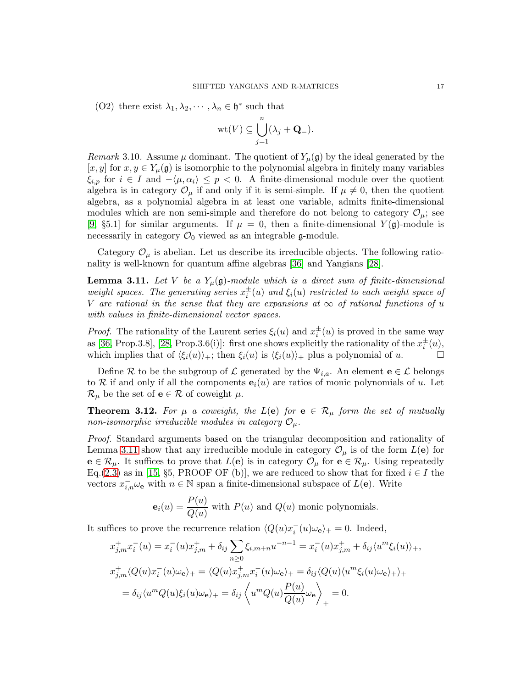(O2) there exist  $\lambda_1, \lambda_2, \dots, \lambda_n \in \mathfrak{h}^*$  such that

$$
\text{wt}(V) \subseteq \bigcup_{j=1}^n (\lambda_j + \mathbf{Q}_-).
$$

Remark 3.10. Assume  $\mu$  dominant. The quotient of  $Y_{\mu}(\mathfrak{g})$  by the ideal generated by the [x, y] for  $x, y \in Y_\mu(\mathfrak{g})$  is isomorphic to the polynomial algebra in finitely many variables  $\xi_{i,p}$  for  $i \in I$  and  $-\langle \mu, \alpha_i \rangle \leq p < 0$ . A finite-dimensional module over the quotient algebra is in category  $\mathcal{O}_{\mu}$  if and only if it is semi-simple. If  $\mu \neq 0$ , then the quotient algebra, as a polynomial algebra in at least one variable, admits finite-dimensional modules which are non semi-simple and therefore do not belong to category  $\mathcal{O}_{\mu}$ ; see [\[9,](#page-54-1) §5.1] for similar arguments. If  $\mu = 0$ , then a finite-dimensional  $Y(\mathfrak{g})$ -module is necessarily in category  $\mathcal{O}_0$  viewed as an integrable g-module.

Category  $\mathcal{O}_{\mu}$  is abelian. Let us describe its irreducible objects. The following rationality is well-known for quantum affine algebras [\[36\]](#page-55-23) and Yangians [\[28\]](#page-55-11).

<span id="page-16-0"></span>**Lemma 3.11.** Let V be a  $Y_\mu(\mathfrak{g})$ -module which is a direct sum of finite-dimensional weight spaces. The generating series  $x_i^{\pm}(u)$  and  $\xi_i(u)$  restricted to each weight space of V are rational in the sense that they are expansions at  $\infty$  of rational functions of u with values in finite-dimensional vector spaces.

*Proof.* The rationality of the Laurent series  $\xi_i(u)$  and  $x_i^{\pm}(u)$  is proved in the same way as [\[36,](#page-55-23) Prop.3.8], [\[28,](#page-55-11) Prop.3.6(i)]: first one shows explicitly the rationality of the  $x_i^{\pm}(u)$ , which implies that of  $\langle \xi_i(u) \rangle_+$ ; then  $\xi_i(u)$  is  $\langle \xi_i(u) \rangle_+$  plus a polynomial of u.

Define R to be the subgroup of L generated by the  $\Psi_{i,a}$ . An element  $\mathbf{e} \in \mathcal{L}$  belongs to R if and only if all the components  $e_i(u)$  are ratios of monic polynomials of u. Let  $\mathcal{R}_{\mu}$  be the set of  $e \in \mathcal{R}$  of coweight  $\mu$ .

<span id="page-16-1"></span>**Theorem 3.12.** For  $\mu$  a coweight, the L(e) for  $e \in \mathcal{R}_{\mu}$  form the set of mutually non-isomorphic irreducible modules in category  $\mathcal{O}_{\mu}$ .

Proof. Standard arguments based on the triangular decomposition and rationality of Lemma [3.11](#page-16-0) show that any irreducible module in category  $\mathcal{O}_{\mu}$  is of the form  $L(e)$  for  $e \in \mathcal{R}_{\mu}$ . It suffices to prove that  $L(e)$  is in category  $\mathcal{O}_{\mu}$  for  $e \in \mathcal{R}_{\mu}$ . Using repeatedly Eq.[\(2.3\)](#page-5-4) as in [\[15,](#page-54-11) §5, PROOF OF (b)], we are reduced to show that for fixed  $i \in I$  the vectors  $x_{i,n}^- \omega_e$  with  $n \in \mathbb{N}$  span a finite-dimensional subspace of  $L(e)$ . Write

$$
\mathbf{e}_i(u) = \frac{P(u)}{Q(u)}
$$
 with  $P(u)$  and  $Q(u)$  monic polynomials.

It suffices to prove the recurrence relation  $\langle Q(u)x_i^-(u)\omega_{\mathbf{e}}\rangle_+ = 0$ . Indeed,

$$
x_{j,m}^+ x_i^-(u) = x_i^-(u)x_{j,m}^+ + \delta_{ij} \sum_{n\geq 0} \xi_{i,m+n} u^{-n-1} = x_i^-(u)x_{j,m}^+ + \delta_{ij} \langle u^m \xi_i(u) \rangle_+,
$$
  
\n
$$
x_{j,m}^+ \langle Q(u)x_i^-(u)\omega_{\mathbf{e}} \rangle_+ = \langle Q(u)x_{j,m}^+ x_i^-(u)\omega_{\mathbf{e}} \rangle_+ = \delta_{ij} \langle Q(u)\langle u^m \xi_i(u)\omega_{\mathbf{e}} \rangle_+ \rangle_+
$$
  
\n
$$
= \delta_{ij} \langle u^m Q(u)\xi_i(u)\omega_{\mathbf{e}} \rangle_+ = \delta_{ij} \langle u^m Q(u)\frac{P(u)}{Q(u)}\omega_{\mathbf{e}} \rangle_+ = 0.
$$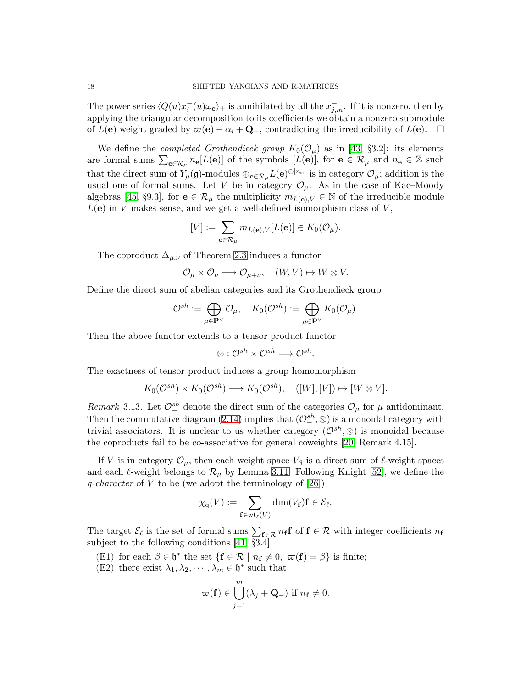The power series  $\langle Q(u)x_i^-(u)\omega_e\rangle_+$  is annihilated by all the  $x_{j,m}^+$ . If it is nonzero, then by applying the triangular decomposition to its coefficients we obtain a nonzero submodule of  $L(e)$  weight graded by  $\varpi(e) - \alpha_i + \mathbf{Q}_-$ , contradicting the irreducibility of  $L(e)$ .  $\Box$ 

We define the *completed Grothendieck group*  $K_0(\mathcal{O}_\mu)$  as in [\[43,](#page-55-19) §3.2]: its elements are formal sums  $\sum_{\mathbf{e}\in\mathcal{R}_{\mu}}n_{\mathbf{e}}[L(\mathbf{e})]$  of the symbols  $[L(\mathbf{e})]$ , for  $\mathbf{e}\in\mathcal{R}_{\mu}$  and  $n_{\mathbf{e}}\in\mathbb{Z}$  such that the direct sum of  $Y_\mu(\mathfrak{g})$ -modules  $\oplus_{\mathbf{e}\in\mathcal{R}_\mu} L(\mathbf{e})^{\oplus |n_{\mathbf{e}}|}$  is in category  $\mathcal{O}_\mu$ ; addition is the usual one of formal sums. Let V be in category  $\mathcal{O}_{\mu}$ . As in the case of Kac–Moody algebras [\[45,](#page-55-24) §9.3], for  $\mathbf{e} \in \mathcal{R}_{\mu}$  the multiplicity  $m_{L(\mathbf{e}), V} \in \mathbb{N}$  of the irreducible module  $L(e)$  in V makes sense, and we get a well-defined isomorphism class of V,

$$
[V] := \sum_{\mathbf{e} \in \mathcal{R}_{\mu}} m_{L(\mathbf{e}), V}[L(\mathbf{e})] \in K_0(\mathcal{O}_{\mu}).
$$

The coproduct  $\Delta_{\mu,\nu}$  of Theorem [2.3](#page-7-2) induces a functor

$$
\mathcal{O}_{\mu} \times \mathcal{O}_{\nu} \longrightarrow \mathcal{O}_{\mu+\nu}, \quad (W, V) \mapsto W \otimes V.
$$

Define the direct sum of abelian categories and its Grothendieck group

$$
\mathcal{O}^{sh} := \bigoplus_{\mu \in \mathbf{P}^{\vee}} \mathcal{O}_{\mu}, \quad K_0(\mathcal{O}^{sh}) := \bigoplus_{\mu \in \mathbf{P}^{\vee}} K_0(\mathcal{O}_{\mu}).
$$

Then the above functor extends to a tensor product functor

$$
\otimes: \mathcal{O}^{sh} \times \mathcal{O}^{sh} \longrightarrow \mathcal{O}^{sh}.
$$

The exactness of tensor product induces a group homomorphism

$$
K_0(\mathcal{O}^{sh}) \times K_0(\mathcal{O}^{sh}) \longrightarrow K_0(\mathcal{O}^{sh}), \quad ([W], [V]) \mapsto [W \otimes V].
$$

<span id="page-17-0"></span>Remark 3.13. Let  $\mathcal{O}_-^{sh}$  denote the direct sum of the categories  $\mathcal{O}_\mu$  for  $\mu$  antidominant. Then the commutative diagram [\(2.14\)](#page-7-3) implies that  $(\mathcal{O}^{sh}_{-}, \otimes)$  is a monoidal category with trivial associators. It is unclear to us whether category  $(\mathcal{O}^{sh}, \otimes)$  is monoidal because the coproducts fail to be co-associative for general coweights [\[20,](#page-54-3) Remark 4.15].

If V is in category  $\mathcal{O}_{\mu}$ , then each weight space  $V_{\beta}$  is a direct sum of  $\ell$ -weight spaces and each  $\ell$ -weight belongs to  $\mathcal{R}_{\mu}$  by Lemma [3.11.](#page-16-0) Following Knight [\[52\]](#page-56-4), we define the q-character of V to be (we adopt the terminology of  $[26]$ )

$$
\chi_{\mathrm{q}}(V) := \sum_{\mathbf{f} \in \mathrm{wt}_{\ell}(V)} \dim(V_{\mathbf{f}}) \mathbf{f} \in \mathcal{E}_{\ell}.
$$

The target  $\mathcal{E}_{\ell}$  is the set of formal sums  $\sum_{f \in \mathcal{R}} n_f f$  of  $f \in \mathcal{R}$  with integer coefficients  $n_f$ subject to the following conditions [\[41,](#page-55-4) §3.4]

- (E1) for each  $\beta \in \mathfrak{h}^*$  the set  $\{ \mathbf{f} \in \mathcal{R} \mid n_{\mathbf{f}} \neq 0, \ \varpi(\mathbf{f}) = \beta \}$  is finite;
- (E2) there exist  $\lambda_1, \lambda_2, \cdots, \lambda_m \in \mathfrak{h}^*$  such that

$$
\varpi(\mathbf{f}) \in \bigcup_{j=1}^{m} (\lambda_j + \mathbf{Q}_{-}) \text{ if } n_{\mathbf{f}} \neq 0.
$$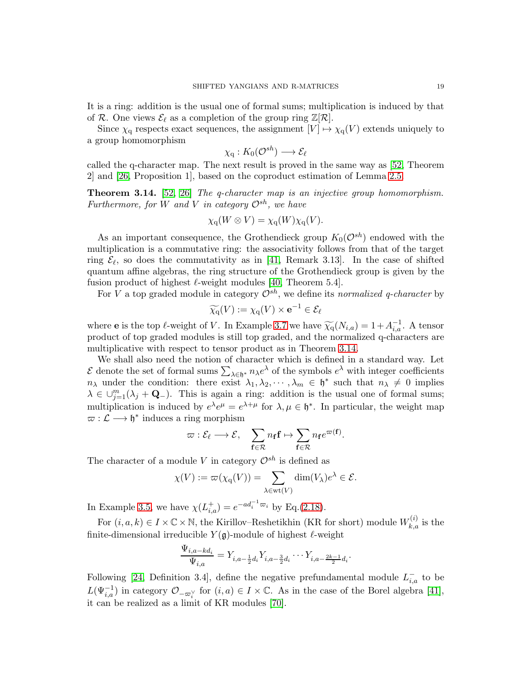It is a ring: addition is the usual one of formal sums; multiplication is induced by that of R. One views  $\mathcal{E}_{\ell}$  as a completion of the group ring  $\mathbb{Z}[\mathcal{R}].$ 

Since  $\chi_q$  respects exact sequences, the assignment  $[V] \mapsto \chi_q(V)$  extends uniquely to a group homomorphism

$$
\chi_{\mathrm{q}}: K_0(\mathcal{O}^{sh}) \longrightarrow \mathcal{E}_{\ell}
$$

called the q-character map. The next result is proved in the same way as [\[52,](#page-56-4) Theorem 2] and [\[26,](#page-55-21) Proposition 1], based on the coproduct estimation of Lemma [2.5.](#page-9-0)

<span id="page-18-0"></span>Theorem 3.14. [\[52,](#page-56-4) [26\]](#page-55-21) The q-character map is an injective group homomorphism. Furthermore, for W and V in category  $\mathcal{O}^{sh}$ , we have

$$
\chi_{\mathbf{q}}(W \otimes V) = \chi_{\mathbf{q}}(W)\chi_{\mathbf{q}}(V).
$$

As an important consequence, the Grothendieck group  $K_0(\mathcal{O}^{sh})$  endowed with the multiplication is a commutative ring: the associativity follows from that of the target ring  $\mathcal{E}_{\ell}$ , so does the commutativity as in [\[41,](#page-55-4) Remark 3.13]. In the case of shifted quantum affine algebras, the ring structure of the Grothendieck group is given by the fusion product of highest  $\ell$ -weight modules [\[40,](#page-55-3) Theorem 5.4].

For V a top graded module in category  $\mathcal{O}^{sh}$ , we define its normalized q-character by

$$
\widetilde{\chi_{\mathrm{q}}}(V) := \chi_{\mathrm{q}}(V) \times \mathbf{e}^{-1} \in \mathcal{E}_{\ell}
$$

where **e** is the top  $\ell$ -weight of V. In Example [3.7](#page-14-0) we have  $\widetilde{\chi_q}(N_{i,a}) = 1 + A_{i,a}^{-1}$ . A tensor product of top graded modules is still top graded, and the normalized q-characters are multiplicative with respect to tensor product as in Theorem [3.14.](#page-18-0)

We shall also need the notion of character which is defined in a standard way. Let  $\mathcal E$  denote the set of formal sums  $\sum_{\lambda \in \mathfrak h^*} n_\lambda e^\lambda$  of the symbols  $e^\lambda$  with integer coefficients  $n_{\lambda}$  under the condition: there exist  $\lambda_1, \lambda_2, \cdots, \lambda_m \in \mathfrak{h}^*$  such that  $n_{\lambda} \neq 0$  implies  $\lambda \in \bigcup_{j=1}^m (\lambda_j + \mathbf{Q}_-).$  This is again a ring: addition is the usual one of formal sums; multiplication is induced by  $e^{\lambda}e^{\mu} = e^{\lambda+\mu}$  for  $\lambda, \mu \in \mathfrak{h}^*$ . In particular, the weight map  $\varpi : \mathcal{L} \longrightarrow \mathfrak{h}^*$  induces a ring morphism

$$
\varpi: \mathcal{E}_{\ell} \longrightarrow \mathcal{E}, \quad \sum_{\mathbf{f} \in \mathcal{R}} n_{\mathbf{f}} \mathbf{f} \mapsto \sum_{\mathbf{f} \in \mathcal{R}} n_{\mathbf{f}} e^{\varpi(\mathbf{f})}.
$$

The character of a module V in category  $\mathcal{O}^{sh}$  is defined as

$$
\chi(V) := \varpi(\chi_{\mathbf{q}}(V)) = \sum_{\lambda \in \text{wt}(V)} \dim(V_{\lambda})e^{\lambda} \in \mathcal{E}.
$$

In Example [3.5,](#page-14-1) we have  $\chi(L_{i,a}^+) = e^{-ad_i^{-1}\varpi_i}$  by Eq.[\(2.18\)](#page-10-0).

For  $(i, a, k) \in I \times \mathbb{C} \times \mathbb{N}$ , the Kirillov–Reshetikhin (KR for short) module  $W_{k,a}^{(i)}$  is the finite-dimensional irreducible  $Y(\mathfrak{g})$ -module of highest  $\ell$ -weight

$$
\frac{\Psi_{i,a-kd_i}}{\Psi_{i,a}} = Y_{i,a-\frac{1}{2}d_i} Y_{i,a-\frac{3}{2}d_i} \cdots Y_{i,a-\frac{2k-1}{2}d_i}.
$$

Following [\[24,](#page-55-18) Definition 3.4], define the negative prefundamental module  $L_{i,a}^-$  to be  $L(\Psi_{i,a}^{-1})$  in category  $\mathcal{O}_{-\varpi_i^{\vee}}$  for  $(i,a) \in I \times \mathbb{C}$ . As in the case of the Borel algebra [\[41\]](#page-55-4), it can be realized as a limit of KR modules [\[70\]](#page-56-2).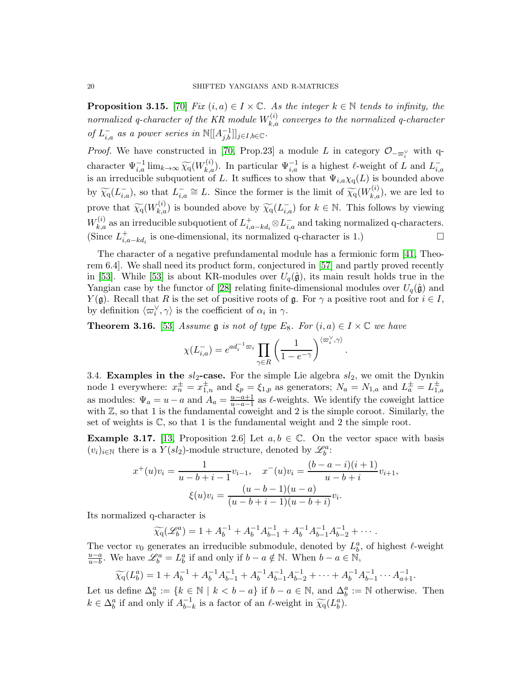**Proposition 3.15.** [\[70\]](#page-56-2) Fix  $(i, a) \in I \times \mathbb{C}$ . As the integer  $k \in \mathbb{N}$  tends to infinity, the normalized q-character of the KR module  $W_{k,a}^{(i)}$  converges to the normalized q-character of  $L_{i,a}^-$  as a power series in  $\mathbb{N}[[A_{j,b}^{-1}]]_{j\in I,b\in\mathbb{C}}$ .

*Proof.* We have constructed in [\[70,](#page-56-2) Prop.23] a module L in category  $\mathcal{O}_{-\varpi_i^{\vee}}$  with qcharacter  $\Psi_{i,a}^{-1}$  lim $_{k\to\infty}$   $\widetilde{\chi_q}(W_{k,a}^{(i)})$ . In particular  $\Psi_{i,a}^{-1}$  is a highest  $\ell$ -weight of L and  $L_{i,a}^$ is an irreducible subquotient of L. It suffices to show that  $\Psi_{i,a} \chi_q(L)$  is bounded above by  $\widetilde{\chi_q}(L_{i,a}^-)$ , so that  $L_{i,a}^- \cong L$ . Since the former is the limit of  $\widetilde{\chi_q}(W_{k,a}^{(i)})$ , we are led to prove that  $\widetilde{\chi_q}(W_{k,a}^{(i)})$  is bounded above by  $\widetilde{\chi_q}(L_{i,a}^-)$  for  $k \in \mathbb{N}$ . This follows by viewing  $W_{k,a}^{(i)}$  as an irreducible subquotient of  $L_{i,a-k d_i}^+ \otimes L_{i,a}^-$  and taking normalized q-characters. (Since  $L_{i,a-kd_i}^+$  is one-dimensional, its normalized q-character is 1.)  $\Box$ 

The character of a negative prefundamental module has a fermionic form [\[41,](#page-55-4) Theorem 6.4]. We shall need its product form, conjectured in [\[57\]](#page-56-8) and partly proved recently in [\[53\]](#page-56-9). While [53] is about KR-modules over  $U_q(\hat{\mathfrak{g}})$ , its main result holds true in the Yangian case by the functor of [\[28\]](#page-55-11) relating finite-dimensional modules over  $U_q(\hat{\mathfrak{g}})$  and  $Y(\mathfrak{g})$ . Recall that R is the set of positive roots of  $\mathfrak{g}$ . For  $\gamma$  a positive root and for  $i \in I$ , by definition  $\langle \varpi_i^{\vee}, \gamma \rangle$  is the coefficient of  $\alpha_i$  in  $\gamma$ .

<span id="page-19-1"></span>**Theorem 3.16.** [\[53\]](#page-56-9) Assume g is not of type  $E_8$ . For  $(i, a) \in I \times \mathbb{C}$  we have

$$
\chi(L_{i,a}^-)=e^{ad_i^{-1}\varpi_i}\prod_{\gamma\in R}\left(\frac{1}{1-e^{-\gamma}}\right)^{\langle\varpi_i^\vee,\gamma\rangle}.
$$

<span id="page-19-2"></span>3.4. Examples in the  $sl_2$ -case. For the simple Lie algebra  $sl_2$ , we omit the Dynkin node 1 everywhere:  $x_n^{\pm} = x_{1,n}^{\pm}$  and  $\xi_p = \xi_{1,p}$  as generators;  $N_a = N_{1,a}$  and  $L_a^{\pm} = L_{1,a}^{\pm}$ as modules:  $\Psi_a = u - a$  and  $A_a = \frac{u - a + 1}{u - a - 1}$  $\frac{u-a+1}{u-a-1}$  as  $\ell$ -weights. We identify the coweight lattice with  $\mathbb{Z}$ , so that 1 is the fundamental coweight and 2 is the simple coroot. Similarly, the set of weights is  $\mathbb{C}$ , so that 1 is the fundamental weight and 2 the simple root.

<span id="page-19-0"></span>**Example 3.17.** [\[13,](#page-54-12) Proposition 2.6] Let  $a, b \in \mathbb{C}$ . On the vector space with basis  $(v_i)_{i\in\mathbb{N}}$  there is a  $Y(sl_2)$ -module structure, denoted by  $\mathscr{L}_b^a$ :

$$
x^+(u)v_i = \frac{1}{u - b + i - 1}v_{i-1}, \quad x^-(u)v_i = \frac{(b - a - i)(i + 1)}{u - b + i}v_{i+1},
$$

$$
\xi(u)v_i = \frac{(u - b - 1)(u - a)}{(u - b + i - 1)(u - b + i)}v_i.
$$

Its normalized q-character is

$$
\widetilde{\chi_q}(\mathscr{L}_b^a) = 1 + A_b^{-1} + A_b^{-1}A_{b-1}^{-1} + A_b^{-1}A_{b-1}^{-1}A_{b-2}^{-1} + \cdots
$$

The vector  $v_0$  generates an irreducible submodule, denoted by  $L_b^a$ , of highest  $\ell$ -weight u−a  $\frac{u-a}{u-b}$ . We have  $\mathscr{L}_{b}^{a} = L_{b}^{a}$  if and only if  $b - a \notin \mathbb{N}$ . When  $b - a \in \mathbb{N}$ ,

$$
\widetilde{\chi_0}(L_b^a) = 1 + A_b^{-1} + A_b^{-1}A_{b-1}^{-1} + A_b^{-1}A_{b-1}^{-1}A_{b-2}^{-1} + \dots + A_b^{-1}A_{b-1}^{-1} \dots A_{a+1}^{-1}.
$$

Let us define  $\Delta_b^a := \{k \in \mathbb{N} \mid k < b - a\}$  if  $b - a \in \mathbb{N}$ , and  $\Delta_b^a := \mathbb{N}$  otherwise. Then  $k \in \Delta_b^a$  if and only if  $A_{b-}^{-1}$  $_{b-k}^{-1}$  is a factor of an  $\ell$ -weight in  $\widetilde{\chi_q}(L_b^a)$ .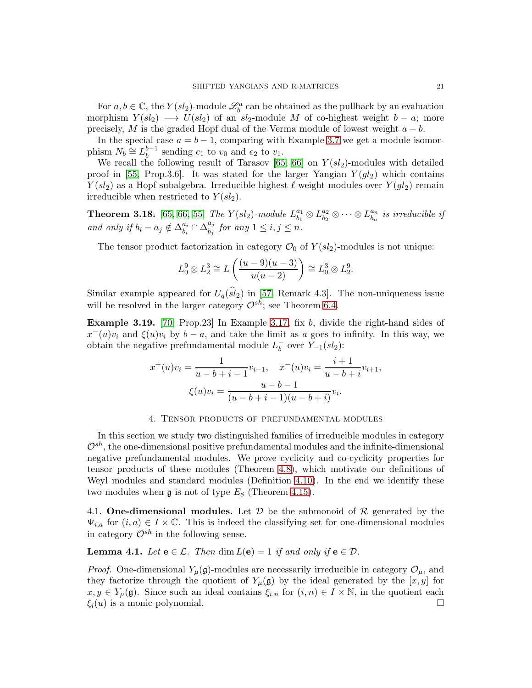For  $a, b \in \mathbb{C}$ , the  $Y(sl_2)$ -module  $\mathcal{L}_b^a$  can be obtained as the pullback by an evaluation morphism  $Y(sl_2) \longrightarrow U(sl_2)$  of an sl<sub>2</sub>-module M of co-highest weight  $b - a$ ; more precisely, M is the graded Hopf dual of the Verma module of lowest weight  $a - b$ .

In the special case  $a = b - 1$ , comparing with Example [3.7](#page-14-0) we get a module isomorphism  $N_b \cong L_b^{b-1}$  $b^{b-1}$  sending  $e_1$  to  $v_0$  and  $e_2$  to  $v_1$ .

We recall the following result of Tarasov [\[65,](#page-56-10) [66\]](#page-56-11) on  $Y(sl_2)$ -modules with detailed proof in [\[55,](#page-56-12) Prop.3.6]. It was stated for the larger Yangian  $Y(gl_2)$  which contains  $Y(sl_2)$  as a Hopf subalgebra. Irreducible highest  $\ell$ -weight modules over  $Y(gl_2)$  remain irreducible when restricted to  $Y(sl_2)$ .

<span id="page-20-1"></span>**Theorem 3.18.** [\[65,](#page-56-10) [66,](#page-56-11) [55\]](#page-56-12) The  $Y(sl_2)$ -module  $L^{a_1}_{b_1}$  $\begin{array}{c} a_1 \ b_1 \end{array} \otimes L^{a_2}_{b_2}$  $\stackrel{a_2}{b_2}\otimes\cdots\otimes L_{b_n}^{a_n}$  $\begin{array}{l} a_n \ b_n \end{array}$  is irreducible if and only if  $b_i - a_j \notin \Delta_{b_i}^{a_i}$  $\stackrel{a_i}{b_i} \cap \overline{\Delta}^{a_j}_{b_j}$  $\begin{array}{c} a_j \ b_j \end{array}$  for any  $1 \leq i, j \leq n$ .

The tensor product factorization in category  $\mathcal{O}_0$  of  $Y(sl_2)$ -modules is not unique:

$$
L_0^9 \otimes L_2^3 \cong L\left(\frac{(u-9)(u-3)}{u(u-2)}\right) \cong L_0^3 \otimes L_2^9.
$$

Similar example appeared for  $U_q(sl_2)$  in [\[57,](#page-56-8) Remark 4.3]. The non-uniqueness issue will be resolved in the larger category  $\mathcal{O}^{sh}$ ; see Theorem [6.4.](#page-40-0)

<span id="page-20-2"></span>Example 3.19. [\[70,](#page-56-2) Prop.23] In Example [3.17,](#page-19-0) fix b, divide the right-hand sides of  $x^-(u)v_i$  and  $\xi(u)v_i$  by  $b-a$ , and take the limit as a goes to infinity. In this way, we obtain the negative prefundamental module  $L_b^ \bar{b}$  over  $Y_{-1}(sl_2)$ :

$$
x^{+}(u)v_{i} = \frac{1}{u - b + i - 1}v_{i-1}, \quad x^{-}(u)v_{i} = \frac{i+1}{u - b + i}v_{i+1},
$$

$$
\xi(u)v_{i} = \frac{u - b - 1}{(u - b + i - 1)(u - b + i)}v_{i}.
$$

#### 4. Tensor products of prefundamental modules

<span id="page-20-0"></span>In this section we study two distinguished families of irreducible modules in category  $\mathcal{O}^{sh}$ , the one-dimensional positive prefundamental modules and the infinite-dimensional negative prefundamental modules. We prove cyclicity and co-cyclicity properties for tensor products of these modules (Theorem [4.8\)](#page-22-0), which motivate our definitions of Weyl modules and standard modules (Definition [4.10\)](#page-26-0). In the end we identify these two modules when  $\mathfrak g$  is not of type  $E_8$  (Theorem [4.15\)](#page-29-0).

4.1. One-dimensional modules. Let  $D$  be the submonoid of  $R$  generated by the  $\Psi_{i,a}$  for  $(i, a) \in I \times \mathbb{C}$ . This is indeed the classifying set for one-dimensional modules in category  $\mathcal{O}^{sh}$  in the following sense.

**Lemma 4.1.** Let  $e \in \mathcal{L}$ . Then  $\dim L(e) = 1$  if and only if  $e \in \mathcal{D}$ .

*Proof.* One-dimensional  $Y_\mu(\mathfrak{g})$ -modules are necessarily irreducible in category  $\mathcal{O}_\mu$ , and they factorize through the quotient of  $Y_\mu(\mathfrak{g})$  by the ideal generated by the  $[x, y]$  for  $x, y \in Y_\mu(\mathfrak{g})$ . Since such an ideal contains  $\xi_{i,n}$  for  $(i,n) \in I \times \mathbb{N}$ , in the quotient each  $\xi_i(u)$  is a monic polynomial.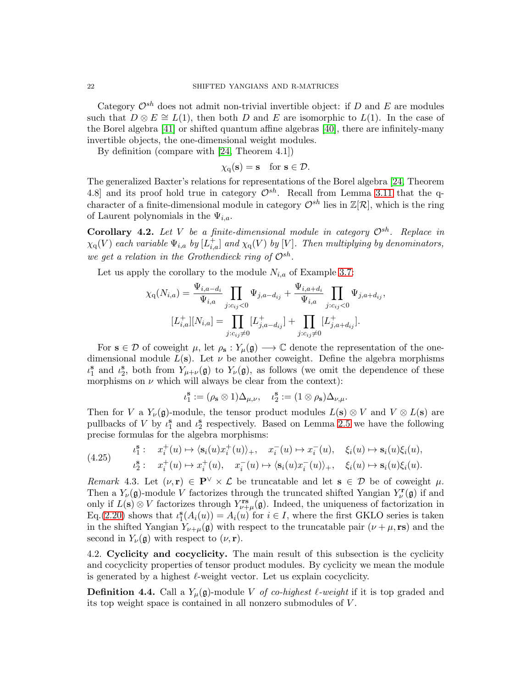Category  $\mathcal{O}^{sh}$  does not admit non-trivial invertible object: if D and E are modules such that  $D \otimes E \cong L(1)$ , then both D and E are isomorphic to  $L(1)$ . In the case of the Borel algebra [\[41\]](#page-55-4) or shifted quantum affine algebras [\[40\]](#page-55-3), there are infinitely-many invertible objects, the one-dimensional weight modules.

By definition (compare with [\[24,](#page-55-18) Theorem 4.1])

$$
\chi_{\mathbf{q}}(\mathbf{s}) = \mathbf{s} \quad \text{for } \mathbf{s} \in \mathcal{D}.
$$

The generalized Baxter's relations for representations of the Borel algebra [\[24,](#page-55-18) Theorem 4.8] and its proof hold true in category  $\mathcal{O}^{sh}$ . Recall from Lemma [3.11](#page-16-0) that the qcharacter of a finite-dimensional module in category  $\mathcal{O}^{sh}$  lies in  $\mathbb{Z}[\mathcal{R}]$ , which is the ring of Laurent polynomials in the  $\Psi_{i,a}$ .

Corollary 4.2. Let V be a finite-dimensional module in category  $\mathcal{O}^{sh}$ . Replace in  $\chi_{\rm q}(V)$  each variable  $\Psi_{i,a}$  by  $[L_{i,a}^+]$  and  $\chi_{\rm q}(V)$  by [V]. Then multiplying by denominators, we get a relation in the Grothendieck ring of  $\mathcal{O}^{sh}$ .

Let us apply the corollary to the module  $N_{i,a}$  of Example [3.7:](#page-14-0)

$$
\chi_{\mathbf{q}}(N_{i,a}) = \frac{\Psi_{i,a-d_i}}{\Psi_{i,a}} \prod_{j:c_{ij} < 0} \Psi_{j,a-d_{ij}} + \frac{\Psi_{i,a+d_i}}{\Psi_{i,a}} \prod_{j:c_{ij} < 0} \Psi_{j,a+d_{ij}},
$$
\n
$$
[L_{i,a}^+][N_{i,a}] = \prod_{j:c_{ij} \neq 0} [L_{j,a-d_{ij}}^+] + \prod_{j:c_{ij} \neq 0} [L_{j,a+d_{ij}}^+].
$$

For  $s \in \mathcal{D}$  of coweight  $\mu$ , let  $\rho_s : Y_\mu(\mathfrak{g}) \longrightarrow \mathbb{C}$  denote the representation of the onedimensional module  $L(s)$ . Let  $\nu$  be another coweight. Define the algebra morphisms  $\iota_1^{\mathbf{s}}$  and  $\iota_2^{\mathbf{s}}$ , both from  $Y_{\mu+\nu}(\mathfrak{g})$  to  $Y_{\nu}(\mathfrak{g})$ , as follows (we omit the dependence of these morphisms on  $\nu$  which will always be clear from the context):

$$
\iota_1^{\mathbf{s}}:=(\rho_{\mathbf{s}}\otimes 1)\Delta_{\mu,\nu},\quad \iota_2^{\mathbf{s}}:=(1\otimes \rho_{\mathbf{s}})\Delta_{\nu,\mu}.
$$

Then for V a  $Y_{\nu}(\mathfrak{g})$ -module, the tensor product modules  $L(s) \otimes V$  and  $V \otimes L(s)$  are pullbacks of V by  $\iota_1^s$  and  $\iota_2^s$  respectively. Based on Lemma [2.5](#page-9-0) we have the following precise formulas for the algebra morphisms:

<span id="page-21-1"></span>(4.25) 
$$
t_1^{\mathbf{s}}: \quad x_i^+(u) \mapsto \langle \mathbf{s}_i(u)x_i^+(u) \rangle_+, \quad x_i^-(u) \mapsto x_i^-(u), \quad \xi_i(u) \mapsto \mathbf{s}_i(u)\xi_i(u),
$$

$$
t_2^{\mathbf{s}}: \quad x_i^+(u) \mapsto x_i^+(u), \quad x_i^-(u) \mapsto \langle \mathbf{s}_i(u)x_i^-(u) \rangle_+, \quad \xi_i(u) \mapsto \mathbf{s}_i(u)\xi_i(u).
$$

<span id="page-21-2"></span>Remark 4.3. Let  $(\nu, r) \in \mathbf{P}^{\vee} \times \mathcal{L}$  be truncatable and let  $s \in \mathcal{D}$  be of coweight  $\mu$ . Then a  $Y_{\nu}(\mathfrak{g})$ -module V factorizes through the truncated shifted Yangian  $Y_{\nu}^{\mathbf{r}}(\mathfrak{g})$  if and only if  $L(\mathbf{s}) \otimes V$  factorizes through  $Y^{\mathbf{rs}}_{\nu+\mu}(\mathfrak{g})$ . Indeed, the uniqueness of factorization in Eq.[\(2.20\)](#page-11-0) shows that  $\iota_1^{\mathbf{s}}(A_i(u)) = A_i(u)$  for  $i \in I$ , where the first GKLO series is taken in the shifted Yangian  $Y_{\nu+\mu}(\mathfrak{g})$  with respect to the truncatable pair  $(\nu+\mu, \text{rs})$  and the second in  $Y_{\nu}(\mathfrak{g})$  with respect to  $(\nu, \mathbf{r})$ .

4.2. Cyclicity and cocyclicity. The main result of this subsection is the cyclicity and cocyclicity properties of tensor product modules. By cyclicity we mean the module is generated by a highest  $\ell$ -weight vector. Let us explain cocyclicity.

<span id="page-21-0"></span>**Definition 4.4.** Call a  $Y_\mu(\mathfrak{g})$ -module V of co-highest  $\ell$ -weight if it is top graded and its top weight space is contained in all nonzero submodules of V .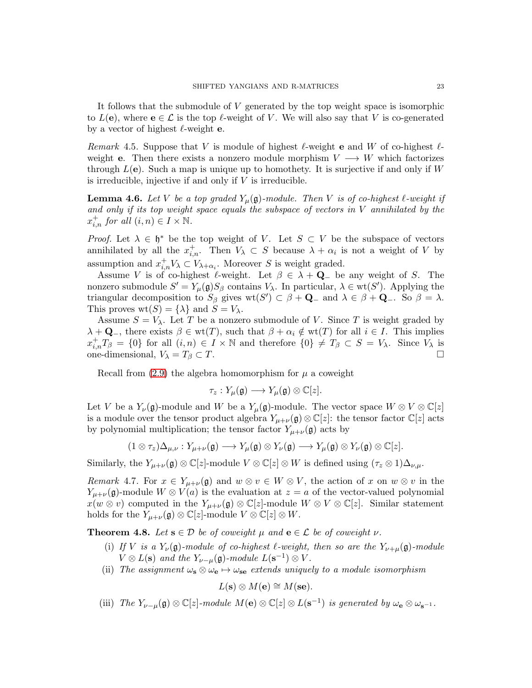It follows that the submodule of V generated by the top weight space is isomorphic to  $L(\mathbf{e})$ , where  $\mathbf{e} \in \mathcal{L}$  is the top  $\ell$ -weight of V. We will also say that V is co-generated by a vector of highest  $\ell$ -weight **e**.

<span id="page-22-3"></span>Remark 4.5. Suppose that V is module of highest  $\ell$ -weight e and W of co-highest  $\ell$ weight e. Then there exists a nonzero module morphism  $V \longrightarrow W$  which factorizes through  $L(e)$ . Such a map is unique up to homothety. It is surjective if and only if W is irreducible, injective if and only if  $V$  is irreducible.

<span id="page-22-2"></span>**Lemma 4.6.** Let V be a top graded  $Y_\mu(\mathfrak{g})$ -module. Then V is of co-highest  $\ell$ -weight if and only if its top weight space equals the subspace of vectors in V annihilated by the  $x_{i,n}^+$  for all  $(i, n) \in I \times \mathbb{N}$ .

*Proof.* Let  $\lambda \in \mathfrak{h}^*$  be the top weight of V. Let  $S \subset V$  be the subspace of vectors annihilated by all the  $x_{i,n}^+$ . Then  $V_\lambda \subset S$  because  $\lambda + \alpha_i$  is not a weight of V by assumption and  $x_{i,n}^+ V_\lambda \subset V_{\lambda+\alpha_i}$ . Moreover S is weight graded.

Assume V is of co-highest  $\ell$ -weight. Let  $\beta \in \lambda + \mathbf{Q}_-$  be any weight of S. The nonzero submodule  $S' = Y_{\mu}(\mathfrak{g})S_{\beta}$  contains  $V_{\lambda}$ . In particular,  $\lambda \in \text{wt}(S')$ . Applying the triangular decomposition to  $S_\beta$  gives  $\text{wt}(S') \subset \beta + \mathbf{Q}_-$  and  $\lambda \in \beta + \mathbf{Q}_-$ . So  $\beta = \lambda$ . This proves  $\text{wt}(S) = \{\lambda\}$  and  $S = V_{\lambda}$ .

Assume  $S = V_{\lambda}$ . Let T be a nonzero submodule of V. Since T is weight graded by  $\lambda + \mathbf{Q}_-$ , there exists  $\beta \in \text{wt}(T)$ , such that  $\beta + \alpha_i \notin \text{wt}(T)$  for all  $i \in I$ . This implies  $x_{i,n}^+T_\beta = \{0\}$  for all  $(i,n) \in I \times \mathbb{N}$  and therefore  $\{0\} \neq T_\beta \subset S = V_\lambda$ . Since  $V_\lambda$  is one-dimensional,  $V_{\lambda} = T_{\beta} \subset T$ .

Recall from  $(2.9)$  the algebra homomorphism for  $\mu$  a coweight

$$
\tau_z: Y_\mu(\mathfrak{g}) \longrightarrow Y_\mu(\mathfrak{g}) \otimes \mathbb{C}[z].
$$

Let V be a  $Y_{\nu}(\mathfrak{g})$ -module and W be a  $Y_{\mu}(\mathfrak{g})$ -module. The vector space  $W \otimes V \otimes \mathbb{C}[z]$ is a module over the tensor product algebra  $Y_{\mu+\nu}(\mathfrak{g})\otimes\mathbb{C}[z]$ : the tensor factor  $\mathbb{C}[z]$  acts by polynomial multiplication; the tensor factor  $Y_{\mu+\nu}(\mathfrak{g})$  acts by

$$
(1\otimes \tau_z)\Delta_{\mu,\nu}: Y_{\mu+\nu}(\mathfrak{g})\longrightarrow Y_\mu(\mathfrak{g})\otimes Y_\nu(\mathfrak{g})\longrightarrow Y_\mu(\mathfrak{g})\otimes Y_\nu(\mathfrak{g})\otimes \mathbb{C}[z].
$$

Similarly, the  $Y_{\mu+\nu}(\mathfrak{g})\otimes \mathbb{C}[z]$ -module  $V\otimes \mathbb{C}[z]\otimes W$  is defined using  $(\tau_z\otimes 1)\Delta_{\nu,\mu}$ .

<span id="page-22-1"></span>Remark 4.7. For  $x \in Y_{\mu+\nu}(\mathfrak{g})$  and  $w \otimes v \in W \otimes V$ , the action of x on  $w \otimes v$  in the  $Y_{\mu+\nu}(\mathfrak{g})$ -module  $W \otimes V(a)$  is the evaluation at  $z = a$  of the vector-valued polynomial  $x(w \otimes v)$  computed in the  $Y_{\mu+\nu}(\mathfrak{g}) \otimes \mathbb{C}[z]$ -module  $W \otimes V \otimes \mathbb{C}[z]$ . Similar statement holds for the  $Y_{\mu+\nu}(\mathfrak{g})\otimes \mathbb{C}[z]$ -module  $V\otimes \mathbb{C}[z]\otimes W$ .

<span id="page-22-0"></span>**Theorem 4.8.** Let  $s \in \mathcal{D}$  be of coweight  $\mu$  and  $e \in \mathcal{L}$  be of coweight  $\nu$ .

- (i) If V is a  $Y_{\nu}(\mathfrak{g})$ -module of co-highest  $\ell$ -weight, then so are the  $Y_{\nu+\mu}(\mathfrak{g})$ -module  $V \otimes L(\mathbf{s})$  and the  $Y_{\nu-\mu}(\mathfrak{g})$ -module  $L(\mathbf{s}^{-1}) \otimes V$ .
- (ii) The assignment  $\omega_{\mathbf{s}} \otimes \omega_{\mathbf{e}} \mapsto \omega_{\mathbf{se}}$  extends uniquely to a module isomorphism

 $L(\mathbf{s}) \otimes M(\mathbf{e}) \cong M(\mathbf{se}).$ 

(iii) The  $Y_{\nu-\mu}(\mathfrak{g})\otimes\mathbb{C}[z]$ -module  $M(\mathbf{e})\otimes\mathbb{C}[z]\otimes L(\mathbf{s}^{-1})$  is generated by  $\omega_{\mathbf{e}}\otimes\omega_{\mathbf{s}^{-1}}$ .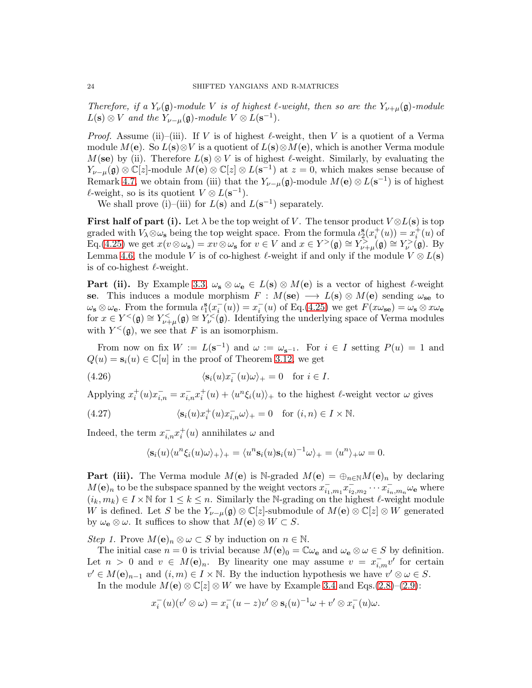Therefore, if a  $Y_{\nu}(\mathfrak{g})$ -module V is of highest  $\ell$ -weight, then so are the  $Y_{\nu+\mu}(\mathfrak{g})$ -module  $L(\mathbf{s}) \otimes V$  and the  $Y_{\nu-\mu}(\mathfrak{g})$ -module  $V \otimes L(\mathbf{s}^{-1})$ .

*Proof.* Assume (ii)–(iii). If V is of highest  $\ell$ -weight, then V is a quotient of a Verma module M(e). So  $L(s) \otimes V$  is a quotient of  $L(s) \otimes M(e)$ , which is another Verma module  $M(\mathbf{se})$  by (ii). Therefore  $L(\mathbf{s}) \otimes V$  is of highest  $\ell$ -weight. Similarly, by evaluating the  $Y_{\nu-\mu}(\mathfrak{g})\otimes\mathbb{C}[z]$ -module  $M(\mathbf{e})\otimes\mathbb{C}[z]\otimes L(\mathbf{s}^{-1})$  at  $z=0$ , which makes sense because of Remark [4.7,](#page-22-1) we obtain from (iii) that the  $Y_{\nu-\mu}(\mathfrak{g})$ -module  $M(\mathbf{e}) \otimes L(\mathbf{s}^{-1})$  is of highest  $\ell$ -weight, so is its quotient  $V \otimes L(\mathbf{s}^{-1})$ .

We shall prove (i)–(iii) for  $L(s)$  and  $L(s^{-1})$  separately.

**First half of part (i).** Let  $\lambda$  be the top weight of V. The tensor product  $V \otimes L(s)$  is top graded with  $V_\lambda \otimes \omega_s$  being the top weight space. From the formula  $\iota_2^s(x_i^+(u)) = x_i^+(u)$  of  $\mathrm{Eq.}(4.25)$  $\mathrm{Eq.}(4.25)$  we get  $x(v \otimes \omega_s) = xv \otimes \omega_s$  for  $v \in V$  and  $x \in Y^>(\mathfrak{g}) \cong Y^{\geq}_{\nu+\mu}(\mathfrak{g}) \cong Y^{\geq}_{\nu}(\mathfrak{g})$ . By Lemma [4.6,](#page-22-2) the module V is of co-highest  $\ell$ -weight if and only if the module  $V \otimes L(\mathbf{s})$ is of co-highest  $\ell$ -weight.

**Part (ii).** By Example [3.3,](#page-13-0)  $\omega_{\mathbf{s}} \otimes \omega_{\mathbf{e}} \in L(\mathbf{s}) \otimes M(\mathbf{e})$  is a vector of highest  $\ell$ -weight se. This induces a module morphism  $F : M(\mathbf{se}) \longrightarrow L(\mathbf{s}) \otimes M(\mathbf{e})$  sending  $\omega_{\mathbf{se}}$  to  $\omega_{s} \otimes \omega_{e}$ . From the formula  $\iota_{1}^{s}(x_{i}^{-}(u)) = x_{i}^{-}(u)$  of Eq.[\(4.25\)](#page-21-1) we get  $F(x\omega_{se}) = \omega_{s} \otimes x\omega_{e}$ for  $x \in Y^{\lt}(\mathfrak{g}) \cong Y^{\lt}_{\nu+\mu}(\mathfrak{g}) \cong Y^{\lt}_{\nu}(\mathfrak{g})$ . Identifying the underlying space of Verma modules with  $Y^<(\mathfrak{g})$ , we see that F is an isomorphism.

From now on fix  $W := L(s^{-1})$  and  $\omega := \omega_{s^{-1}}$ . For  $i \in I$  setting  $P(u) = 1$  and  $Q(u) = \mathbf{s}_i(u) \in \mathbb{C}[u]$  in the proof of Theorem [3.12,](#page-16-1) we get

(4.26) 
$$
\langle \mathbf{s}_i(u)x_i^{-}(u)\omega \rangle_+ = 0 \text{ for } i \in I.
$$

Applying  $x_i^+(u)x_{i,n}^- = x_{i,n}^-x_i^+(u) + \langle u^n \xi_i(u) \rangle_+$  to the highest  $\ell$ -weight vector  $\omega$  gives

(4.27) 
$$
\langle \mathbf{s}_i(u)x_i^+(u)x_{i,n}^- \omega \rangle_+ = 0 \text{ for } (i,n) \in I \times \mathbb{N}.
$$

Indeed, the term  $x_{i,n}^- x_i^+(u)$  annihilates  $\omega$  and

<span id="page-23-1"></span><span id="page-23-0"></span>
$$
\langle \mathbf{s}_i(u)\langle u^n \xi_i(u)\omega \rangle_+\rangle_+ = \langle u^n \mathbf{s}_i(u)\mathbf{s}_i(u)^{-1}\omega \rangle_+ = \langle u^n \rangle_+\omega = 0.
$$

**Part (iii).** The Verma module  $M(\mathbf{e})$  is N-graded  $M(\mathbf{e}) = \bigoplus_{n \in \mathbb{N}} M(\mathbf{e})_n$  by declaring  $M(\mathbf{e})_n$  to be the subspace spanned by the weight vectors  $x_{i_1,m_1}^-, x_{i_2,m_2}^-, \cdots x_{i_n,m_n}^-, \omega_\mathbf{e}$  where  $(i_k, m_k) \in I \times \mathbb{N}$  for  $1 \leq k \leq n$ . Similarly the N-grading on the highest  $\ell$ -weight module W is defined. Let S be the  $Y_{\nu-\mu}(\mathfrak{g})\otimes \mathbb{C}[z]$ -submodule of  $M(\mathbf{e})\otimes \mathbb{C}[z]\otimes W$  generated by  $\omega_{\mathbf{e}} \otimes \omega$ . It suffices to show that  $M(\mathbf{e}) \otimes W \subset S$ .

Step 1. Prove  $M(\mathbf{e})_n \otimes \omega \subset S$  by induction on  $n \in \mathbb{N}$ .

The initial case  $n = 0$  is trivial because  $M(\mathbf{e})_0 = \mathbb{C}\omega_\mathbf{e}$  and  $\omega_\mathbf{e} \otimes \omega \in S$  by definition. Let  $n > 0$  and  $v \in M(e)_n$ . By linearity one may assume  $v = x_{i,m}^- v'$  for certain  $v' \in M(\mathbf{e})_{n-1}$  and  $(i,m) \in I \times \mathbb{N}$ . By the induction hypothesis we have  $v' \otimes \omega \in S$ .

In the module  $M(e) \otimes \mathbb{C}[z] \otimes W$  we have by Example [3.4](#page-13-1) and Eqs.[\(2.8\)](#page-6-3)–[\(2.9\)](#page-6-5):

$$
x_i^-(u)(v'\otimes\omega)=x_i^-(u-z)v'\otimes \mathbf{s}_i(u)^{-1}\omega+v'\otimes x_i^-(u)\omega.
$$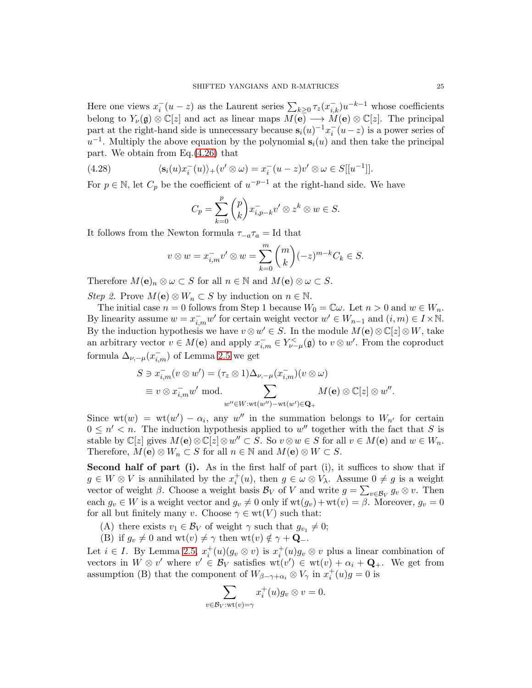Here one views  $x_i^-(u-z)$  as the Laurent series  $\sum_{k\geq 0} \tau_z(x_{i,k}^-) u^{-k-1}$  whose coefficients belong to  $Y_{\nu}(\mathfrak{g}) \otimes \mathbb{C}[z]$  and act as linear maps  $M(\mathbf{e}) \longrightarrow M(\mathbf{e}) \otimes \mathbb{C}[z]$ . The principal part at the right-hand side is unnecessary because  $s_i(u)^{-1}x_i^-(u-z)$  is a power series of  $u^{-1}$ . Multiply the above equation by the polynomial  $s_i(u)$  and then take the principal part. We obtain from Eq.[\(4.26\)](#page-23-0) that

(4.28) 
$$
\langle \mathbf{s}_i(u)x_i^-(u)\rangle_+(v'\otimes\omega)=x_i^-(u-z)v'\otimes\omega\in S[[u^{-1}]].
$$

For  $p \in \mathbb{N}$ , let  $C_p$  be the coefficient of  $u^{-p-1}$  at the right-hand side. We have

<span id="page-24-0"></span>
$$
C_p = \sum_{k=0}^p {p \choose k} x_{i,p-k}^- v' \otimes z^k \otimes w \in S.
$$

It follows from the Newton formula  $\tau_{-a}\tau_a = \text{Id}$  that

$$
v \otimes w = x_{i,m}^- v' \otimes w = \sum_{k=0}^m \binom{m}{k} (-z)^{m-k} C_k \in S.
$$

Therefore  $M(\mathbf{e})_n \otimes \omega \subset S$  for all  $n \in \mathbb{N}$  and  $M(\mathbf{e}) \otimes \omega \subset S$ .

Step 2. Prove  $M(\mathbf{e}) \otimes W_n \subset S$  by induction on  $n \in \mathbb{N}$ .

The initial case  $n = 0$  follows from Step 1 because  $W_0 = \mathbb{C}\omega$ . Let  $n > 0$  and  $w \in W_n$ . By linearity assume  $w = x_{i,m}^- w'$  for certain weight vector  $w' \in W_{n-1}$  and  $(i, m) \in I \times \mathbb{N}$ . By the induction hypothesis we have  $v \otimes w' \in S$ . In the module  $M(\mathbf{e}) \otimes \mathbb{C}[z] \otimes W$ , take an arbitrary vector  $v \in M(e)$  and apply  $x_{i,m}^- \in Y_{\nu-\mu}^{\lt}(\mathfrak{g})$  to  $v \otimes w'$ . From the coproduct formula  $\Delta_{\nu,-\mu}(x_{i,m}^-)$  of Lemma [2.5](#page-9-0) we get

$$
S \ni x_{i,m}^-(v \otimes w') = (\tau_z \otimes 1)\Delta_{\nu,-\mu}(x_{i,m}^-)(v \otimes \omega)
$$
  
\n
$$
\equiv v \otimes x_{i,m}^-w' \text{ mod.}
$$
  
\n
$$
\sum_{w'' \in W:\text{wt}(w'')-\text{wt}(w') \in \mathbf{Q}_+} M(\mathbf{e}) \otimes \mathbb{C}[z] \otimes w''.
$$

Since  $wt(w) = wt(w') - \alpha_i$ , any w'' in the summation belongs to  $W_{n'}$  for certain  $0 \leq n' < n$ . The induction hypothesis applied to w'' together with the fact that S is stable by  $\mathbb{C}[z]$  gives  $M(\mathbf{e}) \otimes \mathbb{C}[z] \otimes w'' \subset S$ . So  $v \otimes w \in S$  for all  $v \in M(\mathbf{e})$  and  $w \in W_n$ . Therefore,  $M(\mathbf{e}) \otimes W_n \subset S$  for all  $n \in \mathbb{N}$  and  $M(\mathbf{e}) \otimes W \subset S$ .

Second half of part (i). As in the first half of part (i), it suffices to show that if  $g \in W \otimes V$  is annihilated by the  $x_i^+(u)$ , then  $g \in \omega \otimes V_\lambda$ . Assume  $0 \neq g$  is a weight vector of weight  $\beta$ . Choose a weight basis  $\mathcal{B}_V$  of V and write  $g = \sum_{v \in \mathcal{B}_V} g_v \otimes v$ . Then each  $g_v \in W$  is a weight vector and  $g_v \neq 0$  only if  $wt(g_v)+wt(v) = \beta$ . Moreover,  $g_v = 0$ for all but finitely many v. Choose  $\gamma \in \text{wt}(V)$  such that:

- (A) there exists  $v_1 \in \mathcal{B}_V$  of weight  $\gamma$  such that  $g_{v_1} \neq 0$ ;
- (B) if  $g_v \neq 0$  and wt $(v) \neq \gamma$  then wt $(v) \notin \gamma + \mathbf{Q}_-.$

Let  $i \in I$ . By Lemma [2.5,](#page-9-0)  $x_i^+(u)(g_v \otimes v)$  is  $x_i^+(u)g_v \otimes v$  plus a linear combination of vectors in  $W \otimes v'$  where  $v' \in \mathcal{B}_V$  satisfies  $wt(v') \in wt(v) + \alpha_i + Q_+$ . We get from assumption (B) that the component of  $W_{\beta-\gamma+\alpha_i} \otimes V_{\gamma}$  in  $x_i^+(u)g = 0$  is

$$
\sum_{v \in \mathcal{B}_V: \text{wt}(v) = \gamma} x_i^+(u) g_v \otimes v = 0.
$$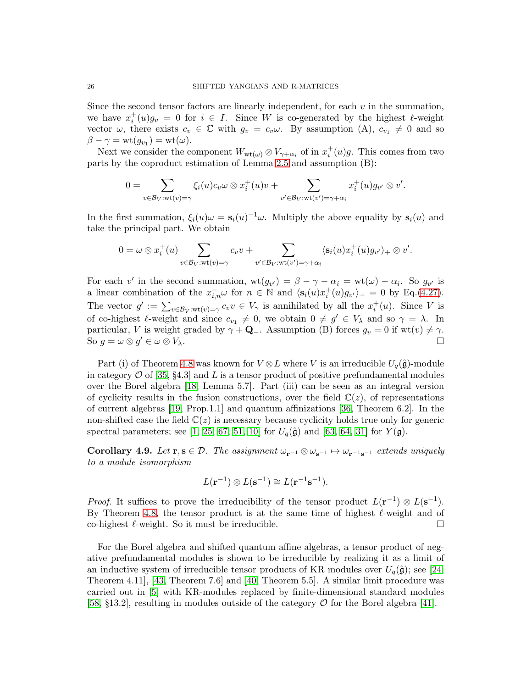Since the second tensor factors are linearly independent, for each  $v$  in the summation, we have  $x_i^+(u)g_v = 0$  for  $i \in I$ . Since W is co-generated by the highest  $\ell$ -weight vector  $\omega$ , there exists  $c_v \in \mathbb{C}$  with  $g_v = c_v \omega$ . By assumption (A),  $c_{v_1} \neq 0$  and so  $\beta - \gamma = \operatorname{wt}(g_{v_1}) = \operatorname{wt}(\omega).$ 

Next we consider the component  $W_{wt(\omega)} \otimes V_{\gamma+\alpha_i}$  of in  $x_i^+(u)g$ . This comes from two parts by the coproduct estimation of Lemma [2.5](#page-9-0) and assumption (B):

$$
0 = \sum_{v \in \mathcal{B}_V: \mathrm{wt}(v) = \gamma} \xi_i(u)c_v \omega \otimes x_i^+(u)v + \sum_{v' \in \mathcal{B}_V: \mathrm{wt}(v') = \gamma + \alpha_i} x_i^+(u)g_{v'} \otimes v'.
$$

In the first summation,  $\xi_i(u)\omega = \mathbf{s}_i(u)^{-1}\omega$ . Multiply the above equality by  $\mathbf{s}_i(u)$  and take the principal part. We obtain

$$
0 = \omega \otimes x_i^+(u) \sum_{v \in \mathcal{B}_V : \text{wt}(v) = \gamma} c_v v + \sum_{v' \in \mathcal{B}_V : \text{wt}(v') = \gamma + \alpha_i} \langle s_i(u) x_i^+(u) g_{v'} \rangle_+ \otimes v'.
$$

For each v' in the second summation,  $\text{wt}(g_{v}) = \beta - \gamma - \alpha_i = \text{wt}(\omega) - \alpha_i$ . So  $g_{v'}$  is a linear combination of the  $x_{i,n}^- \omega$  for  $n \in \mathbb{N}$  and  $\langle s_i(u)x_i^+(u)g_{v'} \rangle_+ = 0$  by Eq.[\(4.27\)](#page-23-1). The vector  $g' := \sum_{v \in \mathcal{B}_V : \text{wt}(v) = \gamma} c_v v \in V_\gamma$  is annihilated by all the  $x_i^+(u)$ . Since V is of co-highest  $\ell$ -weight and since  $c_{v_1} \neq 0$ , we obtain  $0 \neq g' \in V_\lambda$  and so  $\gamma = \lambda$ . In particular, V is weight graded by  $\gamma + \mathbf{Q}$ -. Assumption (B) forces  $g_v = 0$  if wt $(v) \neq \gamma$ . So  $q = \omega \otimes q' \in \omega \otimes V_{\lambda}$ .  $\mathcal{V} \in \omega \otimes V_{\lambda}.$ 

Part (i) of Theorem [4.8](#page-22-0) was known for  $V \otimes L$  where V is an irreducible  $U_q(\hat{\mathfrak{g}})$ -module in category  $\mathcal{O}$  of [\[35,](#page-55-25) §4.3] and L is a tensor product of positive prefundamental modules over the Borel algebra [\[18,](#page-54-10) Lemma 5.7]. Part (iii) can be seen as an integral version of cyclicity results in the fusion constructions, over the field  $\mathbb{C}(z)$ , of representations of current algebras [\[19,](#page-54-13) Prop.1.1] and quantum affinizations [\[36,](#page-55-23) Theorem 6.2]. In the non-shifted case the field  $\mathbb{C}(z)$  is necessary because cyclicity holds true only for generic spectral parameters; see [\[1,](#page-54-6) [25,](#page-55-5) [67,](#page-56-13) [51,](#page-56-3) [10\]](#page-54-14) for  $U_q(\hat{\mathfrak{g}})$  and [\[63,](#page-56-6) [64,](#page-56-7) [31\]](#page-55-15) for  $Y(\mathfrak{g})$ .

<span id="page-25-0"></span>Corollary 4.9. Let  $r, s \in \mathcal{D}$ . The assignment  $\omega_{r^{-1}} \otimes \omega_{s^{-1}} \mapsto \omega_{r^{-1}s^{-1}}$  extends uniquely to a module isomorphism

$$
L({\bf r}^{-1})\otimes L({\bf s}^{-1})\cong L({\bf r}^{-1}{\bf s}^{-1}).
$$

*Proof.* It suffices to prove the irreducibility of the tensor product  $L(\mathbf{r}^{-1}) \otimes L(\mathbf{s}^{-1})$ . By Theorem [4.8,](#page-22-0) the tensor product is at the same time of highest  $\ell$ -weight and of co-highest  $\ell$ -weight. So it must be irreducible.

For the Borel algebra and shifted quantum affine algebras, a tensor product of negative prefundamental modules is shown to be irreducible by realizing it as a limit of an inductive system of irreducible tensor products of KR modules over  $U_q(\hat{\mathfrak{g}})$ ; see [\[24,](#page-55-18) Theorem 4.11], [\[43,](#page-55-19) Theorem 7.6] and [\[40,](#page-55-3) Theorem 5.5]. A similar limit procedure was carried out in [\[5\]](#page-54-15) with KR-modules replaced by finite-dimensional standard modules [\[58,](#page-56-14) §13.2], resulting in modules outside of the category  $\mathcal O$  for the Borel algebra [\[41\]](#page-55-4).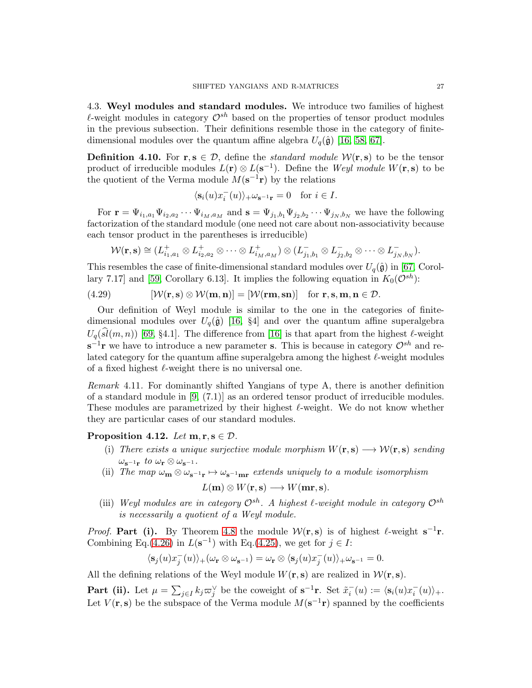4.3. Weyl modules and standard modules. We introduce two families of highest  $\ell$ -weight modules in category  $\mathcal{O}^{sh}$  based on the properties of tensor product modules in the previous subsection. Their definitions resemble those in the category of finitedimensional modules over the quantum affine algebra  $U_q(\hat{\mathfrak{g}})$  [\[16,](#page-54-16) [58,](#page-56-14) [67\]](#page-56-13).

<span id="page-26-0"></span>**Definition 4.10.** For  $\mathbf{r}, \mathbf{s} \in \mathcal{D}$ , define the *standard module*  $\mathcal{W}(\mathbf{r}, \mathbf{s})$  to be the tensor product of irreducible modules  $L(\mathbf{r}) \otimes L(\mathbf{s}^{-1})$ . Define the Weyl module  $W(\mathbf{r}, \mathbf{s})$  to be the quotient of the Verma module  $M(\mathbf{s}^{-1}\mathbf{r})$  by the relations

$$
\langle \mathbf{s}_i(u)x_i^-(u)\rangle_+\omega_{\mathbf{s}^{-1}\mathbf{r}}=0\quad\text{for }i\in I.
$$

For  $\mathbf{r} = \Psi_{i_1, a_1} \Psi_{i_2, a_2} \cdots \Psi_{i_M, a_M}$  and  $\mathbf{s} = \Psi_{j_1, b_1} \Psi_{j_2, b_2} \cdots \Psi_{j_N, b_N}$  we have the following factorization of the standard module (one need not care about non-associativity because each tensor product in the parentheses is irreducible)

<span id="page-26-2"></span>
$$
\mathcal{W}(\mathbf{r},\mathbf{s}) \cong (L_{i_1,a_1}^+ \otimes L_{i_2,a_2}^+ \otimes \cdots \otimes L_{i_M,a_M}^+) \otimes (L_{j_1,b_1}^- \otimes L_{j_2,b_2}^- \otimes \cdots \otimes L_{j_N,b_N}^-).
$$

This resembles the case of finite-dimensional standard modules over  $U_q(\hat{\mathfrak{g}})$  in [\[67,](#page-56-13) Corol-lary 7.17] and [\[59,](#page-56-15) Corollary 6.13]. It implies the following equation in  $K_0(\mathcal{O}^{sh})$ :

(4.29) 
$$
[\mathcal{W}(\mathbf{r}, \mathbf{s}) \otimes \mathcal{W}(\mathbf{m}, \mathbf{n})] = [\mathcal{W}(\mathbf{r}\mathbf{m}, \mathbf{s}\mathbf{n})] \text{ for } \mathbf{r}, \mathbf{s}, \mathbf{m}, \mathbf{n} \in \mathcal{D}.
$$

Our definition of Weyl module is similar to the one in the categories of finitedimensional modules over  $U_q(\hat{\mathfrak{g}})$  [\[16,](#page-54-16) §4] and over the quantum affine superalgebra  $U_q(\widehat{sl}(m, n))$  [\[69,](#page-56-16) §4.1]. The difference from [\[16\]](#page-54-16) is that apart from the highest  $\ell$ -weight  $\mathbf{s}^{-1}\mathbf{r}$  we have to introduce a new parameter **s**. This is because in category  $\mathcal{O}^{sh}$  and related category for the quantum affine superalgebra among the highest  $\ell$ -weight modules of a fixed highest  $\ell$ -weight there is no universal one.

Remark 4.11. For dominantly shifted Yangians of type A, there is another definition of a standard module in [\[9,](#page-54-1) (7.1)] as an ordered tensor product of irreducible modules. These modules are parametrized by their highest  $\ell$ -weight. We do not know whether they are particular cases of our standard modules.

## <span id="page-26-1"></span>Proposition 4.12. Let  $m, r, s \in \mathcal{D}$ .

- (i) There exists a unique surjective module morphism  $W(\mathbf{r}, \mathbf{s}) \longrightarrow \mathcal{W}(\mathbf{r}, \mathbf{s})$  sending  $\omega_{\mathbf{s}^{-1}\mathbf{r}}$  to  $\omega_{\mathbf{r}} \otimes \omega_{\mathbf{s}^{-1}}$ .
- (ii) The map  $\omega_{m} \otimes \omega_{s^{-1}r} \mapsto \omega_{s^{-1}mr}$  extends uniquely to a module isomorphism

$$
L(\mathbf{m}) \otimes W(\mathbf{r}, \mathbf{s}) \longrightarrow W(\mathbf{m}\mathbf{r}, \mathbf{s}).
$$

(iii) Weyl modules are in category  $\mathcal{O}^{sh}$ . A highest  $\ell$ -weight module in category  $\mathcal{O}^{sh}$ is necessarily a quotient of a Weyl module.

*Proof.* Part (i). By Theorem [4.8](#page-22-0) the module  $W(r, s)$  is of highest  $\ell$ -weight  $s^{-1}r$ . Combining Eq.[\(4.26\)](#page-23-0) in  $L(s^{-1})$  with Eq.[\(4.25\)](#page-21-1), we get for  $j \in I$ :

$$
\langle \mathbf{s}_j(u) x_j^-(u) \rangle_+(\omega_\mathbf{r} \otimes \omega_{\mathbf{s}^{-1}}) = \omega_\mathbf{r} \otimes \langle \mathbf{s}_j(u) x_j^-(u) \rangle_+ \omega_{\mathbf{s}^{-1}} = 0.
$$

All the defining relations of the Weyl module  $W(\mathbf{r}, \mathbf{s})$  are realized in  $W(\mathbf{r}, \mathbf{s})$ .

**Part (ii).** Let  $\mu = \sum_{j \in I} k_j \varpi_j^{\vee}$  be the coweight of  $\mathbf{s}^{-1}\mathbf{r}$ . Set  $\tilde{x}_i^-(u) := \langle \mathbf{s}_i(u)x_i^-(u) \rangle_+$ . Let  $V(\mathbf{r}, \mathbf{s})$  be the subspace of the Verma module  $M(\mathbf{s}^{-1}\mathbf{r})$  spanned by the coefficients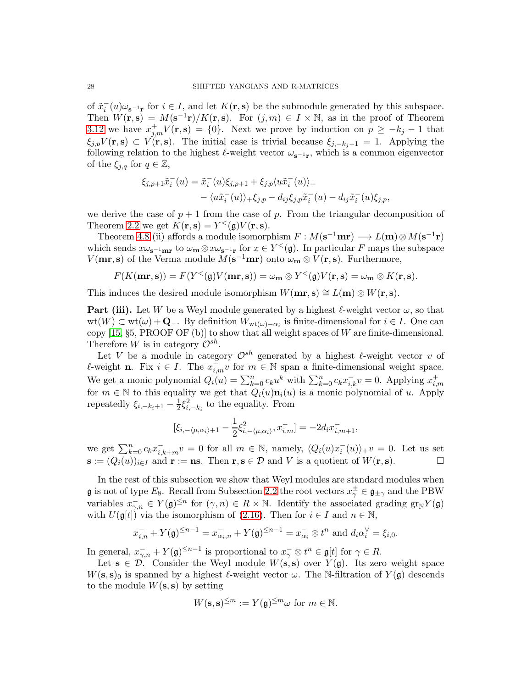of  $\tilde{x}_i^-(u)\omega_{\mathbf{s}^{-1}\mathbf{r}}$  for  $i \in I$ , and let  $K(\mathbf{r}, \mathbf{s})$  be the submodule generated by this subspace. Then  $W(\mathbf{r}, \mathbf{s}) = M(\mathbf{s}^{-1}\mathbf{r})/K(\mathbf{r}, \mathbf{s})$ . For  $(j, m) \in I \times \mathbb{N}$ , as in the proof of Theorem [3.12](#page-16-1) we have  $x_{j,m}^+V(\mathbf{r},\mathbf{s}) = \{0\}$ . Next we prove by induction on  $p \geq -k_j - 1$  that  $\xi_{j,p}V(\mathbf{r},\mathbf{s})\subset V(\mathbf{r},\mathbf{s})$ . The initial case is trivial because  $\xi_{j,-k,j-1}=1$ . Applying the following relation to the highest  $\ell$ -weight vector  $\omega_{s^{-1}r}$ , which is a common eigenvector of the  $\xi_{j,q}$  for  $q \in \mathbb{Z}$ ,

$$
\xi_{j,p+1}\tilde{x}_i^-(u) = \tilde{x}_i^-(u)\xi_{j,p+1} + \xi_{j,p}\langle u\tilde{x}_i^-(u)\rangle_+ - \langle u\tilde{x}_i^-(u)\rangle_+ \xi_{j,p} - d_{ij}\xi_{j,p}\tilde{x}_i^-(u) - d_{ij}\tilde{x}_i^-(u)\xi_{j,p},
$$

we derive the case of  $p + 1$  from the case of p. From the triangular decomposition of Theorem [2.2](#page-6-4) we get  $K(\mathbf{r}, \mathbf{s}) = Y^{\lt}(\mathfrak{g}) V(\mathbf{r}, \mathbf{s}).$ 

Theorem [4.8](#page-22-0) (ii) affords a module isomorphism  $F : M(\mathbf{s}^{-1}\mathbf{m}\mathbf{r}) \longrightarrow L(\mathbf{m}) \otimes M(\mathbf{s}^{-1}\mathbf{r})$ which sends  $x\omega_{s^{-1}m\mathbf{r}}$  to  $\omega_{\mathbf{m}} \otimes x\omega_{s^{-1}\mathbf{r}}$  for  $x \in Y^{\leq}(\mathfrak{g})$ . In particular F maps the subspace  $V(m\mathbf{r}, \mathbf{s})$  of the Verma module  $M(\mathbf{s}^{-1}\mathbf{m}\mathbf{r})$  onto  $\omega_{\mathbf{m}} \otimes V(\mathbf{r}, \mathbf{s})$ . Furthermore,

$$
F(K(\mathbf{mr}, \mathbf{s})) = F(Y^{\leq}(\mathfrak{g})V(\mathbf{mr}, \mathbf{s})) = \omega_{\mathbf{m}} \otimes Y^{\leq}(\mathfrak{g})V(\mathbf{r}, \mathbf{s}) = \omega_{\mathbf{m}} \otimes K(\mathbf{r}, \mathbf{s}).
$$

This induces the desired module isomorphism  $W(\mathbf{mr}, \mathbf{s}) \cong L(\mathbf{m}) \otimes W(\mathbf{r}, \mathbf{s}).$ 

**Part (iii).** Let W be a Weyl module generated by a highest  $\ell$ -weight vector  $\omega$ , so that  $wt(W) \subset wt(\omega) + \mathbf{Q}_-$ . By definition  $W_{wt(\omega) - \alpha_i}$  is finite-dimensional for  $i \in I$ . One can copy  $[15, §5, PROOF OF (b)]$  to show that all weight spaces of W are finite-dimensional. Therefore W is in category  $\mathcal{O}^{sh}$ .

Let V be a module in category  $\mathcal{O}^{sh}$  generated by a highest  $\ell$ -weight vector v of  $ℓ$ -weight **n**. Fix  $i \in I$ . The  $x_{i,m}^- v$  for  $m \in \mathbb{N}$  span a finite-dimensional weight space. We get a monic polynomial  $Q_i(u) = \sum_{k=0}^n c_k u^k$  with  $\sum_{k=0}^n c_k x_{i,k}^- v = 0$ . Applying  $x_{i,m}^+$ for  $m \in \mathbb{N}$  to this equality we get that  $Q_i(u)\mathbf{n}_i(u)$  is a monic polynomial of u. Apply repeatedly  $\xi_{i,-k_i+1} - \frac{1}{2}$  $\frac{1}{2}\xi_{i,-k_i}^2$  to the equality. From

$$
[\xi_{i,-\langle\mu,\alpha_i\rangle+1} - \frac{1}{2}\xi_{i,-\langle\mu,\alpha_i\rangle}^2, x_{i,m}^-] = -2d_i x_{i,m+1}^-,
$$

we get  $\sum_{k=0}^{n} c_k x_{i,k+m}^- v = 0$  for all  $m \in \mathbb{N}$ , namely,  $\langle Q_i(u)x_i^-(u) \rangle_+ v = 0$ . Let us set  $\mathbf{s} := (Q_i(u))_{i \in I}$  and  $\mathbf{r} := \mathbf{n} \mathbf{s}$ . Then  $\mathbf{r}, \mathbf{s} \in \mathcal{D}$  and V is a quotient of  $W(\mathbf{r}, \mathbf{s})$ .

In the rest of this subsection we show that Weyl modules are standard modules when **g** is not of type  $E_8$ . Recall from Subsection [2.2](#page-7-4) the root vectors  $x_{\gamma}^{\pm} \in \mathfrak{g}_{\pm \gamma}$  and the PBW variables  $x_{\gamma,n}^- \in Y(\mathfrak{g})^{\leq n}$  for  $(\gamma,n) \in R \times \mathbb{N}$ . Identify the associated grading  $\text{gr}_{\mathbb{N}}Y(\mathfrak{g})$ with  $U(\mathfrak{g}[t])$  via the isomorphism of [\(2.16\)](#page-8-0). Then for  $i \in I$  and  $n \in \mathbb{N}$ ,

$$
x_{i,n}^- + Y(\mathfrak{g})^{\leq n-1} = x_{\alpha_i,n}^- + Y(\mathfrak{g})^{\leq n-1} = x_{\alpha_i}^- \otimes t^n \text{ and } d_i \alpha_i^{\vee} = \xi_{i,0}.
$$

In general,  $x_{\gamma,n}^- + Y(\mathfrak{g})^{\leq n-1}$  is proportional to  $x_{\gamma}^- \otimes t^n \in \mathfrak{g}[t]$  for  $\gamma \in R$ .

Let  $s \in \mathcal{D}$ . Consider the Weyl module  $W(s, s)$  over  $Y(\mathfrak{g})$ . Its zero weight space  $W(s, s)_0$  is spanned by a highest  $\ell$ -weight vector  $\omega$ . The N-filtration of  $Y(\mathfrak{g})$  descends to the module  $W(s, s)$  by setting

$$
W(\mathbf{s}, \mathbf{s})^{\leq m} := Y(\mathfrak{g})^{\leq m} \omega \text{ for } m \in \mathbb{N}.
$$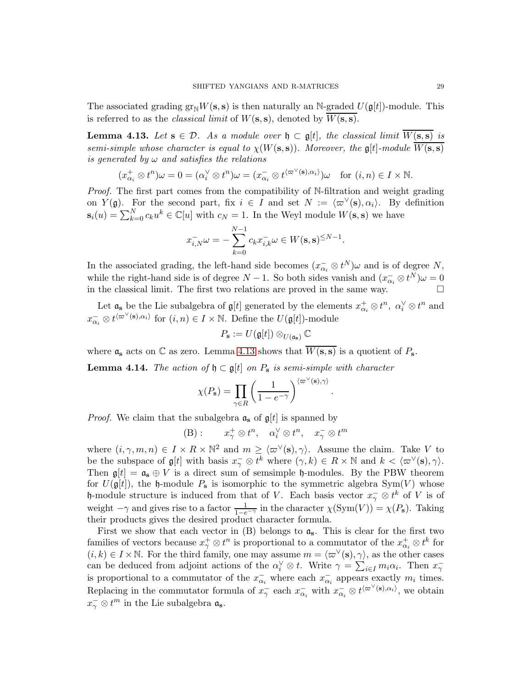The associated grading  $gr_{\mathbb{N}}W(s,s)$  is then naturally an N-graded  $U(\mathfrak{gl}_l)$ -module. This is referred to as the *classical limit* of  $W(s, s)$ , denoted by  $\overline{W(s, s)}$ .

<span id="page-28-0"></span>**Lemma 4.13.** Let  $s \in \mathcal{D}$ . As a module over  $\mathfrak{h} \subset \mathfrak{gl}$ , the classical limit  $\overline{W(s,s)}$  is semi-simple whose character is equal to  $\chi(W(s, s))$ . Moreover, the g[t]-module  $\overline{W(s, s)}$ is generated by  $\omega$  and satisfies the relations

$$
(x_{\alpha_i}^+\otimes t^n)\omega=0=(\alpha_i^\vee\otimes t^n)\omega=(x_{\alpha_i}^-\otimes t^{\langle \varpi^\vee(\mathbf{s}),\alpha_i\rangle})\omega\quad\text{for } (i,n)\in I\times\mathbb{N}.
$$

Proof. The first part comes from the compatibility of N-filtration and weight grading on  $Y(\mathfrak{g})$ . For the second part, fix  $i \in I$  and set  $N := \langle \varpi^{\vee}(\mathbf{s}), \alpha_i \rangle$ . By definition  $\mathbf{s}_i(u) = \sum_{k=0}^{N} c_k u^k \in \mathbb{C}[u]$  with  $c_N = 1$ . In the Weyl module  $W(\mathbf{s}, \mathbf{s})$  we have

$$
x_{i,N}^- \omega = -\sum_{k=0}^{N-1} c_k x_{i,k}^- \omega \in W(\mathbf{s}, \mathbf{s})^{\leq N-1}.
$$

In the associated grading, the left-hand side becomes  $(x_{\alpha_i} \otimes t^N)\omega$  and is of degree N, while the right-hand side is of degree  $N-1$ . So both sides vanish and  $(x_{\alpha_i}^-\otimes t^N)\omega=0$ in the classical limit. The first two relations are proved in the same way.

Let  $\mathfrak{a}_s$  be the Lie subalgebra of  $\mathfrak{g}[t]$  generated by the elements  $x^+_{\alpha_i} \otimes t^n$ ,  $\alpha_i^{\vee} \otimes t^n$  and  $x_{\alpha_i}^-\otimes t^{\langle \varpi^\vee(\mathbf{s}),\alpha_i\rangle}$  for  $(i,n)\in I\times\mathbb{N}$ . Define the  $U(\mathfrak{g}[t])$ -module

$$
P_{\mathbf{s}} := U(\mathfrak{g}[t]) \otimes_{U(\mathfrak{a}_{\mathbf{s}})} \mathbb{C}
$$

where  $\mathfrak{a}_s$  acts on  $\mathbb C$  as zero. Lemma [4.13](#page-28-0) shows that  $\overline{W(s,s)}$  is a quotient of  $P_s$ .

<span id="page-28-1"></span>**Lemma 4.14.** The action of  $\mathfrak{h} \subset \mathfrak{gl}$  on  $P_s$  is semi-simple with character

$$
\chi(P_{\mathbf{s}}) = \prod_{\gamma \in R} \left( \frac{1}{1 - e^{-\gamma}} \right)^{\langle \varpi^{\vee}(\mathbf{s}), \gamma \rangle}
$$

.

*Proof.* We claim that the subalgebra  $a_s$  of  $\mathfrak{g}[t]$  is spanned by

(B): 
$$
x_{\gamma}^+ \otimes t^n
$$
,  $\alpha_i^{\vee} \otimes t^n$ ,  $x_{\gamma}^- \otimes t^m$ 

where  $(i, \gamma, m, n) \in I \times R \times \mathbb{N}^2$  and  $m \geq \langle \varpi^{\vee}(\mathbf{s}), \gamma \rangle$ . Assume the claim. Take V to be the subspace of  $\mathfrak{g}[t]$  with basis  $x_{\gamma}^{-} \otimes t^{k}$  where  $(\gamma, k) \in R \times \mathbb{N}$  and  $k < \langle \varpi^{\vee}(\mathbf{s}), \gamma \rangle$ . Then  $\mathfrak{g}[t] = \mathfrak{a}_s \oplus V$  is a direct sum of semsimple  $\mathfrak{h}$ -modules. By the PBW theorem for  $U(\mathfrak{g}[t])$ , the h-module  $P_s$  is isomorphic to the symmetric algebra  $Sym(V)$  whose h-module structure is induced from that of V. Each basis vector  $x_{\gamma}^{-} \otimes t^{k}$  of V is of weight  $-\gamma$  and gives rise to a factor  $\frac{1}{1-e^{-\gamma}}$  in the character  $\chi(\text{Sym}(V)) = \chi(P_s)$ . Taking their products gives the desired product character formula.

First we show that each vector in  $(B)$  belongs to  $a_s$ . This is clear for the first two families of vectors because  $x_{\gamma}^+ \otimes t^n$  is proportional to a commutator of the  $x_{\alpha_i}^+ \otimes t^k$  for  $(i, k) \in I \times \mathbb{N}$ . For the third family, one may assume  $m = \langle \varpi^{\vee}(\mathbf{s}), \underline{\gamma} \rangle$ , as the other cases can be deduced from adjoint actions of the  $\alpha_i^{\vee} \otimes t$ . Write  $\gamma = \sum_{i \in I} m_i \alpha_i$ . Then  $x_{\gamma}$ is proportional to a commutator of the  $x_{\alpha_i}^-$  where each  $x_{\alpha_i}^-$  appears exactly  $m_i$  times. Replacing in the commutator formula of  $x_{\gamma}$  each  $x_{\alpha_i}$  with  $x_{\alpha_i} \otimes t^{\langle \varpi^{\vee}(\mathbf{s}), \alpha_i \rangle}$ , we obtain  $x_{\gamma}^-\otimes t^m$  in the Lie subalgebra  $\mathfrak{a}_s$ .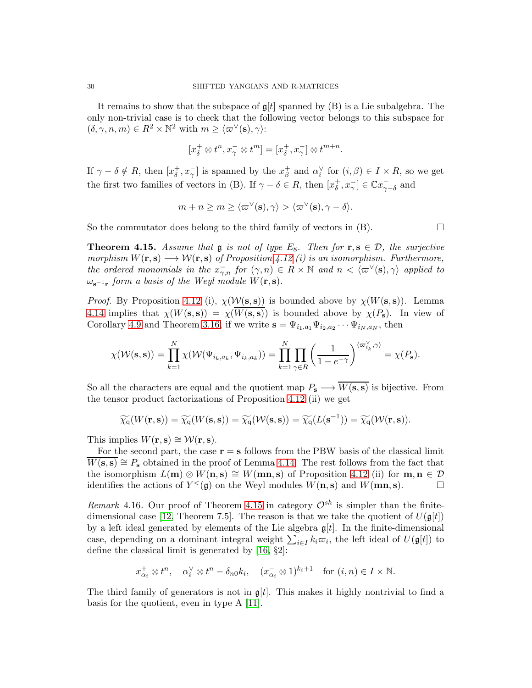It remains to show that the subspace of  $\mathfrak{g}[t]$  spanned by (B) is a Lie subalgebra. The only non-trivial case is to check that the following vector belongs to this subspace for  $(\delta, \gamma, n, m) \in R^2 \times \mathbb{N}^2$  with  $m \geq \langle \varpi^{\vee}(\mathbf{s}), \gamma \rangle$ :

$$
[x_\delta^+\otimes t^n, x_\gamma^-\otimes t^m]=[x_\delta^+, x_\gamma^-]\otimes t^{m+n}.
$$

If  $\gamma - \delta \notin R$ , then  $[x_\delta^+, x_\gamma^-]$  is spanned by the  $x_\beta^+$  and  $\alpha_i^{\vee}$  for  $(i, \beta) \in I \times R$ , so we get the first two families of vectors in (B). If  $\gamma - \delta \in R$ , then  $[x_{\delta}^+, x_{\gamma}^-] \in \mathbb{C} x_{\gamma-\delta}^-$  and

$$
m + n \ge m \ge \langle \varpi^{\vee}(\mathbf{s}), \gamma \rangle > \langle \varpi^{\vee}(\mathbf{s}), \gamma - \delta \rangle.
$$

So the commutator does belong to the third family of vectors in  $(B)$ .

<span id="page-29-0"></span>**Theorem 4.15.** Assume that **g** is not of type  $E_8$ . Then for **r**,  $\mathbf{s} \in \mathcal{D}$ , the surjective morphism  $W(\mathbf{r}, \mathbf{s}) \longrightarrow \mathcal{W}(\mathbf{r}, \mathbf{s})$  of Proposition [4.12](#page-26-1) (i) is an isomorphism. Furthermore, the ordered monomials in the  $x_{\gamma,n}^-$  for  $(\gamma,n) \in R \times \mathbb{N}$  and  $n < \langle \varpi^{\vee}(\mathbf{s}), \gamma \rangle$  applied to  $\omega_{\mathbf{s}^{-1}\mathbf{r}}$  form a basis of the Weyl module  $W(\mathbf{r},\mathbf{s})$ .

*Proof.* By Proposition [4.12](#page-26-1) (i),  $\chi(\mathcal{W}(s, s))$  is bounded above by  $\chi(W(s, s))$ . Lemma [4.14](#page-28-1) implies that  $\chi(W(s, s)) = \chi(W(s, s))$  is bounded above by  $\chi(P_s)$ . In view of Corollary [4.9](#page-25-0) and Theorem [3.16,](#page-19-1) if we write  $\mathbf{s} = \Psi_{i_1, a_1} \Psi_{i_2, a_2} \cdots \Psi_{i_N, a_N}$ , then

$$
\chi(\mathcal{W}(\mathbf{s}, \mathbf{s})) = \prod_{k=1}^N \chi(\mathcal{W}(\Psi_{i_k, a_k}, \Psi_{i_k, a_k})) = \prod_{k=1}^N \prod_{\gamma \in R} \left(\frac{1}{1 - e^{-\gamma}}\right)^{\langle \varpi_{i_k}^{\vee}, \gamma \rangle} = \chi(P_{\mathbf{s}}).
$$

So all the characters are equal and the quotient map  $P_s \longrightarrow \overline{W(s,s)}$  is bijective. From the tensor product factorizations of Proposition [4.12](#page-26-1) (ii) we get

$$
\widetilde{\chi_q}(W(\mathbf{r}, \mathbf{s})) = \widetilde{\chi_q}(W(\mathbf{s}, \mathbf{s})) = \widetilde{\chi_q}(\mathcal{W}(\mathbf{s}, \mathbf{s})) = \widetilde{\chi_q}(L(\mathbf{s}^{-1})) = \widetilde{\chi_q}(\mathcal{W}(\mathbf{r}, \mathbf{s})).
$$

This implies  $W(\mathbf{r}, \mathbf{s}) \cong \mathcal{W}(\mathbf{r}, \mathbf{s}).$ 

For the second part, the case  $\mathbf{r} = \mathbf{s}$  follows from the PBW basis of the classical limit  $\overline{W(s,s)} \cong P_s$  obtained in the proof of Lemma [4.14.](#page-28-1) The rest follows from the fact that the isomorphism  $L(m) \otimes W(n,s) \cong W(mn,s)$  of Proposition [4.12](#page-26-1) (ii) for  $m, n \in \mathcal{D}$ identifies the actions of  $Y<sub>(</sub>**g**)$  on the Weyl modules  $W(\mathbf{n}, \mathbf{s})$  and  $W(\mathbf{mn}, \mathbf{s})$ .

Remark 4.16. Our proof of Theorem [4.15](#page-29-0) in category  $\mathcal{O}^{sh}$  is simpler than the finite-dimensional case [\[12,](#page-54-17) Theorem 7.5]. The reason is that we take the quotient of  $U(\mathfrak{g}[t])$ by a left ideal generated by elements of the Lie algebra  $\mathfrak{g}[t]$ . In the finite-dimensional case, depending on a dominant integral weight  $\sum_{i\in I} k_i\overline{\omega}_i$ , the left ideal of  $U(\mathfrak{g}[t])$  to define the classical limit is generated by [\[16,](#page-54-16) §2]:

$$
x_{\alpha_i}^+ \otimes t^n
$$
,  $\alpha_i^{\vee} \otimes t^n - \delta_{n0}k_i$ ,  $(x_{\alpha_i}^- \otimes 1)^{k_i+1}$  for  $(i, n) \in I \times \mathbb{N}$ .

The third family of generators is not in  $\mathfrak{g}[t]$ . This makes it highly nontrivial to find a basis for the quotient, even in type A [\[11\]](#page-54-18).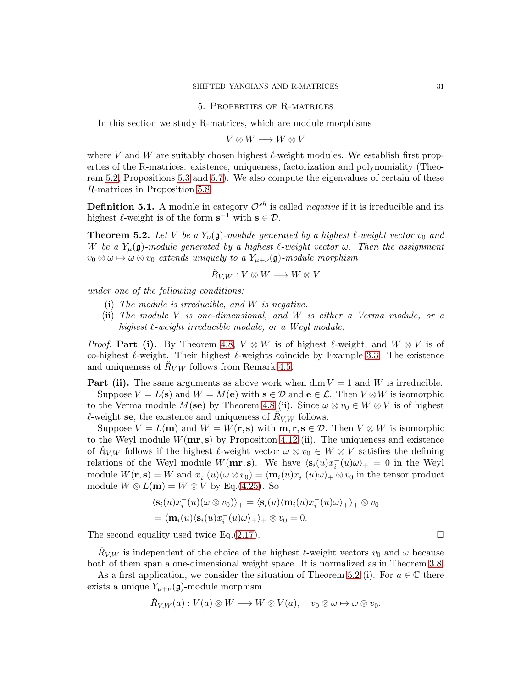#### 5. Properties of R-matrices

<span id="page-30-0"></span>In this section we study R-matrices, which are module morphisms

$$
V \otimes W \longrightarrow W \otimes V
$$

where V and W are suitably chosen highest  $\ell$ -weight modules. We establish first properties of the R-matrices: existence, uniqueness, factorization and polynomiality (Theorem [5.2,](#page-30-1) Propositions [5.3](#page-31-0) and [5.7\)](#page-33-0). We also compute the eigenvalues of certain of these R-matrices in Proposition [5.8.](#page-34-1)

**Definition 5.1.** A module in category  $\mathcal{O}^{sh}$  is called *negative* if it is irreducible and its highest  $\ell$ -weight is of the form  $s^{-1}$  with  $s \in \mathcal{D}$ .

<span id="page-30-1"></span>**Theorem 5.2.** Let V be a  $Y_{\nu}(\mathfrak{g})$ -module generated by a highest  $\ell$ -weight vector  $v_0$  and W be a  $Y_\mu(\mathfrak{g})$ -module generated by a highest  $\ell$ -weight vector  $\omega$ . Then the assignment  $v_0 \otimes \omega \mapsto \omega \otimes v_0$  extends uniquely to a  $Y_{\mu+\nu}(\mathfrak{g})$ -module morphism

$$
\check{R}_{V,W}: V \otimes W \longrightarrow W \otimes V
$$

under one of the following conditions:

- (i) The module is irreducible, and W is negative.
- (ii) The module V is one-dimensional, and W is either a Verma module, or a highest  $\ell$ -weight irreducible module, or a Weyl module.

*Proof.* Part (i). By Theorem [4.8,](#page-22-0)  $V \otimes W$  is of highest  $\ell$ -weight, and  $W \otimes V$  is of co-highest  $\ell$ -weight. Their highest  $\ell$ -weights coincide by Example [3.3.](#page-13-0) The existence and uniqueness of  $\check{R}_{V,W}$  follows from Remark [4.5.](#page-22-3)

**Part (ii).** The same arguments as above work when dim  $V = 1$  and W is irreducible.

Suppose  $V = L(\mathbf{s})$  and  $W = M(\mathbf{e})$  with  $\mathbf{s} \in \mathcal{D}$  and  $\mathbf{e} \in \mathcal{L}$ . Then  $V \otimes W$  is isomorphic to the Verma module  $M(\mathbf{se})$  by Theorem [4.8](#page-22-0) (ii). Since  $\omega \otimes v_0 \in W \otimes V$  is of highest  $\ell$ -weight se, the existence and uniqueness of  $\check{R}_{V,W}$  follows.

Suppose  $V = L(\mathbf{m})$  and  $W = W(\mathbf{r}, \mathbf{s})$  with  $\mathbf{m}, \mathbf{r}, \mathbf{s} \in \mathcal{D}$ . Then  $V \otimes W$  is isomorphic to the Weyl module  $W(mr, s)$  by Proposition [4.12](#page-26-1) (ii). The uniqueness and existence of  $\check{R}_{V,W}$  follows if the highest  $\ell$ -weight vector  $\omega \otimes v_0 \in W \otimes V$  satisfies the defining relations of the Weyl module  $W(\mathbf{mr}, \mathbf{s})$ . We have  $\langle \mathbf{s}_i(u)x_i^-(u)\omega \rangle_+ = 0$  in the Weyl module  $W(\mathbf{r}, \mathbf{s}) = W$  and  $x_i^-(u)(\omega \otimes v_0) = \langle \mathbf{m}_i(u)x_i^-(u)\omega \rangle_+ \otimes v_0$  in the tensor product module  $W \otimes L(m) = W \otimes V$  by Eq.[\(4.25\)](#page-21-1). So

$$
\langle \mathbf{s}_i(u)x_i^-(u)(\omega \otimes v_0) \rangle_+ = \langle \mathbf{s}_i(u)\langle \mathbf{m}_i(u)x_i^-(u)\omega \rangle_+ \rangle_+ \otimes v_0
$$
  
=  $\langle \mathbf{m}_i(u)\langle \mathbf{s}_i(u)x_i^-(u)\omega \rangle_+ \rangle_+ \otimes v_0 = 0.$ 

The second equality used twice Eq.[\(2.17\)](#page-9-1).  $\Box$ 

 $\check{R}_{V,W}$  is independent of the choice of the highest  $\ell$ -weight vectors  $v_0$  and  $\omega$  because both of them span a one-dimensional weight space. It is normalized as in Theorem [3.8.](#page-15-0)

As a first application, we consider the situation of Theorem [5.2](#page-30-1) (i). For  $a \in \mathbb{C}$  there exists a unique  $Y_{\mu+\nu}(\mathfrak{g})$ -module morphism

$$
\check{R}_{V,W}(a): V(a) \otimes W \longrightarrow W \otimes V(a), \quad v_0 \otimes \omega \mapsto \omega \otimes v_0.
$$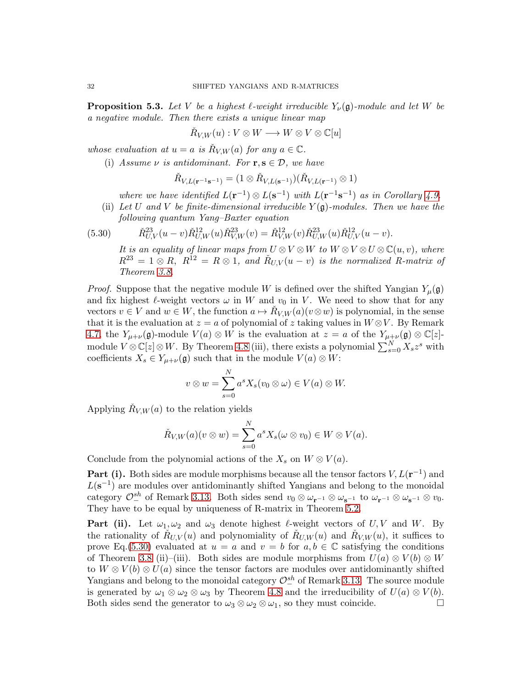<span id="page-31-0"></span>**Proposition 5.3.** Let V be a highest  $\ell$ -weight irreducible  $Y_{\nu}(\mathfrak{g})$ -module and let W be a negative module. Then there exists a unique linear map

$$
\check R_{V,W}(u): V \otimes W \longrightarrow W \otimes V \otimes \mathbb{C}[u]
$$

whose evaluation at  $u = a$  is  $\check{R}_{V,W}(a)$  for any  $a \in \mathbb{C}$ .

(i) Assume  $\nu$  is antidominant. For  $\mathbf{r}, \mathbf{s} \in \mathcal{D}$ , we have

$$
\check{R}_{V,L(\mathbf{r}^{-1}\mathbf{s}^{-1})}=(1\otimes \check{R}_{V,L(\mathbf{s}^{-1})})(\check{R}_{V,L(\mathbf{r}^{-1})}\otimes 1)
$$

where we have identified  $L(\mathbf{r}^{-1}) \otimes L(\mathbf{s}^{-1})$  with  $L(\mathbf{r}^{-1}\mathbf{s}^{-1})$  as in Corollary [4.9.](#page-25-0)

(ii) Let U and V be finite-dimensional irreducible  $Y(g)$ -modules. Then we have the following quantum Yang–Baxter equation

(5.30) 
$$
\tilde{R}_{U,V}^{23}(u-v)\tilde{R}_{U,W}^{12}(u)\tilde{R}_{V,W}^{23}(v) = \tilde{R}_{V,W}^{12}(v)\tilde{R}_{U,W}^{23}(u)\tilde{R}_{U,V}^{12}(u-v).
$$

<span id="page-31-1"></span>It is an equality of linear maps from  $U \otimes V \otimes W$  to  $W \otimes V \otimes U \otimes \mathbb{C}(u, v)$ , where  $R^{23} = 1 \otimes R$ ,  $R^{12} = R \otimes 1$ , and  $\check{R}_{U,V}(u - v)$  is the normalized R-matrix of Theorem [3.8.](#page-15-0)

*Proof.* Suppose that the negative module W is defined over the shifted Yangian  $Y_\mu(\mathfrak{g})$ and fix highest  $\ell$ -weight vectors  $\omega$  in W and  $v_0$  in V. We need to show that for any vectors  $v \in V$  and  $w \in W$ , the function  $a \mapsto \check{R}_{V,W}(a)(v \otimes w)$  is polynomial, in the sense that it is the evaluation at  $z = a$  of polynomial of z taking values in  $W \otimes V$ . By Remark [4.7,](#page-22-1) the  $Y_{\mu+\nu}(\mathfrak{g})$ -module  $V(a)\otimes W$  is the evaluation at  $z=a$  of the  $Y_{\mu+\nu}(\mathfrak{g})\otimes \mathbb{C}[z]$ module  $V \otimes \mathbb{C}[z] \otimes W$ . By Theorem [4.8](#page-22-0) (iii), there exists a polynomial  $\sum_{s=0}^{N} X_s z^s$  with coefficients  $X_s \in Y_{\mu+\nu}(\mathfrak{g})$  such that in the module  $V(a) \otimes W$ :

$$
v \otimes w = \sum_{s=0}^{N} a^s X_s (v_0 \otimes \omega) \in V(a) \otimes W.
$$

Applying  $\check{R}_{V,W}(a)$  to the relation yields

$$
\check{R}_{V,W}(a)(v\otimes w)=\sum_{s=0}^N a^sX_s(\omega\otimes v_0)\in W\otimes V(a).
$$

Conclude from the polynomial actions of the  $X_s$  on  $W \otimes V(a)$ .

**Part (i).** Both sides are module morphisms because all the tensor factors  $V, L(\mathbf{r}^{-1})$  and  $L(s^{-1})$  are modules over antidominantly shifted Yangians and belong to the monoidal category  $\mathcal{O}^{sh}_{-}$  of Remark [3.13.](#page-17-0) Both sides send  $v_0 \otimes \omega_{\mathbf{r}^{-1}} \otimes \omega_{\mathbf{s}^{-1}}$  to  $\omega_{\mathbf{r}^{-1}} \otimes \omega_{\mathbf{s}^{-1}} \otimes v_0$ . They have to be equal by uniqueness of R-matrix in Theorem [5.2.](#page-30-1)

**Part (ii).** Let  $\omega_1, \omega_2$  and  $\omega_3$  denote highest  $\ell$ -weight vectors of U,V and W. By the rationality of  $\check{R}_{U,V}(u)$  and polynomiality of  $\check{R}_{U,W}(u)$  and  $\check{R}_{V,W}(u)$ , it suffices to prove Eq.[\(5.30\)](#page-31-1) evaluated at  $u = a$  and  $v = b$  for  $a, b \in \mathbb{C}$  satisfying the conditions of Theorem [3.8](#page-15-0) (ii)–(iii). Both sides are module morphisms from  $U(a) \otimes V(b) \otimes W$ to  $W \otimes V(b) \otimes U(a)$  since the tensor factors are modules over antidominantly shifted Yangians and belong to the monoidal category  $\mathcal{O}^{sh}_{-}$  of Remark [3.13.](#page-17-0) The source module is generated by  $\omega_1 \otimes \omega_2 \otimes \omega_3$  by Theorem [4.8](#page-22-0) and the irreducibility of  $U(a) \otimes V(b)$ . Both sides send the generator to  $\omega_3 \otimes \omega_2 \otimes \omega_1$ , so they must coincide.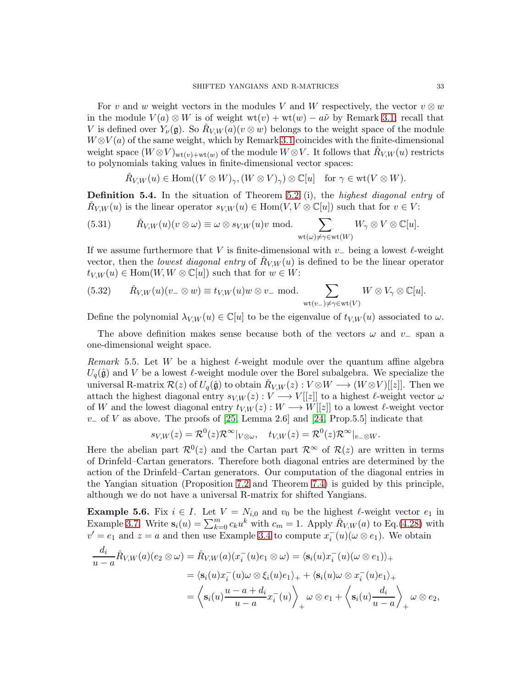For v and w weight vectors in the modules V and W respectively, the vector  $v \otimes w$ in the module  $V(a) \otimes W$  is of weight  $wt(v) + wt(w) - a\tilde{\nu}$  by Remark [3.1;](#page-12-2) recall that V is defined over  $Y_{\nu}(\mathfrak{g})$ . So  $\check{R}_{V,W}(a)(v \otimes w)$  belongs to the weight space of the module  $W \otimes V(a)$  of the same weight, which by Remark [3.1](#page-12-2) coincides with the finite-dimensional weight space  $(W \otimes V)_{wt(v)+wt(w)}$  of the module  $W \otimes V$ . It follows that  $\check{R}_{V,W}(u)$  restricts to polynomials taking values in finite-dimensional vector spaces:

<span id="page-32-2"></span>
$$
\check{R}_{V,W}(u) \in \text{Hom}((V \otimes W)_{\gamma}, (W \otimes V)_{\gamma}) \otimes \mathbb{C}[u] \quad \text{for } \gamma \in \text{wt}(V \otimes W).
$$

<span id="page-32-1"></span>Definition 5.4. In the situation of Theorem [5.2](#page-30-1) (i), the highest diagonal entry of  $\check{R}_{V,W}(u)$  is the linear operator  $s_{V,W}(u) \in \text{Hom}(V, V \otimes \mathbb{C}[u])$  such that for  $v \in V$ :

(5.31) 
$$
\check{R}_{V,W}(u)(v \otimes \omega) \equiv \omega \otimes s_{V,W}(u)v \text{ mod.} \sum_{\text{wt}(\omega) \neq \gamma \in \text{wt}(W)} W_{\gamma} \otimes V \otimes \mathbb{C}[u].
$$

If we assume furthermore that V is finite-dimensional with  $v_-\$  being a lowest  $\ell$ -weight vector, then the lowest diagonal entry of  $\check{R}_{V,W}(u)$  is defined to be the linear operator  $t_{V,W}(u) \in \text{Hom}(W, W \otimes \mathbb{C}[u])$  such that for  $w \in W$ :

<span id="page-32-3"></span>(5.32) 
$$
\check{R}_{V,W}(u)(v_- \otimes w) \equiv t_{V,W}(u)w \otimes v_- \text{ mod.} \sum_{\text{wt}(v_-) \neq \gamma \in \text{wt}(V)} W \otimes V_{\gamma} \otimes \mathbb{C}[u].
$$

Define the polynomial  $\lambda_{V,W}(u) \in \mathbb{C}[u]$  to be the eigenvalue of  $t_{V,W}(u)$  associated to  $\omega$ .

The above definition makes sense because both of the vectors  $\omega$  and  $v_$  span a one-dimensional weight space.

<span id="page-32-0"></span>Remark 5.5. Let W be a highest  $\ell$ -weight module over the quantum affine algebra  $U_q(\hat{\mathfrak{g}})$  and V be a lowest  $\ell$ -weight module over the Borel subalgebra. We specialize the universal R-matrix  $\mathcal{R}(z)$  of  $U_q(\hat{\mathfrak{g}})$  to obtain  $\check{R}_{V,W}(z): V \otimes W \longrightarrow (W \otimes V)[[z]]$ . Then we attach the highest diagonal entry  $s_{V,W}(z): V \longrightarrow V[[z]]$  to a highest  $\ell$ -weight vector  $\omega$ of W and the lowest diagonal entry  $t_{V,W}(z): W \longrightarrow W[[z]]$  to a lowest  $\ell$ -weight vector  $v_$  of V as above. The proofs of [\[25,](#page-55-5) Lemma 2.6] and [\[24,](#page-55-18) Prop.5.5] indicate that

$$
s_{V,W}(z) = \mathcal{R}^0(z)\mathcal{R}^\infty|_{V\otimes\omega}, \quad t_{V,W}(z) = \mathcal{R}^0(z)\mathcal{R}^\infty|_{v=\otimes W}.
$$

Here the abelian part  $\mathcal{R}^0(z)$  and the Cartan part  $\mathcal{R}^{\infty}$  of  $\mathcal{R}(z)$  are written in terms of Drinfeld–Cartan generators. Therefore both diagonal entries are determined by the action of the Drinfeld–Cartan generators. Our computation of the diagonal entries in the Yangian situation (Proposition [7.2](#page-42-0) and Theorem [7.4\)](#page-44-0) is guided by this principle, although we do not have a universal R-matrix for shifted Yangians.

<span id="page-32-4"></span>**Example 5.6.** Fix  $i \in I$ . Let  $V = N_{i,0}$  and  $v_0$  be the highest  $\ell$ -weight vector  $e_1$  in Example [3.7.](#page-14-0) Write  $\mathbf{s}_i(u) = \sum_{k=0}^m c_k u^k$  with  $c_m = 1$ . Apply  $\check{R}_{V,W}(a)$  to Eq.[\(4.28\)](#page-24-0) with  $v' = e_1$  and  $z = a$  and then use Example [3.4](#page-13-1) to compute  $x_i^-(u)(\omega \otimes e_1)$ . We obtain

$$
\frac{d_i}{u-a} \check{R}_{V,W}(a)(e_2 \otimes \omega) = \check{R}_{V,W}(a)(x_i^-(u)e_1 \otimes \omega) = \langle \mathbf{s}_i(u)x_i^-(u)(\omega \otimes e_1) \rangle_+ \n= \langle \mathbf{s}_i(u)x_i^-(u)\omega \otimes \xi_i(u)e_1 \rangle_+ + \langle \mathbf{s}_i(u)\omega \otimes x_i^-(u)e_1 \rangle_+ \n= \langle \mathbf{s}_i(u)\frac{u-a+d_i}{u-a}x_i^-(u) \rangle_+ \omega \otimes e_1 + \langle \mathbf{s}_i(u)\frac{d_i}{u-a} \rangle_+ \omega \otimes e_2,
$$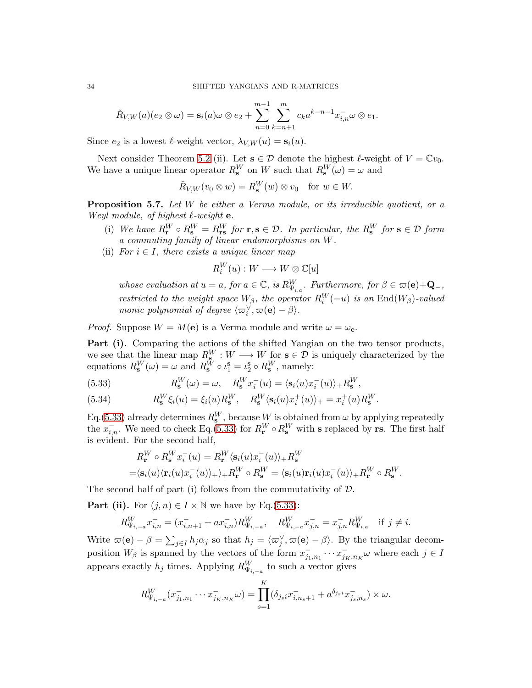$$
\check{R}_{V,W}(a)(e_2 \otimes \omega) = \mathbf{s}_i(a)\omega \otimes e_2 + \sum_{n=0}^{m-1} \sum_{k=n+1}^m c_k a^{k-n-1} x_{i,n}^- \omega \otimes e_1.
$$

Since  $e_2$  is a lowest  $\ell$ -weight vector,  $\lambda_{V,W}(u) = \mathbf{s}_i(u)$ .

Next consider Theorem [5.2](#page-30-1) (ii). Let  $s \in \mathcal{D}$  denote the highest  $\ell$ -weight of  $V = \mathbb{C}v_0$ . We have a unique linear operator  $R_8^W$  on W such that  $R_8^W(\omega) = \omega$  and

 $\check{R}_{V,W}(v_0\otimes w)=R_{\bf s}^W(w)\otimes v_0\quad\text{for }w\in W.$ 

<span id="page-33-0"></span>**Proposition 5.7.** Let  $W$  be either a Verma module, or its irreducible quotient, or a Weyl module, of highest  $\ell$ -weight **e**.

- (i) We have  $R_{\mathbf{r}}^W \circ R_{\mathbf{s}}^W = R_{\mathbf{r}\mathbf{s}}^W$  for  $\mathbf{r}, \mathbf{s} \in \mathcal{D}$ . In particular, the  $R_{\mathbf{s}}^W$  for  $\mathbf{s} \in \mathcal{D}$  form a commuting family of linear endomorphisms on W.
- (ii) For  $i \in I$ , there exists a unique linear map

$$
R_i^W(u):W\longrightarrow W\otimes \mathbb{C}[u]
$$

whose evaluation at  $u = a$ , for  $a \in \mathbb{C}$ , is  $R_{\Psi_{i,a}}^W$ . Furthermore, for  $\beta \in \varpi(\mathbf{e}) + \mathbf{Q}_-,$ restricted to the weight space  $W_{\beta}$ , the operator  $R_i^W(-u)$  is an  $\text{End}(W_{\beta})$ -valued monic polynomial of degree  $\langle \varpi_i^\vee, \varpi(\mathbf{e}) - \beta \rangle$ .

*Proof.* Suppose  $W = M(e)$  is a Verma module and write  $\omega = \omega_e$ .

Part (i). Comparing the actions of the shifted Yangian on the two tensor products, we see that the linear map  $R_{\mathbf{s}}^W : W \longrightarrow W$  for  $\mathbf{s} \in \mathcal{D}$  is uniquely characterized by the equations  $R_s^W(\omega) = \omega$  and  $R_s^{\tilde{W}} \circ \iota_1^s = \iota_2^s \circ R_s^W$ , namely:

<span id="page-33-1"></span>(5.33) 
$$
R_8^W(\omega) = \omega, \quad R_8^W x_i^-(u) = \langle \mathbf{s}_i(u) x_i^-(u) \rangle_+ R_8^W,
$$

<span id="page-33-2"></span>(5.34) 
$$
R_{s}^{W}\xi_{i}(u) = \xi_{i}(u)R_{s}^{W}, \quad R_{s}^{W}\langle s_{i}(u)x_{i}^{+}(u)\rangle_{+} = x_{i}^{+}(u)R_{s}^{W}.
$$

Eq.[\(5.33\)](#page-33-1) already determines  $R_{\rm s}^W$ , because W is obtained from  $\omega$  by applying repeatedly the  $x_{i,n}^-$ . We need to check Eq.[\(5.33\)](#page-33-1) for  $R_\mathbf{r}^W \circ R_\mathbf{s}^W$  with s replaced by rs. The first half is evident. For the second half,

$$
R_{\mathbf{r}}^W \circ R_{\mathbf{s}}^W x_i^-(u) = R_{\mathbf{r}}^W \langle \mathbf{s}_i(u) x_i^-(u) \rangle + R_{\mathbf{s}}^W
$$
  
=  $\langle \mathbf{s}_i(u) \langle \mathbf{r}_i(u) x_i^-(u) \rangle + \rangle + R_{\mathbf{r}}^W \circ R_{\mathbf{s}}^W = \langle \mathbf{s}_i(u) \mathbf{r}_i(u) x_i^-(u) \rangle + R_{\mathbf{r}}^W \circ R_{\mathbf{s}}^W.$ 

The second half of part (i) follows from the commutativity of D.

**Part (ii).** For  $(j, n) \in I \times \mathbb{N}$  we have by Eq.[\(5.33\)](#page-33-1):

$$
R_{\Psi_{i,-a}}^W x_{i,n}^- = (x_{i,n+1}^- + ax_{i,n}^-)R_{\Psi_{i,-a}}^W, \quad R_{\Psi_{i,-a}}^W x_{j,n}^- = x_{j,n}^- R_{\Psi_{i,a}}^W \quad \text{if } j \neq i.
$$

Write  $\varpi(\mathbf{e}) - \beta = \sum_{j \in I} h_j \alpha_j$  so that  $h_j = \langle \varpi_j^{\vee}, \varpi(\mathbf{e}) - \beta \rangle$ . By the triangular decomposition  $W_{\beta}$  is spanned by the vectors of the form  $x_{j_1,n_1}^{-} \cdots x_{j_K,n_K}^{-} \omega$  where each  $j \in I$ appears exactly  $h_j$  times. Applying  $R_{\Psi_{i,-a}}^W$  to such a vector gives

$$
R_{\Psi_{i,-a}}^W(x_{j_1,n_1}^-\cdots x_{j_K,n_K}^- \omega) = \prod_{s=1}^K (\delta_{j_s i} x_{i,n_s+1}^- + a^{\delta_{j_s i}} x_{j_s,n_s}^-) \times \omega.
$$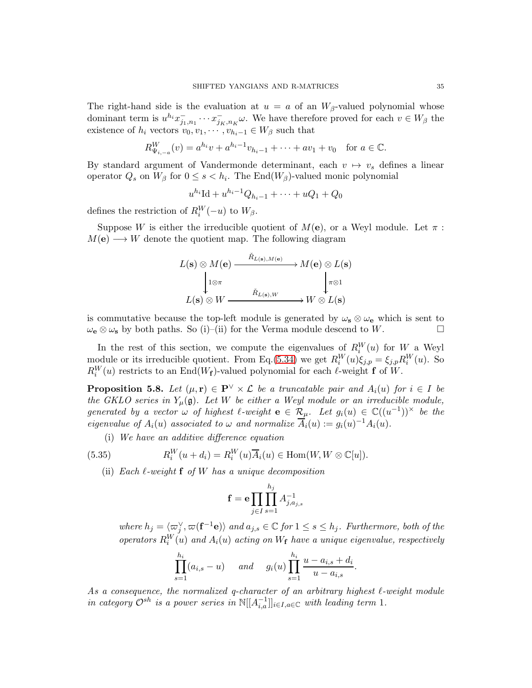The right-hand side is the evaluation at  $u = a$  of an  $W_{\beta}$ -valued polynomial whose dominant term is  $u^{h_i} x_{j_1,n_1}^- \cdots x_{j_K,n_K}^- \omega$ . We have therefore proved for each  $v \in W_\beta$  the existence of  $h_i$  vectors  $v_0, v_1, \dots, v_{h_i-1} \in W_\beta$  such that

$$
R_{\Psi_{i,-a}}^W(v) = a^{h_i}v + a^{h_i-1}v_{h_i-1} + \dots + av_1 + v_0 \quad \text{for } a \in \mathbb{C}.
$$

By standard argument of Vandermonde determinant, each  $v \mapsto v_s$  defines a linear operator  $Q_s$  on  $W_\beta$  for  $0 \le s < h_i$ . The End $(W_\beta)$ -valued monic polynomial

$$
u^{h_i} \text{Id} + u^{h_i - 1} Q_{h_i - 1} + \dots + uQ_1 + Q_0
$$

defines the restriction of  $R_i^W(-u)$  to  $W_\beta$ .

Suppose W is either the irreducible quotient of  $M(e)$ , or a Weyl module. Let  $\pi$ :  $M(e) \longrightarrow W$  denote the quotient map. The following diagram

$$
L(\mathbf{s}) \otimes M(\mathbf{e}) \xrightarrow{\check{R}_{L(\mathbf{s}), M(\mathbf{e})}} M(\mathbf{e}) \otimes L(\mathbf{s})
$$
  
\n
$$
\downarrow^{1 \otimes \pi} \qquad \qquad \downarrow^{1 \otimes \pi} \qquad \downarrow^{1 \otimes 1}
$$
  
\n
$$
L(\mathbf{s}) \otimes W \xrightarrow{\check{R}_{L(\mathbf{s}), W}} W \otimes L(\mathbf{s})
$$

is commutative because the top-left module is generated by  $\omega_{s} \otimes \omega_{e}$  which is sent to  $\omega_{\mathbf{e}} \otimes \omega_{\mathbf{s}}$  by both paths. So (i)–(ii) for the Verma module descend to W.

In the rest of this section, we compute the eigenvalues of  $R_i^W(u)$  for  $W$  a Weyl module or its irreducible quotient. From Eq.[\(5.34\)](#page-33-2) we get  $R_i^W(u)\xi_{j,p} = \xi_{j,p}R_i^W(u)$ . So  $R_i^W(u)$  restricts to an End(W<sub>f</sub>)-valued polynomial for each  $\ell$ -weight **f** of W.

<span id="page-34-1"></span>**Proposition 5.8.** Let  $(\mu, \mathbf{r}) \in \mathbf{P}^{\vee} \times \mathcal{L}$  be a truncatable pair and  $A_i(u)$  for  $i \in I$  be the GKLO series in  $Y_\mu(\mathfrak{g})$ . Let W be either a Weyl module or an irreducible module, generated by a vector  $\omega$  of highest  $\ell$ -weight  $\mathbf{e} \in \mathcal{R}_{\mu}$ . Let  $g_i(u) \in \mathbb{C}((u^{-1}))^{\times}$  be the eigenvalue of  $A_i(u)$  associated to  $\omega$  and normalize  $\overline{A}_i(u) := g_i(u)^{-1}A_i(u)$ .

<span id="page-34-0"></span>(i) We have an additive difference equation

(5.35) 
$$
R_i^W(u+d_i) = R_i^W(u)\overline{A}_i(u) \in \text{Hom}(W, W \otimes \mathbb{C}[u]).
$$

(ii) Each  $\ell$ -weight **f** of W has a unique decomposition

$$
\mathbf{f} = \mathbf{e} \prod_{j \in I} \prod_{s=1}^{h_j} A_{j, a_{j,s}}^{-1}
$$

where  $h_j = \langle \varpi_j^{\vee}, \varpi(\mathbf{f}^{-1}\mathbf{e}) \rangle$  and  $a_{j,s} \in \mathbb{C}$  for  $1 \leq s \leq h_j$ . Furthermore, both of the operators  $R_i^W(u)$  and  $A_i(u)$  acting on  $W_f$  have a unique eigenvalue, respectively

$$
\prod_{s=1}^{h_i} (a_{i,s} - u) \quad \text{and} \quad g_i(u) \prod_{s=1}^{h_i} \frac{u - a_{i,s} + d_i}{u - a_{i,s}}.
$$

As a consequence, the normalized q-character of an arbitrary highest  $\ell$ -weight module in category  $\mathcal{O}^{sh}$  is a power series in  $\mathbb{N}[[A^{-1}_{i,a}]]_{i\in I,a\in\mathbb{C}}$  with leading term 1.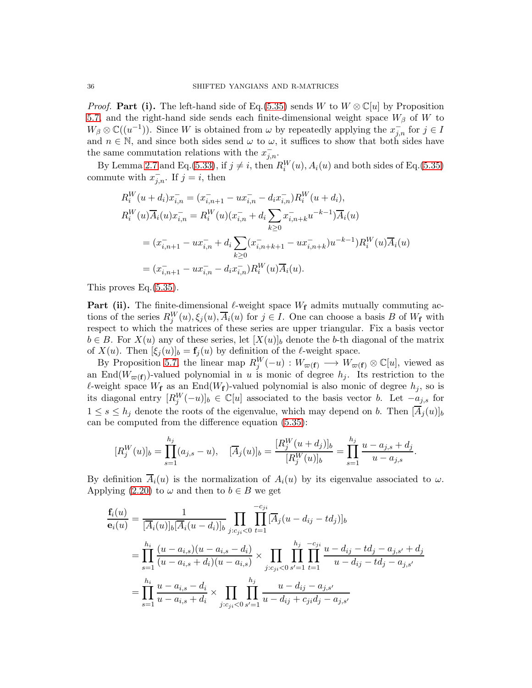*Proof.* Part (i). The left-hand side of Eq.[\(5.35\)](#page-34-0) sends W to  $W \otimes \mathbb{C}[u]$  by Proposition [5.7,](#page-33-0) and the right-hand side sends each finite-dimensional weight space  $W_\beta$  of W to  $W_{\beta} \otimes \mathbb{C}((u^{-1}))$ . Since W is obtained from  $\omega$  by repeatedly applying the  $x_{j,n}^-$  for  $j \in I$ and  $n \in \mathbb{N}$ , and since both sides send  $\omega$  to  $\omega$ , it suffices to show that both sides have the same commutation relations with the  $x_{j,n}^-$ .

By Lemma [2.7](#page-11-1) and Eq.[\(5.33\)](#page-33-1), if  $j \neq i$ , then  $R_i^W(u)$ ,  $A_i(u)$  and both sides of Eq.[\(5.35\)](#page-34-0) commute with  $x_{j,n}^-$ . If  $j = i$ , then

$$
R_i^W(u+d_i)x_{i,n}^- = (x_{i,n+1}^- - ux_{i,n}^- - d_i x_{i,n}^-)R_i^W(u+d_i),
$$
  
\n
$$
R_i^W(u)\overline{A_i}(u)x_{i,n}^- = R_i^W(u)(x_{i,n}^- + d_i \sum_{k\geq 0} x_{i,n+k}^- u^{-k-1})\overline{A_i}(u)
$$
  
\n
$$
= (x_{i,n+1}^- - ux_{i,n}^- + d_i \sum_{k\geq 0} (x_{i,n+k+1}^- - ux_{i,n+k}^-)u^{-k-1})R_i^W(u)\overline{A_i}(u)
$$
  
\n
$$
= (x_{i,n+1}^- - ux_{i,n}^- - d_i x_{i,n}^-)R_i^W(u)\overline{A_i}(u).
$$

This proves Eq.[\(5.35\)](#page-34-0).

**Part (ii).** The finite-dimensional  $\ell$ -weight space  $W_f$  admits mutually commuting actions of the series  $R_j^W(u), \xi_j(u), \overline{A}_i(u)$  for  $j \in I$ . One can choose a basis B of  $W_f$  with respect to which the matrices of these series are upper triangular. Fix a basis vector  $b \in B$ . For  $X(u)$  any of these series, let  $[X(u)]_b$  denote the b-th diagonal of the matrix of  $X(u)$ . Then  $[\xi_j(u)]_b = \mathbf{f}_j(u)$  by definition of the  $\ell$ -weight space.

By Proposition [5.7,](#page-33-0) the linear map  $R_j^W(-u) : W_{\varpi(\mathbf{f})} \longrightarrow W_{\varpi(\mathbf{f})} \otimes \mathbb{C}[u]$ , viewed as an End $(W_{\varpi(f)})$ -valued polynomial in u is monic of degree  $h_j$ . Its restriction to the  $\ell$ -weight space  $W_f$  as an End $(W_f)$ -valued polynomial is also monic of degree  $h_j$ , so is its diagonal entry  $[R_j^W(-u)]_b \in \mathbb{C}[u]$  associated to the basis vector b. Let  $-a_{j,s}$  for  $1 \leq s \leq h_i$  denote the roots of the eigenvalue, which may depend on b. Then  $[\overline{A}_i(u)]_b$ can be computed from the difference equation [\(5.35\)](#page-34-0):

$$
[R_j^W(u)]_b = \prod_{s=1}^{h_j} (a_{j,s} - u), \quad [\overline{A}_j(u)]_b = \frac{[R_j^W(u + d_j)]_b}{[R_j^W(u)]_b} = \prod_{s=1}^{h_j} \frac{u - a_{j,s} + d_j}{u - a_{j,s}}.
$$

By definition  $\overline{A}_i(u)$  is the normalization of  $A_i(u)$  by its eigenvalue associated to  $\omega$ . Applying [\(2.20\)](#page-11-0) to  $\omega$  and then to  $b \in B$  we get

$$
\frac{f_i(u)}{e_i(u)} = \frac{1}{[\overline{A}_i(u)]_b [\overline{A}_i(u - d_i)]_b} \prod_{j:c_{ji} < 0} \prod_{t=1}^{-c_{ji}} [\overline{A}_j(u - d_{ij} - td_j)]_b
$$
\n
$$
= \prod_{s=1}^{h_i} \frac{(u - a_{i,s})(u - a_{i,s} - d_i)}{(u - a_{i,s} + d_i)(u - a_{i,s})} \times \prod_{j:c_{ji} < 0} \prod_{s'=1}^{h_j} \prod_{t=1}^{-c_{ji}} \frac{u - d_{ij} - td_j - a_{j,s'} + d_j}{u - d_{ij} - td_j - a_{j,s'}}
$$
\n
$$
= \prod_{s=1}^{h_i} \frac{u - a_{i,s} - d_i}{u - a_{i,s} + d_i} \times \prod_{j:c_{ji} < 0} \prod_{s'=1}^{h_j} \frac{u - d_{ij} - a_{j,s'}}{u - d_{ij} + c_{ji}d_j - a_{j,s'}}
$$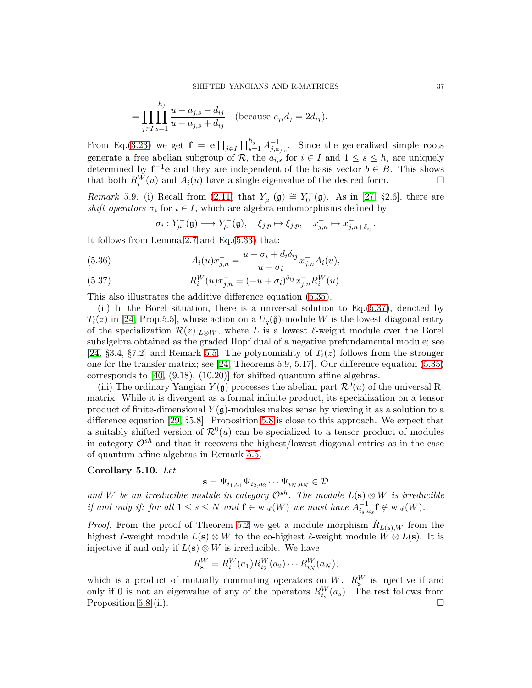$$
= \prod_{j \in I} \prod_{s=1}^{h_j} \frac{u - a_{j,s} - d_{ij}}{u - a_{j,s} + d_{ij}} \quad \text{(because } c_{ji} d_j = 2d_{ij}\text{)}.
$$

From Eq.[\(3.23\)](#page-14-2) we get  $\mathbf{f} = \mathbf{e} \prod_{j \in I} \prod_{s=1}^{h_j} A_{j, a_j, s}^{-1}$ . Since the generalized simple roots generate a free abelian subgroup of R, the  $a_{i,s}$  for  $i \in I$  and  $1 \leq s \leq h_i$  are uniquely determined by  $f^{-1}e$  and they are independent of the basis vector  $b \in B$ . This shows that both  $R_i^{\tilde{W}}(u)$  and  $A_i(u)$  have a single eigenvalue of the desired form.

<span id="page-36-2"></span>Remark 5.9. (i) Recall from [\(2.11\)](#page-6-0) that  $Y_{\mu}^{-}(\mathfrak{g}) \cong Y_{0}^{-}(\mathfrak{g})$ . As in [\[27,](#page-55-26) §2.6], there are shift operators  $\sigma_i$  for  $i \in I$ , which are algebra endomorphisms defined by

$$
\sigma_i: Y_\mu^-(\mathfrak{g}) \longrightarrow Y_\mu^-(\mathfrak{g}), \quad \xi_{j,p} \mapsto \xi_{j,p}, \quad x_{j,n}^- \mapsto x_{j,n+\delta_{ij}}^-,
$$

It follows from Lemma [2.7](#page-11-1) and Eq.[\(5.33\)](#page-33-1) that:

(5.36) 
$$
A_i(u)x_{j,n}^- = \frac{u - \sigma_i + d_i \delta_{ij}}{u - \sigma_i} x_{j,n}^- A_i(u),
$$

<span id="page-36-0"></span>(5.37) 
$$
R_i^W(u)x_{j,n}^- = (-u + \sigma_i)^{\delta_{ij}} x_{j,n}^- R_i^W(u).
$$

This also illustrates the additive difference equation [\(5.35\)](#page-34-0).

(ii) In the Borel situation, there is a universal solution to Eq.[\(5.37\)](#page-36-0), denoted by  $T_i(z)$  in [\[24,](#page-55-18) Prop.5.5], whose action on a  $U_q(\hat{\mathfrak{g}})$ -module W is the lowest diagonal entry of the specialization  $\mathcal{R}(z)|_{L\otimes W}$ , where L is a lowest  $\ell$ -weight module over the Borel subalgebra obtained as the graded Hopf dual of a negative prefundamental module; see [\[24,](#page-55-18) §3.4, §7.2] and Remark [5.5.](#page-32-0) The polynomiality of  $T_i(z)$  follows from the stronger one for the transfer matrix; see [\[24,](#page-55-18) Theorems 5.9, 5.17]. Our difference equation [\(5.35\)](#page-34-0) corresponds to [\[40,](#page-55-3) (9.18), (10.20)] for shifted quantum affine algebras.

(iii) The ordinary Yangian  $Y(\mathfrak{g})$  processes the abelian part  $\mathcal{R}^0(u)$  of the universal Rmatrix. While it is divergent as a formal infinite product, its specialization on a tensor product of finite-dimensional  $Y(\mathfrak{g})$ -modules makes sense by viewing it as a solution to a difference equation [\[29,](#page-55-12) §5.8]. Proposition [5.8](#page-34-1) is close to this approach. We expect that a suitably shifted version of  $\mathcal{R}^0(u)$  can be specialized to a tensor product of modules in category  $\mathcal{O}^{sh}$  and that it recovers the highest/lowest diagonal entries as in the case of quantum affine algebras in Remark [5.5.](#page-32-0)

#### <span id="page-36-1"></span>Corollary 5.10. Let

$$
\mathbf{s} = \Psi_{i_1, a_1} \Psi_{i_2, a_2} \cdots \Psi_{i_N, a_N} \in \mathcal{D}
$$

and W be an irreducible module in category  $\mathcal{O}^{sh}$ . The module  $L(\mathbf{s}) \otimes W$  is irreducible if and only if: for all  $1 \leq s \leq N$  and  $\mathbf{f} \in \text{wt}_{\ell}(W)$  we must have  $A_{i_s,a_s}^{-1} \mathbf{f} \notin \text{wt}_{\ell}(W)$ .

*Proof.* From the proof of Theorem [5.2](#page-30-1) we get a module morphism  $\check{R}_{L(\mathbf{s}),W}$  from the highest  $\ell$ -weight module  $L(\mathbf{s}) \otimes W$  to the co-highest  $\ell$ -weight module  $W \otimes L(\mathbf{s})$ . It is injective if and only if  $L(s) \otimes W$  is irreducible. We have

$$
R_{{\bf s}}^{W}=R_{i_1}^{W}(a_1)R_{i_2}^{W}(a_2)\cdots R_{i_N}^{W}(a_N),
$$

which is a product of mutually commuting operators on W.  $R_s^W$  is injective if and only if 0 is not an eigenvalue of any of the operators  $R_{i_s}^W(a_s)$ . The rest follows from Proposition [5.8](#page-34-1) (ii).  $\Box$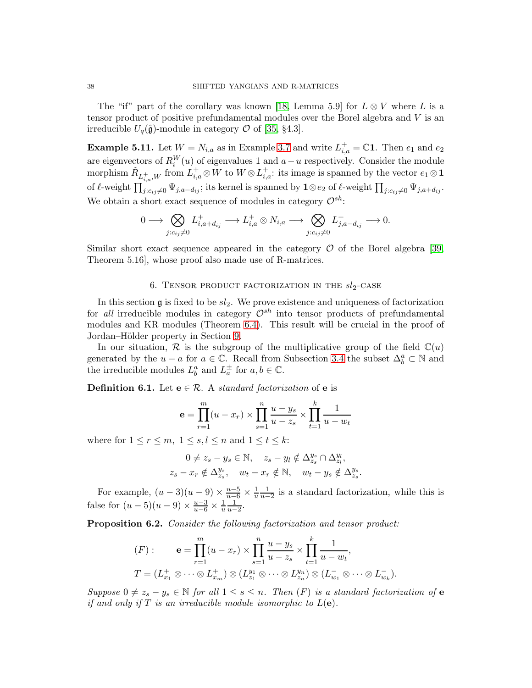The "if" part of the corollary was known [\[18,](#page-54-10) Lemma 5.9] for  $L \otimes V$  where L is a tensor product of positive prefundamental modules over the Borel algebra and V is an irreducible  $U_q(\hat{\mathfrak{g}})$ -module in category  $\mathcal O$  of [\[35,](#page-55-25) §4.3].

**Example 5.11.** Let  $W = N_{i,a}$  as in Example [3.7](#page-14-0) and write  $L_{i,a}^+ = \mathbb{C}1$ . Then  $e_1$  and  $e_2$ are eigenvectors of  $R_i^W(u)$  of eigenvalues 1 and  $a-u$  respectively. Consider the module morphism  $\check{R}_{L_{i,a}^+,W}$  from  $L_{i,a}^+ \otimes W$  to  $W \otimes L_{i,a}^+$ : its image is spanned by the vector  $e_1 \otimes \mathbf{1}$ of  $\ell$ -weight  $\prod_{j:c_{ij}\neq 0} \Psi_{j,a-d_{ij}}$ ; its kernel is spanned by  $1\otimes e_2$  of  $\ell$ -weight  $\prod_{j:c_{ij}\neq 0} \Psi_{j,a+d_{ij}}$ . We obtain a short exact sequence of modules in category  $\mathcal{O}^{sh}$ :

$$
0\longrightarrow \bigotimes_{j:c_{ij}\neq 0}L_{i,a+d_{ij}}^+\longrightarrow L_{i,a}^+\otimes N_{i,a}\longrightarrow \bigotimes_{j:c_{ij}\neq 0}L_{j,a-d_{ij}}^+\longrightarrow 0.
$$

<span id="page-37-0"></span>Similar short exact sequence appeared in the category  $\mathcal O$  of the Borel algebra [\[39,](#page-55-13) Theorem 5.16], whose proof also made use of R-matrices.

# 6. TENSOR PRODUCT FACTORIZATION IN THE  $sl_2\textrm{-}\text{CASE}$

In this section  $\mathfrak g$  is fixed to be  $sl_2$ . We prove existence and uniqueness of factorization for all irreducible modules in category  $\mathcal{O}^{sh}$  into tensor products of prefundamental modules and KR modules (Theorem [6.4\)](#page-40-0). This result will be crucial in the proof of Jordan–Hölder property in Section [9.](#page-50-0)

In our situation,  $\mathcal R$  is the subgroup of the multiplicative group of the field  $\mathbb C(u)$ generated by the  $u - a$  for  $a \in \mathbb{C}$ . Recall from Subsection [3.4](#page-19-2) the subset  $\Delta_b^a \subset \mathbb{N}$  and the irreducible modules  $L_b^a$  and  $L_a^{\pm}$  for  $a, b \in \mathbb{C}$ .

<span id="page-37-1"></span>**Definition 6.1.** Let  $e \in \mathcal{R}$ . A *standard factorization* of **e** is

$$
\mathbf{e} = \prod_{r=1}^{m} (u - x_r) \times \prod_{s=1}^{n} \frac{u - y_s}{u - z_s} \times \prod_{t=1}^{k} \frac{1}{u - w_t}
$$

where for  $1 \le r \le m$ ,  $1 \le s, l \le n$  and  $1 \le t \le k$ :

$$
0 \neq z_s - y_s \in \mathbb{N}, \quad z_s - y_l \notin \Delta_{z_s}^{y_s} \cap \Delta_{z_l}^{y_l},
$$
  

$$
z_s - x_r \notin \Delta_{z_s}^{y_s}, \quad w_t - x_r \notin \mathbb{N}, \quad w_t - y_s \notin \Delta_{z_s}^{y_s}.
$$

For example,  $(u-3)(u-9) \times \frac{u-5}{u-6} \times \frac{1}{u} \frac{1}{u-2}$  is a standard factorization, while this is false for  $(u-5)(u-9) \times \frac{u-3}{u-6} \times \frac{1}{u} \frac{1}{u-2}$ .

<span id="page-37-2"></span>Proposition 6.2. Consider the following factorization and tensor product:

$$
(F): \mathbf{e} = \prod_{r=1}^{m} (u - x_r) \times \prod_{s=1}^{n} \frac{u - y_s}{u - z_s} \times \prod_{t=1}^{k} \frac{1}{u - w_t},
$$
  

$$
T = (L_{x_1}^+ \otimes \cdots \otimes L_{x_m}^+) \otimes (L_{z_1}^{y_1} \otimes \cdots \otimes L_{z_n}^{y_n}) \otimes (L_{w_1}^- \otimes \cdots \otimes L_{w_k}^-).
$$

Suppose  $0 \neq z_s - y_s \in \mathbb{N}$  for all  $1 \leq s \leq n$ . Then  $(F)$  is a standard factorization of  $e$ if and only if T is an irreducible module isomorphic to  $L(e)$ .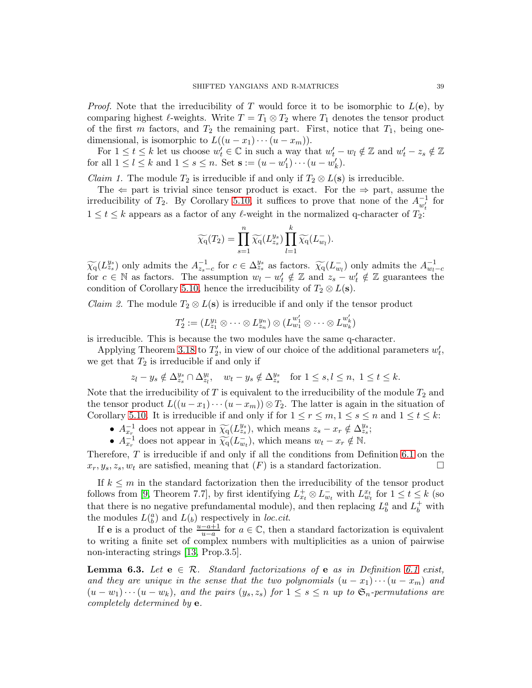*Proof.* Note that the irreducibility of T would force it to be isomorphic to  $L(e)$ , by comparing highest  $\ell$ -weights. Write  $T = T_1 \otimes T_2$  where  $T_1$  denotes the tensor product of the first m factors, and  $T_2$  the remaining part. First, notice that  $T_1$ , being onedimensional, is isomorphic to  $L((u-x_1)\cdots(u-x_m)).$ 

For  $1 \le t \le k$  let us choose  $w_t \in \mathbb{C}$  in such a way that  $w_t' - w_t \notin \mathbb{Z}$  and  $w_t' - z_s \notin \mathbb{Z}$ for all  $1 \leq l \leq k$  and  $1 \leq s \leq n$ . Set  $\mathbf{s} := (u - w'_1) \cdots (u - w'_k)$ .

*Claim 1.* The module  $T_2$  is irreducible if and only if  $T_2 \otimes L(s)$  is irreducible.

The  $\Leftarrow$  part is trivial since tensor product is exact. For the  $\Rightarrow$  part, assume the irreducibility of  $T_2$ . By Corollary [5.10,](#page-36-1) it suffices to prove that none of the  $A_{w'_t}^{-1}$  for  $1 \leq t \leq k$  appears as a factor of any  $\ell$ -weight in the normalized q-character of  $T_2$ :

$$
\widetilde{\chi_q}(T_2) = \prod_{s=1}^n \widetilde{\chi_q}(L_{z_s}^{y_s}) \prod_{l=1}^k \widetilde{\chi_q}(L_{w_l}^-).
$$

 $\widetilde{\chi_q}(L_{z_s}^{y_s})$  only admits the  $A_{z_s-c}^{-1}$  for  $c \in \Delta_{z_s}^{y_s}$  as factors.  $\widetilde{\chi_q}(L_{w_l}^-)$  only admits the  $A_{w_l-c}^{-1}$ for  $c \in \mathbb{N}$  as factors. The assumption  $w_l - w'_t \notin \mathbb{Z}$  and  $z_s - w'_t \notin \mathbb{Z}$  guarantees the condition of Corollary [5.10,](#page-36-1) hence the irreducibility of  $T_2 \otimes L(\mathbf{s})$ .

*Claim 2.* The module  $T_2 \otimes L(s)$  is irreducible if and only if the tensor product

$$
T'_2:=(L_{z_1}^{y_1}\otimes\cdots\otimes L_{z_n}^{y_n})\otimes (L_{w_1}^{w'_1}\otimes\cdots\otimes L_{w_k}^{w'_k})
$$

is irreducible. This is because the two modules have the same q-character.

Applying Theorem [3.18](#page-20-1) to  $T_2'$ , in view of our choice of the additional parameters  $w'_t$ , we get that  $T_2$  is irreducible if and only if

$$
z_l - y_s \notin \Delta_{z_s}^{y_s} \cap \Delta_{z_l}^{y_l}, \quad w_t - y_s \notin \Delta_{z_s}^{y_s} \quad \text{for } 1 \leq s,l \leq n, \ 1 \leq t \leq k.
$$

Note that the irreducibility of T is equivalent to the irreducibility of the module  $T_2$  and the tensor product  $L((u-x_1)\cdots(u-x_m))\otimes T_2$ . The latter is again in the situation of Corollary [5.10.](#page-36-1) It is irreducible if and only if for  $1 \le r \le m, 1 \le s \le n$  and  $1 \le t \le k$ :

- $A_{x_r}^{-1}$  does not appear in  $\widetilde{\chi_q}(L_{zs}^{y_s})$ , which means  $z_s x_r \notin \Delta_{zs}^{y_s}$ ;
- $A_{x_r}^{-1}$  does not appear in  $\widetilde{\chi_q}(L_{w_t}^-)$ , which means  $w_t x_r \notin \mathbb{N}$ .

Therefore,  $T$  is irreducible if and only if all the conditions from Definition [6.1](#page-37-1) on the  $x_r, y_s, z_s, w_t$  are satisfied, meaning that  $(F)$  is a standard factorization.

If  $k \leq m$  in the standard factorization then the irreducibility of the tensor product follows from [\[9,](#page-54-1) Theorem 7.7], by first identifying  $L_{x_t}^+ \otimes L_{w_t}^-$  with  $L_{w_t}^{x_t}$  for  $1 \le t \le k$  (so that there is no negative prefundamental module), and then replacing  $L_b^a$  and  $L_b^+$  with the modules  $L(\binom{a}{b})$  and  $L(b)$  respectively in loc.cit.

If e is a product of the  $\frac{u-a+1}{u-a}$  for  $a \in \mathbb{C}$ , then a standard factorization is equivalent to writing a finite set of complex numbers with multiplicities as a union of pairwise non-interacting strings [\[13,](#page-54-12) Prop.3.5].

<span id="page-38-0"></span>**Lemma 6.3.** Let  $e \in \mathcal{R}$ . Standard factorizations of e as in Definition [6.1](#page-37-1) exist, and they are unique in the sense that the two polynomials  $(u - x_1) \cdots (u - x_m)$  and  $(u - w_1) \cdots (u - w_k)$ , and the pairs  $(y_s, z_s)$  for  $1 \leq s \leq n$  up to  $\mathfrak{S}_n$ -permutations are completely determined by e.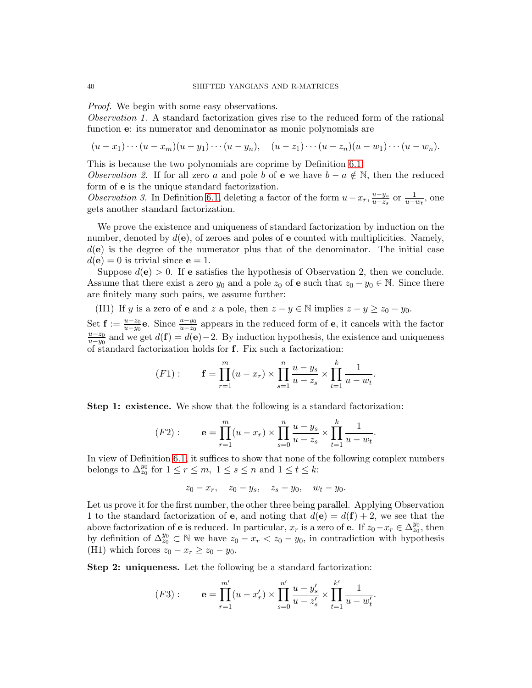Proof. We begin with some easy observations.

Observation 1. A standard factorization gives rise to the reduced form of the rational function e: its numerator and denominator as monic polynomials are

$$
(u-x_1)\cdots(u-x_m)(u-y_1)\cdots(u-y_n), \quad (u-z_1)\cdots(u-z_n)(u-w_1)\cdots(u-w_n).
$$

This is because the two polynomials are coprime by Definition [6.1.](#page-37-1)

Observation 2. If for all zero a and pole b of e we have  $b - a \notin \mathbb{N}$ , then the reduced form of e is the unique standard factorization.

Observation 3. In Definition [6.1,](#page-37-1) deleting a factor of the form  $u-x_r, \frac{u-y_s}{u-z_s}$  $\frac{u-y_s}{u-z_s}$  or  $\frac{1}{u-w_t}$ , one gets another standard factorization.

We prove the existence and uniqueness of standard factorization by induction on the number, denoted by  $d(\mathbf{e})$ , of zeroes and poles of  $\mathbf e$  counted with multiplicities. Namely,  $d(e)$  is the degree of the numerator plus that of the denominator. The initial case  $d(\mathbf{e}) = 0$  is trivial since  $\mathbf{e} = 1$ .

Suppose  $d(e) > 0$ . If e satisfies the hypothesis of Observation 2, then we conclude. Assume that there exist a zero  $y_0$  and a pole  $z_0$  of e such that  $z_0 - y_0 \in \mathbb{N}$ . Since there are finitely many such pairs, we assume further:

(H1) If y is a zero of **e** and z a pole, then  $z - y \in \mathbb{N}$  implies  $z - y \ge z_0 - y_0$ .

Set  $\mathbf{f} := \frac{u-z_0}{u-y_0}$ e. Since  $\frac{u-y_0}{u-z_0}$  appears in the reduced form of e, it cancels with the factor  $u-z_0$  $\frac{u-z_0}{u-y_0}$  and we get  $d(\mathbf{f}) = d(\mathbf{e}) - 2$ . By induction hypothesis, the existence and uniqueness of standard factorization holds for f. Fix such a factorization:

(F1): 
$$
\mathbf{f} = \prod_{r=1}^{m} (u - x_r) \times \prod_{s=1}^{n} \frac{u - y_s}{u - z_s} \times \prod_{t=1}^{k} \frac{1}{u - w_t}.
$$

Step 1: existence. We show that the following is a standard factorization:

$$
(F2): \qquad \mathbf{e} = \prod_{r=1}^{m} (u - x_r) \times \prod_{s=0}^{n} \frac{u - y_s}{u - z_s} \times \prod_{t=1}^{k} \frac{1}{u - w_t}.
$$

In view of Definition [6.1,](#page-37-1) it suffices to show that none of the following complex numbers belongs to  $\Delta_{z_0}^{y_0}$  for  $1 \le r \le m$ ,  $1 \le s \le n$  and  $1 \le t \le k$ :

$$
z_0 - x_r
$$
,  $z_0 - y_s$ ,  $z_s - y_0$ ,  $w_t - y_0$ .

Let us prove it for the first number, the other three being parallel. Applying Observation 1 to the standard factorization of **e**, and noting that  $d(\mathbf{e}) = d(\mathbf{f}) + 2$ , we see that the above factorization of **e** is reduced. In particular,  $x_r$  is a zero of **e**. If  $z_0 - x_r \in \Delta_{z_0}^{y_0}$ , then by definition of  $\Delta_{z_0}^{y_0} \subset \mathbb{N}$  we have  $z_0 - x_r < z_0 - y_0$ , in contradiction with hypothesis (H1) which forces  $z_0 - x_r \ge z_0 - y_0$ .

Step 2: uniqueness. Let the following be a standard factorization:

$$
(F3): \qquad \mathbf{e} = \prod_{r=1}^{m'} (u - x'_r) \times \prod_{s=0}^{n'} \frac{u - y'_s}{u - z'_s} \times \prod_{t=1}^{k'} \frac{1}{u - w'_t}.
$$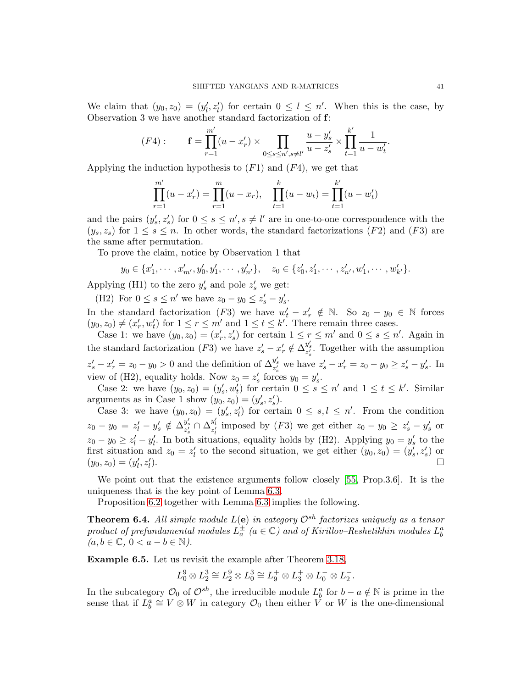We claim that  $(y_0, z_0) = (y'_l, z'_l)$  for certain  $0 \leq l \leq n'$ . When this is the case, by Observation 3 we have another standard factorization of f:

$$
(F4): \t\mathbf{f} = \prod_{r=1}^{m'} (u - x'_r) \times \prod_{0 \le s \le n', s \ne l'} \frac{u - y'_s}{u - z'_s} \times \prod_{t=1}^{k'} \frac{1}{u - w'_t}.
$$

Applying the induction hypothesis to  $(F1)$  and  $(F4)$ , we get that

$$
\prod_{r=1}^{m'} (u - x'_r) = \prod_{r=1}^{m} (u - x_r), \quad \prod_{t=1}^{k} (u - w_t) = \prod_{t=1}^{k'} (u - w'_t)
$$

and the pairs  $(y'_s, z'_s)$  for  $0 \le s \le n', s \ne l'$  are in one-to-one correspondence with the  $(y_s, z_s)$  for  $1 \leq s \leq n$ . In other words, the standard factorizations (F2) and (F3) are the same after permutation.

To prove the claim, notice by Observation 1 that

$$
y_0 \in \{x'_1, \cdots, x'_{m'}, y'_0, y'_1, \cdots, y'_{n'}\}, \quad z_0 \in \{z'_0, z'_1, \cdots, z'_{n'}, w'_1, \cdots, w'_{k'}\}.
$$

Applying (H1) to the zero  $y'_s$  and pole  $z'_s$  we get:

(H2) For  $0 \le s \le n'$  we have  $z_0 - y_0 \le z'_s - y'_s$ .

In the standard factorization (F3) we have  $w'_t - x'_r \notin \mathbb{N}$ . So  $z_0 - y_0 \in \mathbb{N}$  forces  $(y_0, z_0) \neq (x'_r, w'_t)$  for  $1 \leq r \leq m'$  and  $1 \leq t \leq k'$ . There remain three cases.

Case 1: we have  $(y_0, z_0) = (x'_r, z'_s)$  for certain  $1 \le r \le m'$  and  $0 \le s \le n'$ . Again in the standard factorization (F3) we have  $z'_s - x'_r \notin \overline{\Delta_{z'_s}^{y'_s}}$ . Together with the assumption  $z'_s - x'_r = z_0 - y_0 > 0$  and the definition of  $\Delta_{z'_s}^{y'_s}$  we have  $z'_s - x'_r = z_0 - y_0 \ge z'_s - y'_s$ . In view of (H2), equality holds. Now  $z_0 = z'_s$  forces  $y_0 = y'_s$ .

Case 2: we have  $(y_0, z_0) = (y'_s, w'_t)$  for certain  $0 \le s \le n'$  and  $1 \le t \le k'$ . Similar arguments as in Case 1 show  $(y_0, z_0) = (y'_s, z'_s)$ .

Case 3: we have  $(y_0, z_0) = (y'_s, z'_t)$  for certain  $0 \le s, l \le n'$ . From the condition  $z_0 - y_0 = z'_l - y'_s \notin \Delta_{z'_s}^{y'_s} \cap \Delta_{z'_l}^{y'_l}$  imposed by (F3) we get either  $z_0 - y_0 \ge z'_s - y'_s$  or  $z_0 - y_0 \ge z'_l - y'_l$ . In both situations, equality holds by (H2). Applying  $y_0 = y'_s$  to the first situation and  $z_0 = z'_l$  to the second situation, we get either  $(y_0, z_0) = (y'_s, z'_s)$  or  $(y_0, z_0) = (y'_l, z'_l)$ ).

We point out that the existence arguments follow closely [\[55,](#page-56-12) Prop.3.6]. It is the uniqueness that is the key point of Lemma [6.3.](#page-38-0)

Proposition [6.2](#page-37-2) together with Lemma [6.3](#page-38-0) implies the following.

<span id="page-40-0"></span>**Theorem 6.4.** All simple module  $L(e)$  in category  $\mathcal{O}^{sh}$  factorizes uniquely as a tensor product of prefundamental modules  $L_a^{\pm}$  ( $a \in \mathbb{C}$ ) and of Kirillov–Reshetikhin modules  $L_b^a$  $(a, b \in \mathbb{C}, 0 < a - b \in \mathbb{N}).$ 

Example 6.5. Let us revisit the example after Theorem [3.18,](#page-20-1)

$$
L^9_0\otimes L^3_2\cong L^9_2\otimes L^3_0\cong L^+_9\otimes L^+_3\otimes L^-_0\otimes L^-_2.
$$

In the subcategory  $\mathcal{O}_0$  of  $\mathcal{O}^{sh}$ , the irreducible module  $L_b^a$  for  $b - a \notin \mathbb{N}$  is prime in the sense that if  $L_b^a \cong V \otimes W$  in category  $\mathcal{O}_0$  then either  $V$  or W is the one-dimensional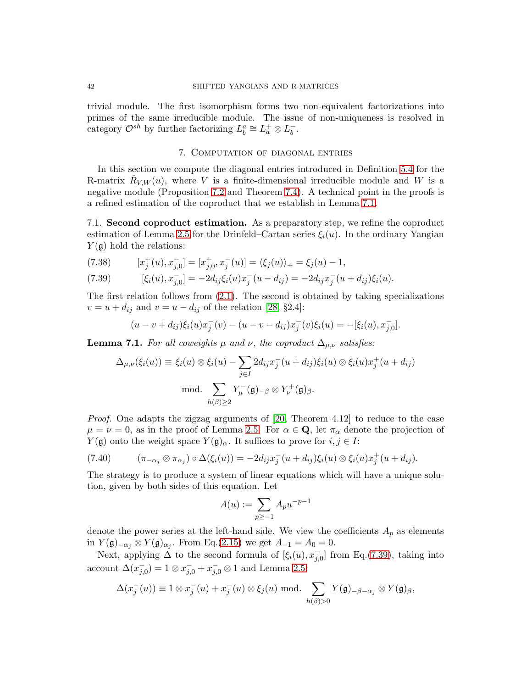trivial module. The first isomorphism forms two non-equivalent factorizations into primes of the same irreducible module. The issue of non-uniqueness is resolved in category  $\mathcal{O}^{sh}$  by further factorizing  $L_b^a \cong L_a^+ \otimes L_b^-$ .

# 7. Computation of diagonal entries

<span id="page-41-0"></span>In this section we compute the diagonal entries introduced in Definition [5.4](#page-32-1) for the R-matrix  $\check{R}_{V,W}(u)$ , where V is a finite-dimensional irreducible module and W is a negative module (Proposition [7.2](#page-42-0) and Theorem [7.4\)](#page-44-0). A technical point in the proofs is a refined estimation of the coproduct that we establish in Lemma [7.1.](#page-41-1)

7.1. Second coproduct estimation. As a preparatory step, we refine the coproduct estimation of Lemma [2.5](#page-9-0) for the Drinfeld–Cartan series  $\xi_i(u)$ . In the ordinary Yangian  $Y(\mathfrak{g})$  hold the relations:

<span id="page-41-3"></span>(7.38) 
$$
[x_j^+(u), x_{j,0}^-] = [x_{j,0}^+, x_j^-(u)] = \langle \xi_j(u) \rangle_+ = \xi_j(u) - 1,
$$

<span id="page-41-2"></span>(7.39) 
$$
[\xi_i(u), x_{j,0}^-] = -2d_{ij}\xi_i(u)x_j^-(u - d_{ij}) = -2d_{ij}x_j^-(u + d_{ij})\xi_i(u).
$$

The first relation follows from  $(2.1)$ . The second is obtained by taking specializations  $v = u + d_{ij}$  and  $v = u - d_{ij}$  of the relation [\[28,](#page-55-11) §2.4]:

$$
(u - v + d_{ij})\xi_i(u)x_j^-(v) - (u - v - d_{ij})x_j^-(v)\xi_i(u) = -[\xi_i(u), x_{j,0}^{\dagger}].
$$

<span id="page-41-1"></span>**Lemma 7.1.** For all coweights  $\mu$  and  $\nu$ , the coproduct  $\Delta_{\mu,\nu}$  satisfies:

$$
\Delta_{\mu,\nu}(\xi_i(u)) \equiv \xi_i(u) \otimes \xi_i(u) - \sum_{j \in I} 2d_{ij}x_j^-(u + d_{ij})\xi_i(u) \otimes \xi_i(u)x_j^+(u + d_{ij})
$$
  
mod. 
$$
\sum_{h(\beta) \ge 2} Y_{\mu}^-(\mathfrak{g})_{-\beta} \otimes Y_{\nu}^+(\mathfrak{g})_{\beta}.
$$

Proof. One adapts the zigzag arguments of [\[20,](#page-54-3) Theorem 4.12] to reduce to the case  $\mu = \nu = 0$ , as in the proof of Lemma [2.5.](#page-9-0) For  $\alpha \in \mathbf{Q}$ , let  $\pi_{\alpha}$  denote the projection of  $Y(\mathfrak{g})$  onto the weight space  $Y(\mathfrak{g})_{\alpha}$ . It suffices to prove for  $i, j \in I$ :

$$
(7.40) \qquad (\pi_{-\alpha_j} \otimes \pi_{\alpha_j}) \circ \Delta(\xi_i(u)) = -2d_{ij}x_j^-(u+d_{ij})\xi_i(u) \otimes \xi_i(u)x_j^+(u+d_{ij}).
$$

The strategy is to produce a system of linear equations which will have a unique solution, given by both sides of this equation. Let

$$
A(u) := \sum_{p \ge -1} A_p u^{-p-1}
$$

denote the power series at the left-hand side. We view the coefficients  $A_p$  as elements in  $Y(\mathfrak{g})_{-\alpha_j} \otimes Y(\mathfrak{g})_{\alpha_j}$ . From Eq.[\(2.15\)](#page-7-5) we get  $A_{-1} = A_0 = 0$ .

Next, applying  $\Delta$  to the second formula of  $[\xi_i(u), x_{j,0}^-]$  from Eq.[\(7.39\)](#page-41-2), taking into account  $\Delta(x_{j,0}^{-}) = 1 \otimes x_{j,0}^{-} + x_{j,0}^{-} \otimes 1$  and Lemma [2.5:](#page-9-0)

$$
\Delta(x_j^-(u)) \equiv 1 \otimes x_j^-(u) + x_j^-(u) \otimes \xi_j(u) \text{ mod.} \sum_{h(\beta) > 0} Y(\mathfrak{g})_{-\beta - \alpha_j} \otimes Y(\mathfrak{g})_{\beta},
$$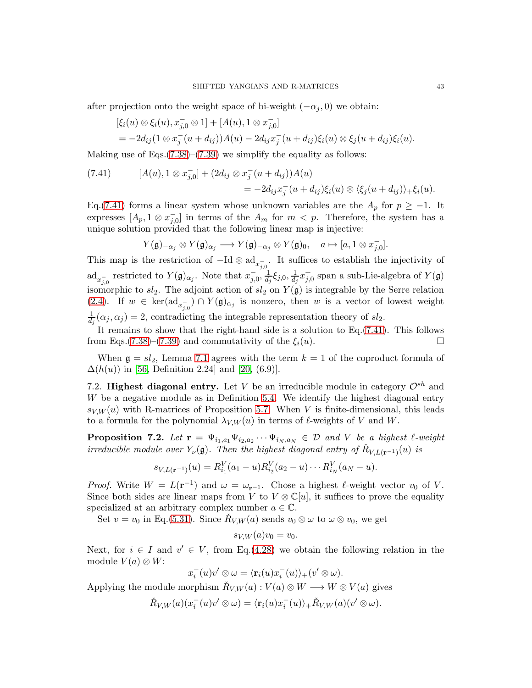after projection onto the weight space of bi-weight  $(-\alpha_i, 0)$  we obtain:

$$
[\xi_i(u) \otimes \xi_i(u), x_{j,0}^- \otimes 1] + [A(u), 1 \otimes x_{j,0}^-] = -2d_{ij}(1 \otimes x_j^-(u + d_{ij}))A(u) - 2d_{ij}x_j^-(u + d_{ij})\xi_i(u) \otimes \xi_j(u + d_{ij})\xi_i(u).
$$

Making use of Eqs. $(7.38)$ – $(7.39)$  we simplify the equality as follows:

<span id="page-42-1"></span>(7.41) 
$$
[A(u), 1 \otimes x_{j,0}^-] + (2d_{ij} \otimes x_j^-(u + d_{ij}))A(u) = -2d_{ij}x_j^-(u + d_{ij})\xi_i(u) \otimes \langle \xi_j(u + d_{ij}) \rangle + \xi_i(u).
$$

Eq.[\(7.41\)](#page-42-1) forms a linear system whose unknown variables are the  $A_p$  for  $p \ge -1$ . It expresses  $[A_p, 1 \otimes x_{j,0}^-]$  in terms of the  $A_m$  for  $m < p$ . Therefore, the system has a unique solution provided that the following linear map is injective:

$$
Y(\mathfrak{g})_{-\alpha_j} \otimes Y(\mathfrak{g})_{\alpha_j} \longrightarrow Y(\mathfrak{g})_{-\alpha_j} \otimes Y(\mathfrak{g})_0, \quad a \mapsto [a, 1 \otimes x_{j,0}^{-}].
$$

This map is the restriction of  $-\text{Id} \otimes \text{ad}_{x_{j,0}^{-}}$ . It suffices to establish the injectivity of  $\mathrm{ad}_{x_{j,0}^-}$  restricted to  $Y(\mathfrak{g})_{\alpha_j}$ . Note that  $x_{j,0}^-$ ,  $\frac{1}{d_j}\xi_{j,0}$ ,  $\frac{1}{d_j}x_{j,0}^+$  span a sub-Lie-algebra of  $Y(\mathfrak{g})$ isomorphic to  $sl_2$ . The adjoint action of  $sl_2$  on  $Y(\mathfrak{g})$  is integrable by the Serre relation [\(2.4\)](#page-5-3). If  $w \in \text{ker}(\text{ad}_{x_{j,0}^{-}}) \cap Y(\mathfrak{g})_{\alpha_j}$  is nonzero, then w is a vector of lowest weight  $\frac{1}{d_j}(\alpha_j, \alpha_j) = 2$ , contradicting the integrable representation theory of  $sl_2$ .

It remains to show that the right-hand side is a solution to Eq.[\(7.41\)](#page-42-1). This follows from Eqs.[\(7.38\)](#page-41-3)–[\(7.39\)](#page-41-2) and commutativity of the  $\xi_i(u)$ .

When  $\mathfrak{g} = sl_2$ , Lemma [7.1](#page-41-1) agrees with the term  $k = 1$  of the coproduct formula of  $\Delta(h(u))$  in [\[56,](#page-56-17) Definition 2.24] and [\[20,](#page-54-3) (6.9)].

7.2. Highest diagonal entry. Let V be an irreducible module in category  $\mathcal{O}^{sh}$  and W be a negative module as in Definition [5.4.](#page-32-1) We identify the highest diagonal entry  $s_{V,W}(u)$  with R-matrices of Proposition [5.7.](#page-33-0) When V is finite-dimensional, this leads to a formula for the polynomial  $\lambda_{V,W}(u)$  in terms of  $\ell$ -weights of V and W.

<span id="page-42-0"></span>**Proposition 7.2.** Let  $\mathbf{r} = \Psi_{i_1, a_1} \Psi_{i_2, a_2} \cdots \Psi_{i_N, a_N} \in \mathcal{D}$  and V be a highest  $\ell$ -weight irreducible module over  $Y_{\nu}(\mathfrak{g})$ . Then the highest diagonal entry of  $R_{V,L(\mathbf{r}^{-1})}(u)$  is

$$
s_{V,L(\mathbf{r}^{-1})}(u) = R_{i_1}^V(a_1 - u)R_{i_2}^V(a_2 - u) \cdots R_{i_N}^V(a_N - u).
$$

*Proof.* Write  $W = L(\mathbf{r}^{-1})$  and  $\omega = \omega_{\mathbf{r}^{-1}}$ . Chose a highest  $\ell$ -weight vector  $v_0$  of V. Since both sides are linear maps from V to  $V \otimes \mathbb{C}[u]$ , it suffices to prove the equality specialized at an arbitrary complex number  $a \in \mathbb{C}$ .

Set  $v = v_0$  in Eq.[\(5.31\)](#page-32-2). Since  $\check{R}_{V,W}(a)$  sends  $v_0 \otimes \omega$  to  $\omega \otimes v_0$ , we get

$$
s_{V,W}(a)v_0 = v_0.
$$

Next, for  $i \in I$  and  $v' \in V$ , from Eq.[\(4.28\)](#page-24-0) we obtain the following relation in the module  $V(a) \otimes W$ :

$$
x_i^-(u)v' \otimes \omega = \langle \mathbf{r}_i(u)x_i^-(u) \rangle + (v' \otimes \omega).
$$

Applying the module morphism  $\check{R}_{V,W}(a) : V(a) \otimes W \longrightarrow W \otimes V(a)$  gives

$$
\check{R}_{V,W}(a)(x_i^-(u)v'\otimes\omega)=\langle \mathbf{r}_i(u)x_i^-(u)\rangle_+\check{R}_{V,W}(a)(v'\otimes\omega).
$$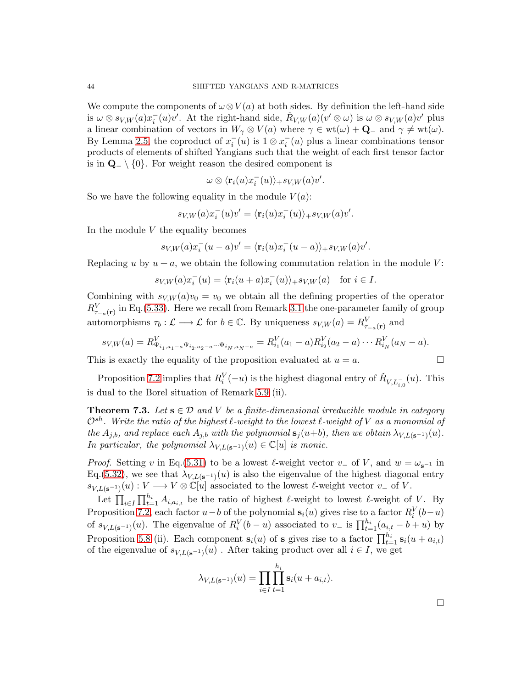We compute the components of  $\omega \otimes V(a)$  at both sides. By definition the left-hand side is  $\omega \otimes s_{V,W}(a)x_i^-(u)v'$ . At the right-hand side,  $\check{R}_{V,W}(a)(v' \otimes \omega)$  is  $\omega \otimes s_{V,W}(a)v'$  plus a linear combination of vectors in  $W_\gamma \otimes V(a)$  where  $\gamma \in \text{wt}(\omega) + \mathbf{Q}_-$  and  $\gamma \neq \text{wt}(\omega)$ . By Lemma [2.5,](#page-9-0) the coproduct of  $x_i^-(u)$  is  $1 \otimes x_i^-(u)$  plus a linear combinations tensor products of elements of shifted Yangians such that the weight of each first tensor factor is in  $\mathbf{Q}$  \ {0}. For weight reason the desired component is

$$
\omega \otimes \langle \mathbf{r}_i(u)x_i^-(u)\rangle_+ s_{V,W}(a)v'.
$$

So we have the following equality in the module  $V(a)$ :

$$
s_{V,W}(a)x_i^-(u)v' = \langle \mathbf{r}_i(u)x_i^-(u) \rangle_+ s_{V,W}(a)v'.
$$

In the module  $V$  the equality becomes

$$
s_{V,W}(a)x_i^-(u-a)v'=\langle \mathbf{r}_i(u)x_i^-(u-a)\rangle_+s_{V,W}(a)v'.
$$

Replacing u by  $u + a$ , we obtain the following commutation relation in the module V:

$$
s_{V,W}(a)x_i^-(u) = \langle \mathbf{r}_i(u+a)x_i^-(u) \rangle_+ s_{V,W}(a) \quad \text{for } i \in I.
$$

Combining with  $s_{V,W}(a)v_0 = v_0$  we obtain all the defining properties of the operator  $R_{\tau_{-a}(\mathbf{r})}^V$  in Eq.[\(5.33\)](#page-33-1). Here we recall from Remark [3.1](#page-12-2) the one-parameter family of group automorphisms  $\tau_b : \mathcal{L} \longrightarrow \mathcal{L}$  for  $b \in \mathbb{C}$ . By uniqueness  $s_{V,W}(a) = R_{\tau_{-a}(\mathbf{r})}^V$  and

$$
s_{V,W}(a) = R_{\Psi_{i_1,a_1-a}\Psi_{i_2,a_2-a}\cdots\Psi_{i_N,a_N-a}}^V = R_{i_1}^V(a_1-a)R_{i_2}^V(a_2-a)\cdots R_{i_N}^V(a_N-a).
$$

This is exactly the equality of the proposition evaluated at  $u = a$ .

Proposition 7.2 implies that 
$$
R_i^V(-u)
$$
 is the highest diagonal entry of  $\check{R}_{V,L_{i,0}^-}(u)$ . This is dual to the Borel situation of Remark 5.9 (ii).

<span id="page-43-0"></span>**Theorem 7.3.** Let  $s \in \mathcal{D}$  and V be a finite-dimensional irreducible module in category  $\mathcal{O}^{sh}$ . Write the ratio of the highest  $\ell$ -weight to the lowest  $\ell$ -weight of V as a monomial of the  $A_{j,b}$ , and replace each  $A_{j,b}$  with the polynomial  $s_j(u+b)$ , then we obtain  $\lambda_{V,L({\bf s}^{-1})}(u)$ . In particular, the polynomial  $\lambda_{V,L(\mathbf{s}^{-1})}(u) \in \mathbb{C}[u]$  is monic.

*Proof.* Setting v in Eq.[\(5.31\)](#page-32-2) to be a lowest  $\ell$ -weight vector v<sub>−</sub> of V, and  $w = \omega_{s^{-1}}$  in Eq.[\(5.32\)](#page-32-3), we see that  $\lambda_{V,L({\bf s}^{-1})}(u)$  is also the eigenvalue of the highest diagonal entry  $s_{V,L({\bf s}^{-1})}(u): V \longrightarrow V \otimes \mathbb{C}[u]$  associated to the lowest  $\ell$ -weight vector  $v_-$  of V.

Let  $\prod_{i\in I}\prod_{t=1}^{h_i}A_{i,a_{i,t}}$  be the ratio of highest  $\ell$ -weight to lowest  $\ell$ -weight of V. By Proposition [7.2,](#page-42-0) each factor  $u-b$  of the polynomial  $s_i(u)$  gives rise to a factor  $R_i^V(b-u)$ of  $s_{V,L({\bf s}^{-1})}(u)$ . The eigenvalue of  $R_i^V(b-u)$  associated to  $v_-$  is  $\prod_{t=1}^{h_i} (a_{i,t} - b + u)$  by Proposition [5.8](#page-34-1) (ii). Each component  $\mathbf{s}_i(u)$  of **s** gives rise to a factor  $\prod_{t=1}^{h_i} \mathbf{s}_i(u + a_{i,t})$ of the eigenvalue of  $s_{V,L({\bf s}^{-1})}(u)$ . After taking product over all  $i \in I$ , we get

$$
\lambda_{V,L(\mathbf{s}^{-1})}(u) = \prod_{i \in I} \prod_{t=1}^{h_i} \mathbf{s}_i(u + a_{i,t}).
$$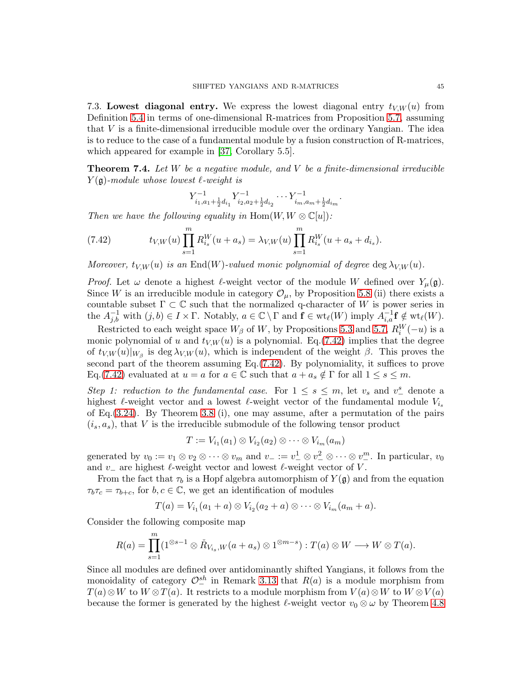7.3. Lowest diagonal entry. We express the lowest diagonal entry  $t_{V,W}(u)$  from Definition [5.4](#page-32-1) in terms of one-dimensional R-matrices from Proposition [5.7,](#page-33-0) assuming that V is a finite-dimensional irreducible module over the ordinary Yangian. The idea is to reduce to the case of a fundamental module by a fusion construction of R-matrices, which appeared for example in [\[37,](#page-55-6) Corollary 5.5].

<span id="page-44-0"></span>**Theorem 7.4.** Let  $W$  be a negative module, and  $V$  be a finite-dimensional irreducible  $Y(\mathfrak{g})$ -module whose lowest  $\ell$ -weight is

<span id="page-44-1"></span>
$$
Y_{i_1, a_1 + \frac{1}{2}d_{i_1}}^{-1} Y_{i_2, a_2 + \frac{1}{2}d_{i_2}}^{-1} \cdots Y_{i_m, a_m + \frac{1}{2}d_{i_m}}
$$

.

Then we have the following equality in  $\text{Hom}(W, W \otimes \mathbb{C}[u])$ :

(7.42) 
$$
t_{V,W}(u) \prod_{s=1}^{m} R_{i_s}^{W}(u+a_s) = \lambda_{V,W}(u) \prod_{s=1}^{m} R_{i_s}^{W}(u+a_s+d_{i_s}).
$$

Moreover,  $t_{V,W}(u)$  is an End(W)-valued monic polynomial of degree deg  $\lambda_{V,W}(u)$ .

*Proof.* Let  $\omega$  denote a highest  $\ell$ -weight vector of the module W defined over  $Y_\mu(\mathfrak{g})$ . Since W is an irreducible module in category  $\mathcal{O}_{\mu}$ , by Proposition [5.8](#page-34-1) (ii) there exists a countable subset  $\Gamma \subset \mathbb{C}$  such that the normalized q-character of W is power series in the  $A_{j,b}^{-1}$  with  $(j,b) \in I \times \Gamma$ . Notably,  $a \in \mathbb{C} \setminus \Gamma$  and  $\mathbf{f} \in \text{wt}_{\ell}(W)$  imply  $A_{i,a}^{-1} \mathbf{f} \notin \text{wt}_{\ell}(W)$ .

Restricted to each weight space  $W_{\beta}$  of W, by Propositions [5.3](#page-31-0) and [5.7,](#page-33-0)  $R_i^W(-u)$  is a monic polynomial of u and  $t_{V,W}(u)$  is a polynomial. Eq.[\(7.42\)](#page-44-1) implies that the degree of  $t_{V,W}(u)|_{W_\beta}$  is deg  $\lambda_{V,W}(u)$ , which is independent of the weight  $\beta$ . This proves the second part of the theorem assuming Eq.[\(7.42\)](#page-44-1). By polynomiality, it suffices to prove Eq.[\(7.42\)](#page-44-1) evaluated at  $u = a$  for  $a \in \mathbb{C}$  such that  $a + a_s \notin \Gamma$  for all  $1 \leq s \leq m$ .

Step 1: reduction to the fundamental case. For  $1 \leq s \leq m$ , let  $v_s$  and  $v^s$  denote a highest  $\ell$ -weight vector and a lowest  $\ell$ -weight vector of the fundamental module  $V_{i_s}$ of Eq.  $(3.24)$ . By Theorem [3.8](#page-15-0) (i), one may assume, after a permutation of the pairs  $(i_s, a_s)$ , that V is the irreducible submodule of the following tensor product

$$
T:=V_{i_1}(a_1)\otimes V_{i_2}(a_2)\otimes\cdots\otimes V_{i_m}(a_m)
$$

generated by  $v_0 := v_1 \otimes v_2 \otimes \cdots \otimes v_m$  and  $v_- := v_-^1 \otimes v_-^2 \otimes \cdots \otimes v_-^m$ . In particular,  $v_0$ and  $v_$  are highest  $\ell$ -weight vector and lowest  $\ell$ -weight vector of V.

From the fact that  $\tau_b$  is a Hopf algebra automorphism of  $Y(\mathfrak{g})$  and from the equation  $\tau_b \tau_c = \tau_{b+c}$ , for  $b, c \in \mathbb{C}$ , we get an identification of modules

$$
T(a) = V_{i_1}(a_1 + a) \otimes V_{i_2}(a_2 + a) \otimes \cdots \otimes V_{i_m}(a_m + a).
$$

Consider the following composite map

$$
R(a) = \prod_{s=1}^{m} (1^{\otimes s-1} \otimes \check{R}_{V_{i_s},W}(a+a_s) \otimes 1^{\otimes m-s}) : T(a) \otimes W \longrightarrow W \otimes T(a).
$$

Since all modules are defined over antidominantly shifted Yangians, it follows from the monoidality of category  $\mathcal{O}^{sh}_{-}$  in Remark [3.13](#page-17-0) that  $R(a)$  is a module morphism from  $T(a) \otimes W$  to  $W \otimes T(a)$ . It restricts to a module morphism from  $V(a) \otimes W$  to  $W \otimes V(a)$ because the former is generated by the highest  $\ell$ -weight vector  $v_0 \otimes \omega$  by Theorem [4.8](#page-22-0)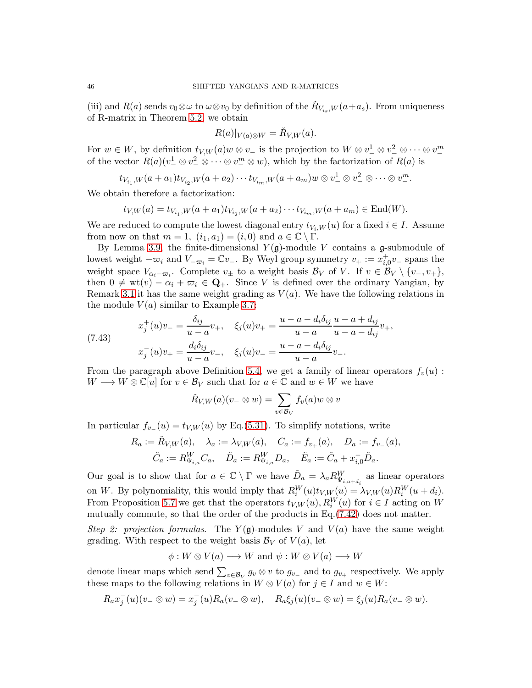(iii) and  $R(a)$  sends  $v_0 \otimes \omega$  to  $\omega \otimes v_0$  by definition of the  $\check{R}_{V_{is},W}(a+a_s)$ . From uniqueness of R-matrix in Theorem [5.2,](#page-30-1) we obtain

$$
R(a)|_{V(a)\otimes W} = \check{R}_{V,W}(a).
$$

For  $w \in W$ , by definition  $t_{V,W}(a)w \otimes v_-$  is the projection to  $W \otimes v_-^1 \otimes v_-^2 \otimes \cdots \otimes v_-^m$ of the vector  $R(a)(v_+^1 \otimes v_-^2 \otimes \cdots \otimes v_-^m \otimes w)$ , which by the factorization of  $R(a)$  is

$$
t_{V_{i_1},W}(a+a_1)t_{V_{i_2},W}(a+a_2)\cdots t_{V_{i_m},W}(a+a_m)w\otimes v^1_-\otimes v^2_-\otimes\cdots\otimes v^m_-\,.
$$

We obtain therefore a factorization:

$$
t_{V,W}(a) = t_{V_{i_1},W}(a+a_1)t_{V_{i_2},W}(a+a_2)\cdots t_{V_{i_m},W}(a+a_m) \in \text{End}(W).
$$

We are reduced to compute the lowest diagonal entry  $t_{V_i,W}(u)$  for a fixed  $i \in I$ . Assume from now on that  $m = 1$ ,  $(i_1, a_1) = (i, 0)$  and  $a \in \mathbb{C} \setminus \Gamma$ .

By Lemma [3.9,](#page-15-2) the finite-dimensional  $Y(\mathfrak{g})$ -module V contains a g-submodule of lowest weight  $-\varpi_i$  and  $V_{-\varpi_i} = \mathbb{C}v_-\$ . By Weyl group symmetry  $v_+ := x_{i,0}^+v_-\$  spans the weight space  $V_{\alpha_i-\varpi_i}$ . Complete  $v_{\pm}$  to a weight basis  $\mathcal{B}_V$  of  $V$ . If  $v \in \mathcal{B}_V \setminus \{v_-, v_+\},$ then  $0 \neq \text{wt}(v) - \alpha_i + \varpi_i \in \mathbf{Q}_+$ . Since V is defined over the ordinary Yangian, by Remark [3.1](#page-12-2) it has the same weight grading as  $V(a)$ . We have the following relations in the module  $V(a)$  similar to Example [3.7:](#page-14-0)

(7.43) 
$$
x_j^+(u)v_- = \frac{\delta_{ij}}{u-a}v_+, \quad \xi_j(u)v_+ = \frac{u-a-d_i\delta_{ij}}{u-a}\frac{u-a+d_{ij}}{u-a-d_{ij}}v_+,
$$

$$
x_j^-(u)v_+ = \frac{d_i\delta_{ij}}{u-a}v_-, \quad \xi_j(u)v_- = \frac{u-a-d_i\delta_{ij}}{u-a}v_-.
$$

From the paragraph above Definition [5.4,](#page-32-1) we get a family of linear operators  $f_v(u)$ :  $W \longrightarrow W \otimes \mathbb{C}[u]$  for  $v \in \mathcal{B}_V$  such that for  $a \in \mathbb{C}$  and  $w \in W$  we have

$$
\check{R}_{V,W}(a)(v_- \otimes w) = \sum_{v \in \mathcal{B}_V} f_v(a)w \otimes v
$$

In particular  $f_{v-}(u) = t_{V,W}(u)$  by Eq.[\(5.31\)](#page-32-2). To simplify notations, write

$$
R_a := \check{R}_{V,W}(a), \quad \lambda_a := \lambda_{V,W}(a), \quad C_a := f_{v_+}(a), \quad D_a := f_{v_-}(a),
$$

$$
\tilde{C}_a := R_{\Psi_{i,a}}^W C_a, \quad \tilde{D}_a := R_{\Psi_{i,a}}^W D_a, \quad \tilde{E}_a := \tilde{C}_a + x_{i,0}^- \tilde{D}_a.
$$

Our goal is to show that for  $a \in \mathbb{C} \setminus \Gamma$  we have  $\tilde{D}_a = \lambda_a R_{\Psi_{i,a+d_i}}^W$  as linear operators on W. By polynomiality, this would imply that  $R_i^W(u)t_{V,W}(u) = \lambda_{V,W}(u)R_i^W(u+d_i)$ . From Proposition [5.7](#page-33-0) we get that the operators  $t_{V,W}(u), R_i^W(u)$  for  $i \in I$  acting on W mutually commute, so that the order of the products in Eq.[\(7.42\)](#page-44-1) does not matter.

Step 2: projection formulas. The  $Y(\mathfrak{g})$ -modules V and  $V(a)$  have the same weight grading. With respect to the weight basis  $\mathcal{B}_V$  of  $V(a)$ , let

$$
\phi: W \otimes V(a) \longrightarrow W \text{ and } \psi: W \otimes V(a) \longrightarrow W
$$

denote linear maps which send  $\sum_{v \in \mathcal{B}_V} g_v \otimes v$  to  $g_{v-}$  and to  $g_{v+}$  respectively. We apply these maps to the following relations in  $W \otimes V(a)$  for  $j \in I$  and  $w \in W$ :

$$
R_a x_j^-(u)(v_- \otimes w) = x_j^-(u) R_a(v_- \otimes w), \quad R_a \xi_j(u)(v_- \otimes w) = \xi_j(u) R_a(v_- \otimes w).
$$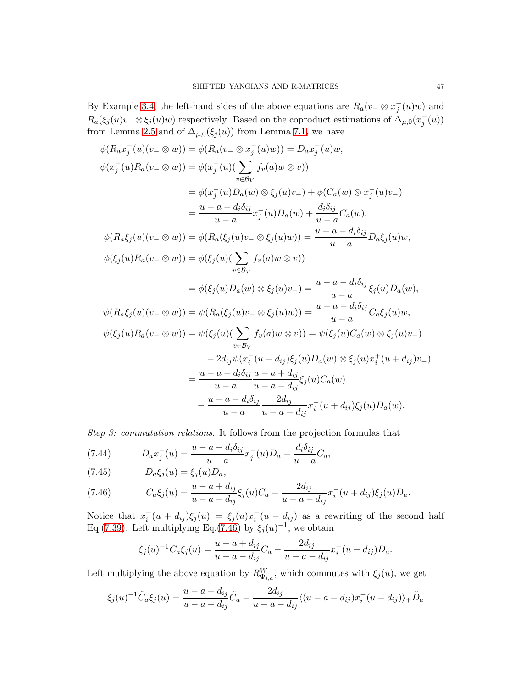By Example [3.4,](#page-13-1) the left-hand sides of the above equations are  $R_a(v_-\otimes x_j^-(u)w)$  and  $R_a(\xi_j(u)v_-\otimes \xi_j(u)w)$  respectively. Based on the coproduct estimations of  $\Delta_{\mu,0}(x_j^-(u))$ from Lemma [2.5](#page-9-0) and of  $\Delta_{\mu,0}(\xi_j(u))$  from Lemma [7.1,](#page-41-1) we have

$$
\phi(R_a x_j^-(u)(v_- \otimes w)) = \phi(R_a(v_- \otimes x_j^-(u)w)) = D_a x_j^-(u)w,
$$
  

$$
\phi(x_j^-(u)R_a(v_- \otimes w)) = \phi(x_j^-(u)(\sum_{v \in \mathcal{B}_V} f_v(a)w \otimes v))
$$
  

$$
= \phi(x_j^-(u)D_a(w) \otimes \xi_j(u)v_-) + \phi(C_a(w) \otimes x_j^-(u)v_-)
$$
  

$$
= \frac{u - a - d_i \delta_{ij}}{u - a} x_j^-(u)D_a(w) + \frac{d_i \delta_{ij}}{u - a} C_a(w),
$$
  

$$
\phi(R_a \xi_j(u)(v_- \otimes w)) = \phi(R_a(\xi_j(u)v_- \otimes \xi_j(u)w)) = \frac{u - a - d_i \delta_{ij}}{u - a} D_a \xi_j(u)w,
$$
  

$$
\phi(\xi_j(u)R_a(v_- \otimes w)) = \phi(\xi_j(u)(\sum_{v \in \mathcal{B}_V} f_v(a)w \otimes v))
$$
  

$$
= \phi(\xi_j(u)D_a(w) \otimes \xi_j(u)v_-) = \frac{u - a - d_i \delta_{ij}}{u - a} \xi_j(u)D_a(w),
$$
  

$$
\psi(R_a \xi_j(u)(v_- \otimes w)) = \psi(R_a(\xi_j(u)v_- \otimes \xi_j(u)w)) = \frac{u - a - d_i \delta_{ij}}{u - a} C_a \xi_j(u)w,
$$
  

$$
\psi(\xi_j(u)R_a(v_- \otimes w)) = \psi(\xi_j(u)(\sum_{v \in \mathcal{B}_V} f_v(a)w \otimes v)) = \psi(\xi_j(u)C_a(w) \otimes \xi_j(u)v_+)
$$
  

$$
= 2d_{ij}\psi(x_i^-(u + d_{ij})\xi_j(u)D_a(w) \otimes \xi_j(u)x_i^+(u + d_{ij})v_-)
$$
  

$$
= \frac{u - a - d_i \delta_{ij}}{u - a} \frac{2d_{ij}}{u - a - d_{ij}} x_i^-(u + d_{ij})\xi_j(u)D_a(w).
$$

Step 3: commutation relations. It follows from the projection formulas that

<span id="page-46-2"></span>(7.44) 
$$
D_a x_j^-(u) = \frac{u - a - d_i \delta_{ij}}{u - a} x_j^-(u) D_a + \frac{d_i \delta_{ij}}{u - a} C_a,
$$

<span id="page-46-1"></span>
$$
(7.45) \t Da \xi_j(u) = \xi_j(u) D_a,
$$

<span id="page-46-0"></span>(7.46) 
$$
C_a \xi_j(u) = \frac{u - a + d_{ij}}{u - a - d_{ij}} \xi_j(u) C_a - \frac{2d_{ij}}{u - a - d_{ij}} x_i^-(u + d_{ij}) \xi_j(u) D_a.
$$

Notice that  $x_i^-(u+d_{ij})\xi_j(u) = \xi_j(u)x_i^-(u-d_{ij})$  as a rewriting of the second half Eq.[\(7.39\)](#page-41-2). Left multiplying Eq.[\(7.46\)](#page-46-0) by  $\xi_j(u)^{-1}$ , we obtain

$$
\xi_j(u)^{-1}C_a\xi_j(u) = \frac{u - a + d_{ij}}{u - a - d_{ij}}C_a - \frac{2d_{ij}}{u - a - d_{ij}}x_i^-(u - d_{ij})D_a.
$$

Left multiplying the above equation by  $R_{\Psi_{i,a}}^W$ , which commutes with  $\xi_j(u)$ , we get

$$
\xi_j(u)^{-1}\tilde{C}_a\xi_j(u) = \frac{u-a+d_{ij}}{u-a-d_{ij}}\tilde{C}_a - \frac{2d_{ij}}{u-a-d_{ij}}\langle (u-a-d_{ij})x_i^-(u-d_{ij})\rangle_+ \tilde{D}_a
$$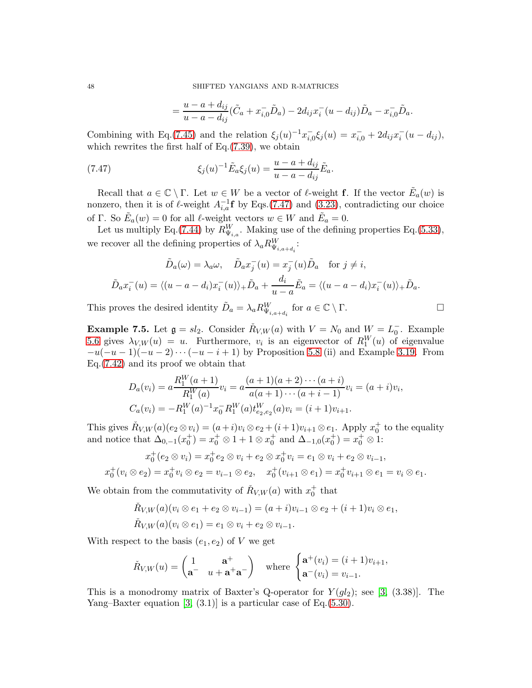$$
= \frac{u - a + d_{ij}}{u - a - d_{ij}} (\tilde{C}_a + x_{i,0} \tilde{D}_a) - 2d_{ij} x_i^-(u - d_{ij}) \tilde{D}_a - x_{i,0} \tilde{D}_a.
$$

Combining with Eq.[\(7.45\)](#page-46-1) and the relation  $\xi_j(u)^{-1} x_{i,0}^{-} \xi_j(u) = x_{i,0}^{-} + 2d_{ij} x_i^{-} (u - d_{ij}),$ which rewrites the first half of Eq. $(7.39)$ , we obtain

(7.47) 
$$
\xi_j(u)^{-1} \tilde{E}_a \xi_j(u) = \frac{u - a + d_{ij}}{u - a - d_{ij}} \tilde{E}_a.
$$

<span id="page-47-0"></span>=

Recall that  $a \in \mathbb{C} \setminus \Gamma$ . Let  $w \in W$  be a vector of  $\ell$ -weight **f**. If the vector  $\tilde{E}_a(w)$  is nonzero, then it is of  $\ell$ -weight  $A_{i,a}^{-1}$ **f** by Eqs.[\(7.47\)](#page-47-0) and [\(3.23\)](#page-14-2), contradicting our choice of Γ. So  $\tilde{E}_a(w) = 0$  for all  $\ell$ -weight vectors  $w \in W$  and  $\tilde{E}_a = 0$ .

Let us multiply Eq.[\(7.44\)](#page-46-2) by  $R_{\Psi_{i,a}}^W$ . Making use of the defining properties Eq.[\(5.33\)](#page-33-1), we recover all the defining properties of  $\lambda_a R^W_{\Psi_{i,a+d_i}}$ :

$$
\tilde{D}_a(\omega) = \lambda_a \omega, \quad \tilde{D}_a x_j^-(u) = x_j^-(u) \tilde{D}_a \quad \text{for } j \neq i,
$$
\n
$$
\tilde{D}_a x_i^-(u) = \langle (u - a - d_i) x_i^-(u) \rangle_+ \tilde{D}_a + \frac{d_i}{u - a} \tilde{E}_a = \langle (u - a - d_i) x_i^-(u) \rangle_+ \tilde{D}_a.
$$

This proves the desired identity  $\tilde{D}_a = \lambda_a R_{\Psi_{i,a+d_i}}^W$  for  $a \in \mathbb{C} \setminus \Gamma$ .

**Example 7.5.** Let  $\mathfrak{g} = sl_2$ . Consider  $\check{R}_{V,W}(a)$  with  $V = N_0$  and  $W = L_0^-$ . Example [5.6](#page-32-4) gives  $\lambda_{V,W}(u) = u$ . Furthermore,  $v_i$  is an eigenvector of  $R_1^W(u)$  of eigenvalue  $-u(-u-1)(-u-2)\cdots(-u-i+1)$  by Proposition [5.8](#page-34-1) (ii) and Example [3.19.](#page-20-2) From Eq.[\(7.42\)](#page-44-1) and its proof we obtain that

$$
D_a(v_i) = a \frac{R_1^W(a+1)}{R_1^W(a)} v_i = a \frac{(a+1)(a+2)\cdots(a+i)}{a(a+1)\cdots(a+i-1)} v_i = (a+i)v_i,
$$
  
\n
$$
C_a(v_i) = -R_1^W(a)^{-1} x_0^{-1} R_1^W(a) t_{e_2,e_2}^W(a) v_i = (i+1)v_{i+1}.
$$

This gives  $\check{R}_{V,W}(a)(e_2 \otimes v_i) = (a+i)v_i \otimes e_2 + (i+1)v_{i+1} \otimes e_1$ . Apply  $x_0^+$  to the equality and notice that  $\Delta_{0,-1}(x_0^+) = x_0^+ \otimes 1 + 1 \otimes x_0^+$  and  $\Delta_{-1,0}(x_0^+) = x_0^+ \otimes 1$ :

$$
x_0^+(e_2 \otimes v_i) = x_0^+e_2 \otimes v_i + e_2 \otimes x_0^+v_i = e_1 \otimes v_i + e_2 \otimes v_{i-1},
$$
  

$$
x_0^+(v_i \otimes e_2) = x_0^+v_i \otimes e_2 = v_{i-1} \otimes e_2, \quad x_0^+(v_{i+1} \otimes e_1) = x_0^+v_{i+1} \otimes e_1 = v_i \otimes e_1.
$$

We obtain from the commutativity of  $\check{R}_{V,W}(a)$  with  $x_0^+$  that

$$
\tilde{R}_{V,W}(a)(v_i \otimes e_1 + e_2 \otimes v_{i-1}) = (a+i)v_{i-1} \otimes e_2 + (i+1)v_i \otimes e_1,
$$
  

$$
\tilde{R}_{V,W}(a)(v_i \otimes e_1) = e_1 \otimes v_i + e_2 \otimes v_{i-1}.
$$

With respect to the basis  $(e_1, e_2)$  of V we get

$$
\check{R}_{V,W}(u) = \begin{pmatrix} 1 & \mathbf{a}^+ \\ \mathbf{a}^- & u + \mathbf{a}^+ \mathbf{a}^- \end{pmatrix} \quad \text{where } \begin{cases} \mathbf{a}^+(v_i) = (i+1)v_{i+1}, \\ \mathbf{a}^-(v_i) = v_{i-1}. \end{cases}
$$

This is a monodromy matrix of Baxter's Q-operator for  $Y(gl_2)$ ; see [\[3,](#page-54-19) (3.38)]. The Yang–Baxter equation  $[3, (3.1)]$  is a particular case of Eq. $(5.30)$ .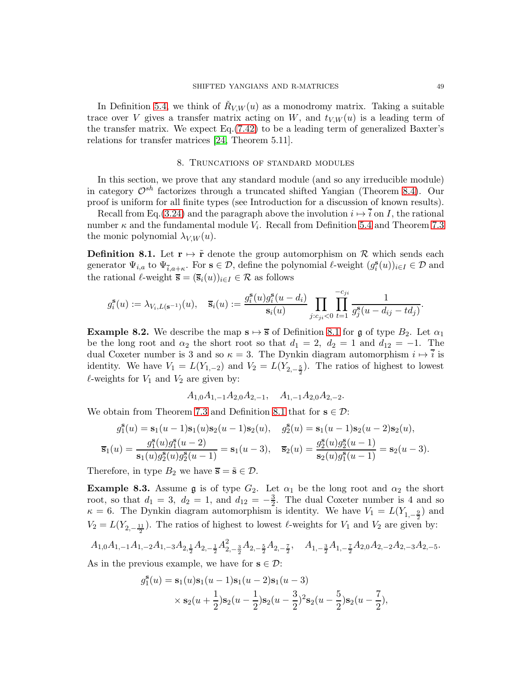In Definition [5.4,](#page-32-1) we think of  $\check{R}_{V,W}(u)$  as a monodromy matrix. Taking a suitable trace over V gives a transfer matrix acting on W, and  $t_{V,W}(u)$  is a leading term of the transfer matrix. We expect Eq.[\(7.42\)](#page-44-1) to be a leading term of generalized Baxter's relations for transfer matrices [\[24,](#page-55-18) Theorem 5.11].

# 8. Truncations of standard modules

<span id="page-48-0"></span>In this section, we prove that any standard module (and so any irreducible module) in category  $\mathcal{O}^{sh}$  factorizes through a truncated shifted Yangian (Theorem [8.4\)](#page-49-1). Our proof is uniform for all finite types (see Introduction for a discussion of known results).

Recall from Eq.[\(3.24\)](#page-15-1) and the paragraph above the involution  $i \mapsto i$  on I, the rational number  $\kappa$  and the fundamental module  $V_i$ . Recall from Definition [5.4](#page-32-1) and Theorem [7.3](#page-43-0) the monic polynomial  $\lambda_{V,W}(u)$ .

<span id="page-48-1"></span>**Definition 8.1.** Let  $\mathbf{r} \mapsto \tilde{\mathbf{r}}$  denote the group automorphism on R which sends each generator  $\Psi_{i,a}$  to  $\Psi_{\bar{i},a+\kappa}$ . For  $s \in \mathcal{D}$ , define the polynomial  $\ell$ -weight  $(g_i^s(u))_{i \in I} \in \mathcal{D}$  and the rational  $\ell$ -weight  $\overline{s} = (\overline{s}_i(u))_{i \in I} \in \mathcal{R}$  as follows

$$
g_i^{\mathbf{s}}(u) := \lambda_{V_i, L(\mathbf{s}^{-1})}(u), \quad \overline{\mathbf{s}}_i(u) := \frac{g_i^{\mathbf{s}}(u)g_i^{\mathbf{s}}(u - d_i)}{\mathbf{s}_i(u)} \prod_{j:c_{ji} < 0} \prod_{t=1}^{-c_{ji}} \frac{1}{g_j^{\mathbf{s}}(u - d_{ij} - td_j)}
$$

<span id="page-48-2"></span>**Example 8.2.** We describe the map  $s \mapsto \overline{s}$  of Definition [8.1](#page-48-1) for g of type  $B_2$ . Let  $\alpha_1$ be the long root and  $\alpha_2$  the short root so that  $d_1 = 2$ ,  $d_2 = 1$  and  $d_{12} = -1$ . The dual Coxeter number is 3 and so  $\kappa = 3$ . The Dynkin diagram automorphism  $i \mapsto \overline{i}$  is identity. We have  $V_1 = L(Y_{1,-2})$  and  $V_2 = L(Y_{2,-\frac{5}{2}})$ . The ratios of highest to lowest  $\ell$ -weights for  $V_1$  and  $V_2$  are given by:

$$
A_{1,0}A_{1,-1}A_{2,0}A_{2,-1}, A_{1,-1}A_{2,0}A_{2,-2}.
$$

We obtain from Theorem [7.3](#page-43-0) and Definition [8.1](#page-48-1) that for  $s \in \mathcal{D}$ :

$$
g_1^{\mathbf{S}}(u) = \mathbf{s}_1(u-1)\mathbf{s}_1(u)\mathbf{s}_2(u-1)\mathbf{s}_2(u), \quad g_2^{\mathbf{S}}(u) = \mathbf{s}_1(u-1)\mathbf{s}_2(u-2)\mathbf{s}_2(u),
$$
  

$$
\overline{\mathbf{s}}_1(u) = \frac{g_1^{\mathbf{S}}(u)g_1^{\mathbf{S}}(u-2)}{\mathbf{s}_1(u)g_2^{\mathbf{S}}(u)g_2^{\mathbf{S}}(u-1)} = \mathbf{s}_1(u-3), \quad \overline{\mathbf{s}}_2(u) = \frac{g_2^{\mathbf{S}}(u)g_2^{\mathbf{S}}(u-1)}{\mathbf{s}_2(u)g_1^{\mathbf{S}}(u-1)} = \mathbf{s}_2(u-3).
$$

Therefore, in type  $B_2$  we have  $\overline{s} = \tilde{s} \in \mathcal{D}$ .

<span id="page-48-3"></span>**Example 8.3.** Assume g is of type  $G_2$ . Let  $\alpha_1$  be the long root and  $\alpha_2$  the short root, so that  $d_1 = 3$ ,  $d_2 = 1$ , and  $d_{12} = -\frac{3}{2}$ . The dual Coxeter number is 4 and so  $\kappa = 6$ . The Dynkin diagram automorphism is identity. We have  $V_1 = L(Y_{1,-\frac{9}{2}})$  and  $V_2 = L(Y_{2,-\frac{11}{2}})$ . The ratios of highest to lowest  $\ell$ -weights for  $V_1$  and  $V_2$  are given by:

$$
A_{1,0}A_{1,-1}A_{1,-2}A_{1,-3}A_{2,\frac{1}{2}}A_{2,-\frac{1}{2}}A_{2,-\frac{3}{2}}^2A_{2,-\frac{5}{2}}A_{2,-\frac{7}{2}},\quad A_{1,-\frac{3}{2}}A_{1,-\frac{7}{2}}A_{2,0}A_{2,-2}A_{2,-3}A_{2,-5}.
$$

As in the previous example, we have for  $s \in \mathcal{D}$ :

$$
g_1^{\mathbf{s}}(u) = \mathbf{s}_1(u)\mathbf{s}_1(u-1)\mathbf{s}_1(u-2)\mathbf{s}_1(u-3)
$$
  
 
$$
\times \mathbf{s}_2(u+\frac{1}{2})\mathbf{s}_2(u-\frac{1}{2})\mathbf{s}_2(u-\frac{3}{2})^2\mathbf{s}_2(u-\frac{5}{2})\mathbf{s}_2(u-\frac{7}{2}),
$$

.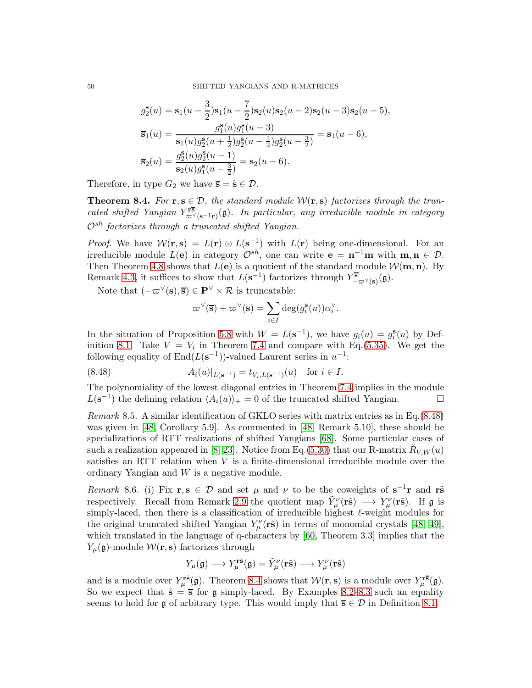$$
g_2^{\mathbf{S}}(u) = \mathbf{s}_1(u - \frac{3}{2})\mathbf{s}_1(u - \frac{7}{2})\mathbf{s}_2(u)\mathbf{s}_2(u - 2)\mathbf{s}_2(u - 3)\mathbf{s}_2(u - 5),
$$
  
\n
$$
\overline{\mathbf{s}}_1(u) = \frac{g_1^{\mathbf{S}}(u)g_1^{\mathbf{S}}(u - 3)}{\mathbf{s}_1(u)g_2^{\mathbf{S}}(u + \frac{1}{2})g_2^{\mathbf{S}}(u - \frac{1}{2})g_2^{\mathbf{S}}(u - \frac{3}{2})} = \mathbf{s}_1(u - 6),
$$
  
\n
$$
\overline{\mathbf{s}}_2(u) = \frac{g_2^{\mathbf{S}}(u)g_2^{\mathbf{S}}(u - 1)}{\mathbf{s}_2(u)g_1^{\mathbf{S}}(u - \frac{3}{2})} = \mathbf{s}_2(u - 6).
$$

Therefore, in type  $G_2$  we have  $\overline{s} = \tilde{s} \in \mathcal{D}$ .

<span id="page-49-1"></span>**Theorem 8.4.** For  $\mathbf{r}, \mathbf{s} \in \mathcal{D}$ , the standard module  $\mathcal{W}(\mathbf{r}, \mathbf{s})$  factorizes through the truncated shifted Yangian  $Y_{\overline{\omega}^{\vee}(s^{-1}r)}^{\overline{rs}}(\mathfrak{g})$ . In particular, any irreducible module in category  $\mathcal{O}^{sh}$  factorizes through a truncated shifted Yangian.

*Proof.* We have  $W(\mathbf{r}, \mathbf{s}) = L(\mathbf{r}) \otimes L(\mathbf{s}^{-1})$  with  $L(\mathbf{r})$  being one-dimensional. For an irreducible module  $L(e)$  in category  $\mathcal{O}^{sh}$ , one can write  $e = \mathbf{n}^{-1}\mathbf{m}$  with  $\mathbf{m}, \mathbf{n} \in \mathcal{D}$ . Then Theorem [4.8](#page-22-0) shows that  $L(e)$  is a quotient of the standard module  $\mathcal{W}(m, n)$ . By Remark [4.3,](#page-21-2) it suffices to show that  $L(s^{-1})$  factorizes through  $Y^{\overline{s}}_{-\varpi^{\vee}(s)}(\mathfrak{g})$ .

Note that  $(-\varpi^{\vee}(s), \overline{s}) \in \mathbf{P}^{\vee} \times \mathcal{R}$  is truncatable:

$$
\varpi^{\vee}(\overline{\mathbf{s}}) + \varpi^{\vee}(\mathbf{s}) = \sum_{i \in I} \deg(g_i^{\mathbf{s}}(u)) \alpha_i^{\vee}.
$$

In the situation of Proposition [5.8](#page-34-1) with  $W = L(s^{-1})$ , we have  $g_i(u) = g_i^s(u)$  by Def-inition [8.1.](#page-48-1) Take  $V = V_i$  in Theorem [7.4](#page-44-0) and compare with Eq.[\(5.35\)](#page-34-0). We get the following equality of  $\text{End}(L(\mathbf{s}^{-1}))$ -valued Laurent series in  $u^{-1}$ :

<span id="page-49-0"></span>(8.48) 
$$
A_i(u)|_{L(\mathbf{s}^{-1})} = t_{V_i, L(\mathbf{s}^{-1})}(u) \text{ for } i \in I.
$$

The polynomiality of the lowest diagonal entries in Theorem [7.4](#page-44-0) implies in the module  $L(\mathbf{s}^{-1})$  the defining relation  $\langle A_i(u) \rangle_+ = 0$  of the truncated shifted Yangian.

Remark 8.5. A similar identification of GKLO series with matrix entries as in Eq.[\(8.48\)](#page-49-0) was given in [\[48,](#page-55-1) Corollary 5.9]. As commented in [\[48,](#page-55-1) Remark 5.10], these should be specializations of RTT realizations of shifted Yangians [\[68\]](#page-56-18). Some particular cases of such a realization appeared in [\[8,](#page-54-20) [23\]](#page-55-27). Notice from Eq.[\(5.30\)](#page-31-1) that our R-matrix  $\check{R}_{V,W}(u)$ satisfies an RTT relation when V is a finite-dimensional irreducible module over the ordinary Yangian and W is a negative module.

Remark 8.6. (i) Fix  $\mathbf{r}, \mathbf{s} \in \mathcal{D}$  and set  $\mu$  and  $\nu$  to be the coweights of  $\mathbf{s}^{-1}\mathbf{r}$  and  $\mathbf{r}\tilde{\mathbf{s}}$ respectively. Recall from Remark [2.9](#page-11-2) the quotient map  $\tilde{Y}^{\nu}_{\mu}(\tilde{rS}) \longrightarrow Y^{\nu}_{\mu}(\tilde{rS})$ . If  $\mathfrak g$  is simply-laced, then there is a classification of irreducible highest  $\ell$ -weight modules for the original truncated shifted Yangian  $Y^{\nu}_{\mu}$  (**r**s̃) in terms of monomial crystals [\[48,](#page-55-1) [49\]](#page-55-2), which translated in the language of q-characters by [\[60,](#page-56-19) Theorem 3.3] implies that the  $Y_{\mu}(\mathfrak{g})$ -module  $\mathcal{W}(\mathbf{r}, \mathbf{s})$  factorizes through

$$
Y_{\mu}(\mathfrak{g}) \longrightarrow Y_{\mu}^{\mathbf{r}\tilde{\mathbf{s}}}(\mathfrak{g}) = \tilde{Y}_{\mu}^{\nu}(\mathbf{r}\tilde{\mathbf{s}}) \longrightarrow Y_{\mu}^{\nu}(\mathbf{r}\tilde{\mathbf{s}})
$$

and is a module over  $Y_\mu^{\mathbf{r}\tilde{\mathbf{s}}}(\mathfrak{g})$ . Theorem [8.4](#page-49-1) shows that  $\mathcal{W}(\mathbf{r},\mathbf{s})$  is a module over  $Y_\mu^{\mathbf{r}\tilde{\mathbf{s}}}(\mathfrak{g})$ . So we expect that  $\tilde{s} = \overline{s}$  for g simply-laced. By Examples [8.2–](#page-48-2)[8.3](#page-48-3) such an equality seems to hold for g of arbitrary type. This would imply that  $\overline{s} \in \mathcal{D}$  in Definition [8.1.](#page-48-1)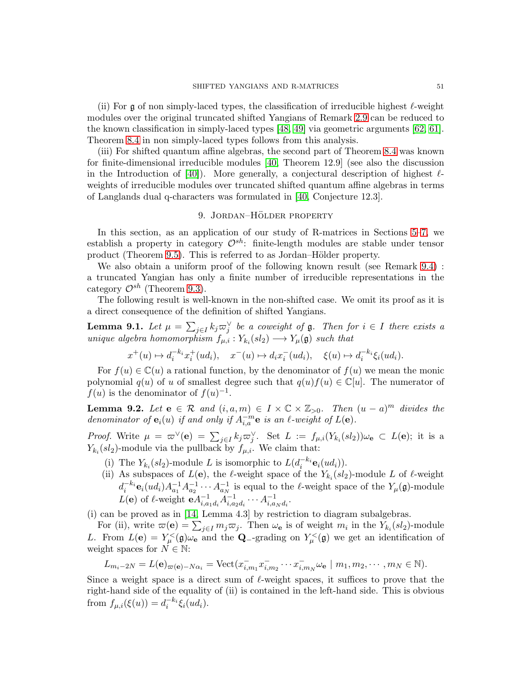(ii) For  $\frak{g}$  of non simply-laced types, the classification of irreducible highest  $\ell$ -weight modules over the original truncated shifted Yangians of Remark [2.9](#page-11-2) can be reduced to the known classification in simply-laced types [\[48,](#page-55-1) [49\]](#page-55-2) via geometric arguments [\[62,](#page-56-0) [61\]](#page-56-1). Theorem [8.4](#page-49-1) in non simply-laced types follows from this analysis.

(iii) For shifted quantum affine algebras, the second part of Theorem [8.4](#page-49-1) was known for finite-dimensional irreducible modules [\[40,](#page-55-3) Theorem 12.9] (see also the discussion in the Introduction of [\[40\]](#page-55-3)). More generally, a conjectural description of highest  $\ell$ weights of irreducible modules over truncated shifted quantum affine algebras in terms of Langlands dual q-characters was formulated in [\[40,](#page-55-3) Conjecture 12.3].

# 9. JORDAN-HÖLDER PROPERTY

<span id="page-50-0"></span>In this section, as an application of our study of R-matrices in Sections [5–](#page-30-0)[7,](#page-41-0) we establish a property in category  $\mathcal{O}^{sh}$ : finite-length modules are stable under tensor product (Theorem [9.5\)](#page-53-0). This is referred to as Jordan–Hölder property.

We also obtain a uniform proof of the following known result (see Remark [9.4\)](#page-51-1) : a truncated Yangian has only a finite number of irreducible representations in the category  $\mathcal{O}^{sh}$  (Theorem [9.3\)](#page-51-0).

The following result is well-known in the non-shifted case. We omit its proof as it is a direct consequence of the definition of shifted Yangians.

**Lemma 9.1.** Let  $\mu = \sum_{j \in I} k_j \varpi_j^{\vee}$  be a coweight of  $\mathfrak{g}$ . Then for  $i \in I$  there exists a unique algebra homomorphism  $f_{\mu,i}: Y_{k_i}(sl_2) \longrightarrow Y_{\mu}(\mathfrak{g})$  such that

$$
x^+(u) \mapsto d_i^{-k_i} x_i^+(ud_i), \quad x^-(u) \mapsto d_i x_i^-(ud_i), \quad \xi(u) \mapsto d_i^{-k_i} \xi_i(ud_i).
$$

For  $f(u) \in \mathbb{C}(u)$  a rational function, by the denominator of  $f(u)$  we mean the monic polynomial  $q(u)$  of u of smallest degree such that  $q(u)f(u) \in \mathbb{C}[u]$ . The numerator of  $f(u)$  is the denominator of  $f(u)^{-1}$ .

<span id="page-50-1"></span>**Lemma 9.2.** Let  $e \in \mathcal{R}$  and  $(i, a, m) \in I \times \mathbb{C} \times \mathbb{Z}_{>0}$ . Then  $(u - a)^m$  divides the denominator of  $e_i(u)$  if and only if  $A_{i,a}^{-m}e$  is an  $\ell$ -weight of  $L(e)$ .

*Proof.* Write  $\mu = \varpi^{\vee}(\mathbf{e}) = \sum_{j\in I} k_j \varpi_j^{\vee}$ . Set  $L := f_{\mu,i}(Y_{k_i}(sl_2))\omega_{\mathbf{e}} \subset L(\mathbf{e});$  it is a  $Y_{k_i}(sl_2)$ -module via the pullback by  $f_{\mu,i}$ . We claim that:

- (i) The  $Y_{k_i}(sl_2)$ -module L is isomorphic to  $L(d_i^{-k_i} \mathbf{e}_i(ud_i))$ .
- (ii) As subspaces of  $L(\mathbf{e})$ , the  $\ell$ -weight space of the  $Y_{k_i}(sl_2)$ -module L of  $\ell$ -weight  $d_i^{-k_i} \mathbf{e}_i(ud_i) A_{a_1}^{-1} A_{a_2}^{-1} \cdots A_{a_N}^{-1}$  is equal to the  $\ell$ -weight space of the  $Y_\mu(\mathfrak{g})$ -module  $L(\mathbf{e})$  of  $\ell$ -weight  $\mathbf{e} A_{i,a_1d_i}^{-1} A_{i,a_2d_i}^{-1} \cdots A_{i,a_Nd_i}^{-1}$ .

(i) can be proved as in [\[14,](#page-54-4) Lemma 4.3] by restriction to diagram subalgebras.

For (ii), write  $\varpi(e) = \sum_{j \in I} m_j \varpi_j$ . Then  $\omega_e$  is of weight  $m_i$  in the  $Y_{k_i}(sl_2)$ -module L. From  $L(\mathbf{e}) = Y_{\mu}^{\langle\mathbf{e}\rangle}(\mathfrak{g})\omega_{\mathbf{e}}$  and the **Q**--grading on  $Y_{\mu}^{\langle\mathbf{e}\rangle}(\mathfrak{g})$  we get an identification of weight spaces for  $\dot{N} \in \mathbb{N}$ :

$$
L_{m_i-2N} = L(\mathbf{e})_{\varpi(\mathbf{e})-N\alpha_i} = \text{Vect}(x_{i,m_1}^{\dagger} x_{i,m_2}^{\dagger} \cdots x_{i,m_N}^{\dagger} \omega_{\mathbf{e}} \mid m_1, m_2, \cdots, m_N \in \mathbb{N}).
$$

Since a weight space is a direct sum of  $\ell$ -weight spaces, it suffices to prove that the right-hand side of the equality of (ii) is contained in the left-hand side. This is obvious from  $f_{\mu,i}(\xi(u)) = d_i^{-k_i} \xi_i(ud_i)$ .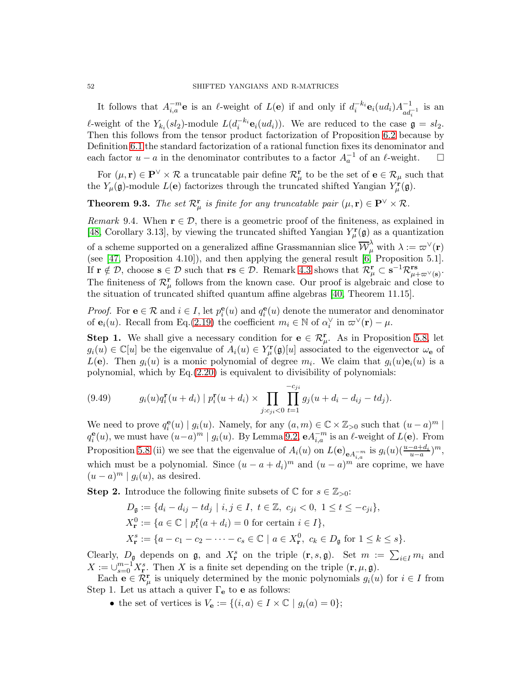It follows that  $A_{i,a}^{-m}$ **e** is an  $\ell$ -weight of  $L(e)$  if and only if  $d_i^{-k_i}$ **e**<sub>i</sub> $(ud_i)A_{ad_i^{-1}}^{-1}$  is an  $\ell$ -weight of the  $Y_{k_i}(sl_2)$ -module  $L(d_i^{-k_i} \mathbf{e}_i(ud_i))$ . We are reduced to the case  $\mathfrak{g} = sl_2$ . Then this follows from the tensor product factorization of Proposition [6.2](#page-37-2) because by Definition [6.1](#page-37-1) the standard factorization of a rational function fixes its denominator and each factor  $u - a$  in the denominator contributes to a factor  $A_a^{-1}$  of an  $\ell$ -weight.  $\Box$ 

For  $(\mu, \mathbf{r}) \in \mathbf{P}^{\vee} \times \mathcal{R}$  a truncatable pair define  $\mathcal{R}_{\mu}^{\mathbf{r}}$  to be the set of  $\mathbf{e} \in \mathcal{R}_{\mu}$  such that the  $Y_{\mu}(\mathfrak{g})$ -module  $L(\mathbf{e})$  factorizes through the truncated shifted Yangian  $Y_{\mu}^{\mathbf{r}}(\mathfrak{g})$ .

<span id="page-51-0"></span>**Theorem 9.3.** The set  $\mathcal{R}^{\mathbf{r}}_{\mu}$  is finite for any truncatable pair  $(\mu, \mathbf{r}) \in \mathbf{P}^{\vee} \times \mathcal{R}$ .

<span id="page-51-1"></span>*Remark* 9.4. When  $\mathbf{r} \in \mathcal{D}$ , there is a geometric proof of the finiteness, as explained in [\[48,](#page-55-1) Corollary 3.13], by viewing the truncated shifted Yangian  $Y^{\mathbf{r}}_{\mu}(\mathfrak{g})$  as a quantization of a scheme supported on a generalized affine Grassmannian slice  $\overline{\mathcal{W}}_{\mu}^{\lambda}$  with  $\lambda := \varpi^{\vee}(\mathbf{r})$ (see [\[47,](#page-55-16) Proposition 4.10]), and then applying the general result [\[6,](#page-54-21) Proposition 5.1]. If  $\mathbf{r} \notin \mathcal{D}$ , choose  $\mathbf{s} \in \mathcal{D}$  such that  $\mathbf{r} \mathbf{s} \in \mathcal{D}$ . Remark [4.3](#page-21-2) shows that  $\mathcal{R}^{\mathbf{r}}_{\mu} \subset \mathbf{s}^{-1} \mathcal{R}^{\mathbf{rs}}_{\mu+\varpi^{\vee}(\mathbf{s})}$ . The finiteness of  $\mathcal{R}^{\mathbf{r}}_{\mu}$  follows from the known case. Our proof is algebraic and close to the situation of truncated shifted quantum affine algebras [\[40,](#page-55-3) Theorem 11.15].

*Proof.* For  $e \in \mathcal{R}$  and  $i \in I$ , let  $p_i^e(u)$  and  $q_i^e(u)$  denote the numerator and denominator of  $\mathbf{e}_i(u)$ . Recall from Eq.[\(2.19\)](#page-10-1) the coefficient  $m_i \in \mathbb{N}$  of  $\alpha_i^{\vee}$  in  $\varpi^{\vee}(\mathbf{r}) - \mu$ .

**Step 1.** We shall give a necessary condition for  $e \in \mathcal{R}_{\mu}^{r}$ . As in Proposition [5.8,](#page-34-1) let  $g_i(u) \in \mathbb{C}[u]$  be the eigenvalue of  $A_i(u) \in Y^{\mathbf{r}}_{\mu}(\mathfrak{g})[u]$  associated to the eigenvector  $\omega_{\mathbf{e}}$  of  $L(\mathbf{e})$ . Then  $g_i(u)$  is a monic polynomial of degree  $m_i$ . We claim that  $g_i(u)\mathbf{e}_i(u)$  is a polynomial, which by Eq.[\(2.20\)](#page-11-0) is equivalent to divisibility of polynomials:

<span id="page-51-2"></span>(9.49) 
$$
g_i(u)q_i^{\mathbf{r}}(u+d_i) | p_i^{\mathbf{r}}(u+d_i) \times \prod_{j:c_{ji} < 0} \prod_{t=1}^{-c_{ji}} g_j(u+d_i-d_{ij}-td_j).
$$

We need to prove  $q_i^{\mathbf{e}}(u) | g_i(u)$ . Namely, for any  $(a, m) \in \mathbb{C} \times \mathbb{Z}_{>0}$  such that  $(u - a)^m$  $q_i^{\mathbf{e}}(u)$ , we must have  $(u-a)^m \mid g_i(u)$ . By Lemma [9.2,](#page-50-1)  $\mathbf{e} A_{i,a}^{-m}$  is an  $\ell$ -weight of  $L(\mathbf{e})$ . From Proposition [5.8](#page-34-1) (ii) we see that the eigenvalue of  $A_i(u)$  on  $L(\mathbf{e})_{\mathbf{e}A_{i,a}^{-m}}$  is  $g_i(u)(\frac{u-a+d_i}{u-a})^m$ , which must be a polynomial. Since  $(u - a + d_i)^m$  and  $(u - a)^m$  are coprime, we have  $(u-a)^m | g_i(u)$ , as desired.

**Step 2.** Introduce the following finite subsets of  $\mathbb{C}$  for  $s \in \mathbb{Z}_{>0}$ :

$$
D_{\mathfrak{g}} := \{ d_i - d_{ij} - td_j \mid i, j \in I, \ t \in \mathbb{Z}, \ c_{ji} < 0, \ 1 \leq t \leq -c_{ji} \},
$$
\n
$$
X_{\mathbf{r}}^0 := \{ a \in \mathbb{C} \mid p_i^{\mathbf{r}}(a + d_i) = 0 \text{ for certain } i \in I \},
$$
\n
$$
X_{\mathbf{r}}^s := \{ a - c_1 - c_2 - \dots - c_s \in \mathbb{C} \mid a \in X_{\mathbf{r}}^0, \ c_k \in D_{\mathfrak{g}} \text{ for } 1 \leq k \leq s \}.
$$

Clearly,  $D_{\mathfrak{g}}$  depends on  $\mathfrak{g}$ , and  $X_{\mathbf{r}}^{s}$  on the triple  $(\mathbf{r}, s, \mathfrak{g})$ . Set  $m := \sum_{i \in I} m_i$  and  $X := \bigcup_{s=0}^{m-1} X_{\mathbf{r}}^s$ . Then X is a finite set depending on the triple  $(\mathbf{r}, \mu, \mathfrak{g})$ .

Each  $e \in \mathcal{R}^r_\mu$  is uniquely determined by the monic polynomials  $g_i(u)$  for  $i \in I$  from Step 1. Let us attach a quiver  $\Gamma_{\rm e}$  to **e** as follows:

• the set of vertices is  $V_{\mathbf{e}} := \{(i, a) \in I \times \mathbb{C} \mid g_i(a) = 0\};$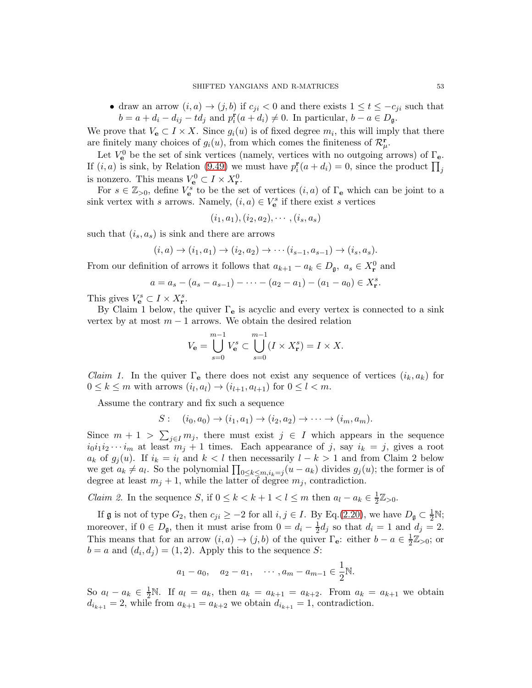• draw an arrow  $(i, a) \rightarrow (j, b)$  if  $c_{ji} < 0$  and there exists  $1 \le t \le -c_{ji}$  such that  $b = a + d_i - d_{ij} - td_j$  and  $p_i^{\mathbf{r}}(a + d_i) \neq 0$ . In particular,  $b - a \in D_{\mathfrak{g}}$ .

We prove that  $V_{e} \subset I \times X$ . Since  $g_i(u)$  is of fixed degree  $m_i$ , this will imply that there are finitely many choices of  $g_i(u)$ , from which comes the finiteness of  $\mathcal{R}_{\mu}^{\mathbf{r}}$ .

Let  $V_{\mathbf{e}}^0$  be the set of sink vertices (namely, vertices with no outgoing arrows) of  $\Gamma_{\mathbf{e}}$ . If  $(i, a)$  is sink, by Relation [\(9.49\)](#page-51-2) we must have  $p_i^{\mathbf{r}}(a + d_i) = 0$ , since the product  $\prod_j$ is nonzero. This means  $V_e^0 \subset I \times X_r^0$ .

For  $s \in \mathbb{Z}_{>0}$ , define  $V_{e}^{s}$  to be the set of vertices  $(i, a)$  of  $\Gamma_{e}$  which can be joint to a sink vertex with s arrows. Namely,  $(i, a) \in V_{\mathbf{e}}^s$  if there exist s vertices

$$
(i_1, a_1), (i_2, a_2), \cdots, (i_s, a_s)
$$

such that  $(i_s, a_s)$  is sink and there are arrows

$$
(i, a) \rightarrow (i_1, a_1) \rightarrow (i_2, a_2) \rightarrow \cdots (i_{s-1}, a_{s-1}) \rightarrow (i_s, a_s).
$$

From our definition of arrows it follows that  $a_{k+1} - a_k \in D_{\mathfrak{g}}, a_s \in X_{\mathbf{r}}^0$  and

$$
a = a_s - (a_s - a_{s-1}) - \cdots - (a_2 - a_1) - (a_1 - a_0) \in X_r^s.
$$

This gives  $V_{\mathbf{e}}^{s} \subset I \times X_{\mathbf{r}}^{s}$ .

By Claim 1 below, the quiver  $\Gamma_e$  is acyclic and every vertex is connected to a sink vertex by at most  $m-1$  arrows. We obtain the desired relation

$$
V_{\mathbf{e}} = \bigcup_{s=0}^{m-1} V_{\mathbf{e}}^s \subset \bigcup_{s=0}^{m-1} (I \times X_{\mathbf{r}}^s) = I \times X.
$$

*Claim 1.* In the quiver  $\Gamma_e$  there does not exist any sequence of vertices  $(i_k, a_k)$  for  $0 \leq k \leq m$  with arrows  $(i_l, a_l) \rightarrow (i_{l+1}, a_{l+1})$  for  $0 \leq l < m$ .

Assume the contrary and fix such a sequence

$$
S: (i_0, a_0) \rightarrow (i_1, a_1) \rightarrow (i_2, a_2) \rightarrow \cdots \rightarrow (i_m, a_m).
$$

Since  $m + 1 > \sum_{j \in I} m_j$ , there must exist  $j \in I$  which appears in the sequence  $i_0i_1i_2\cdots i_m$  at least  $m_j+1$  times. Each appearance of j, say  $i_k = j$ , gives a root  $a_k$  of  $g_i(u)$ . If  $i_k = i_l$  and  $k < l$  then necessarily  $l - k > 1$  and from Claim 2 below we get  $a_k \neq a_l$ . So the polynomial  $\prod_{0 \leq k \leq m, i_k = j} (u - a_k)$  divides  $g_j(u)$ ; the former is of degree at least  $m_j + 1$ , while the latter of degree  $m_j$ , contradiction.

*Claim 2.* In the sequence S, if  $0 \le k < k+1 < l \le m$  then  $a_l - a_k \in \frac{1}{2}$  $\frac{1}{2}\mathbb{Z}_{>0}$ .

If  $\mathfrak g$  is not of type  $G_2$ , then  $c_{ji} \geq -2$  for all  $i, j \in I$ . By Eq.[\(2.20\)](#page-11-0), we have  $D_{\mathfrak g} \subset \frac{1}{2} \mathbb N$ ; moreover, if  $0 \in D_{\mathfrak{g}}$ , then it must arise from  $0 = d_i - \frac{1}{2}$  $\frac{1}{2}d_j$  so that  $d_i = 1$  and  $d_j = 2$ . This means that for an arrow  $(i, a) \rightarrow (j, b)$  of the quiver  $\Gamma_{e}$ : either  $b - a \in \frac{1}{2}$  $\frac{1}{2}\mathbb{Z}_{>0}$ ; or  $b = a$  and  $(d_i, d_j) = (1, 2)$ . Apply this to the sequence S:

$$
a_1 - a_0
$$
,  $a_2 - a_1$ ,  $\cdots$ ,  $a_m - a_{m-1} \in \frac{1}{2} \mathbb{N}$ .

So  $a_l - a_k \in \frac{1}{2} \mathbb{N}$ . If  $a_l = a_k$ , then  $a_k = a_{k+1} = a_{k+2}$ . From  $a_k = a_{k+1}$  we obtain  $d_{i_{k+1}} = 2$ , while from  $a_{k+1} = a_{k+2}$  we obtain  $d_{i_{k+1}} = 1$ , contradiction.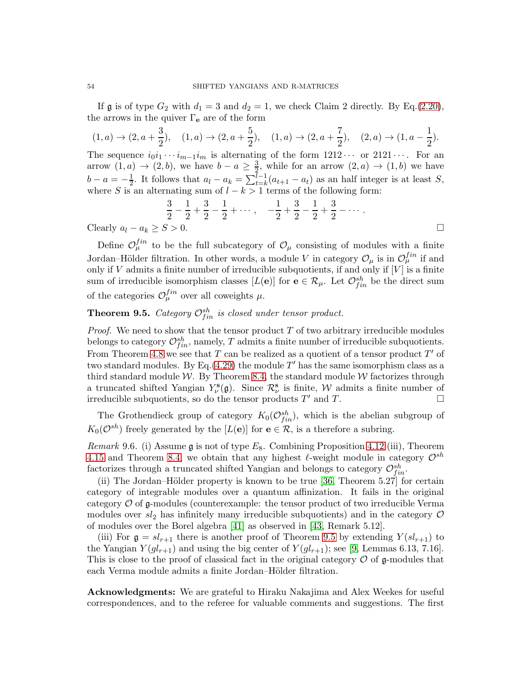If  $\mathfrak g$  is of type  $G_2$  with  $d_1 = 3$  and  $d_2 = 1$ , we check Claim 2 directly. By Eq.[\(2.20\)](#page-11-0), the arrows in the quiver  $\Gamma_e$  are of the form

 $(1, a) \rightarrow (2, a + \frac{3}{2})$  $\frac{3}{2}$ ),  $(1, a) \rightarrow (2, a + \frac{5}{2})$  $\frac{5}{2}$ ),  $(1, a) \rightarrow (2, a + \frac{7}{2})$  $\frac{7}{2}$ ),  $(2,a) \rightarrow (1, a - \frac{1}{2})$  $\frac{1}{2}$ ). The sequence  $i_0i_1 \cdots i_{m-1}i_m$  is alternating of the form  $1212 \cdots$  or  $2121 \cdots$ . For an arrow  $(1, a) \rightarrow (2, b)$ , we have  $b - a \geq \frac{3}{2}$ , while for an arrow  $(2, a) \rightarrow (1, b)$  we have  $b - a = -\frac{1}{2}$  $\frac{1}{2}$ . It follows that  $a_l - a_k = \sum_{t=k}^{l-1} (a_{t+1} - a_t)$  as an half integer is at least S, where S is an alternating sum of  $l - k > 1$  terms of the following form:

$$
\frac{3}{2} - \frac{1}{2} + \frac{3}{2} - \frac{1}{2} + \dots, \quad -\frac{1}{2} + \frac{3}{2} - \frac{1}{2} + \frac{3}{2} - \dots
$$
  
Clearly  $a_l - a_k \ge S > 0$ .

Define  $\mathcal{O}_{\mu}^{fin}$  to be the full subcategory of  $\mathcal{O}_{\mu}$  consisting of modules with a finite Jordan–Hölder filtration. In other words, a module V in category  $\mathcal{O}_{\mu}$  is in  $\mathcal{O}_{\mu}^{fin}$  if and only if  $V$  admits a finite number of irreducible subquotients, if and only if  $[V]$  is a finite sum of irreducible isomorphism classes  $[L(e)]$  for  $e \in \mathcal{R}_{\mu}$ . Let  $\mathcal{O}_{fin}^{sh}$  be the direct sum of the categories  $\mathcal{O}_{\mu}^{fin}$  over all coweights  $\mu$ .

# <span id="page-53-0"></span>**Theorem 9.5.** Category  $\mathcal{O}_{fin}^{sh}$  is closed under tensor product.

*Proof.* We need to show that the tensor product  $T$  of two arbitrary irreducible modules belongs to category  $\mathcal{O}_{fin}^{sh}$ , namely, T admits a finite number of irreducible subquotients. From Theorem [4.8](#page-22-0) we see that T can be realized as a quotient of a tensor product  $T'$  of two standard modules. By Eq.[\(4.29\)](#page-26-2) the module  $T'$  has the same isomorphism class as a third standard module  $W$ . By Theorem [8.4,](#page-49-1) the standard module  $W$  factorizes through a truncated shifted Yangian  $Y^{\mathbf{s}}_{\nu}(\mathfrak{g})$ . Since  $\mathcal{R}^{\mathbf{s}}_{\nu}$  is finite, W admits a finite number of irreducible subquotients, so do the tensor products  $T'$  and  $T$ .

The Grothendieck group of category  $K_0(\mathcal{O}_{fin}^{sh})$ , which is the abelian subgroup of  $K_0(\mathcal{O}^{sh})$  freely generated by the  $[L(e)]$  for  $e \in \mathcal{R}$ , is a therefore a subring.

*Remark* 9.6. (i) Assume g is not of type  $E_8$ . Combining Proposition [4.12](#page-26-1) (iii), Theorem [4.15](#page-29-0) and Theorem [8.4,](#page-49-1) we obtain that any highest  $\ell$ -weight module in category  $\mathcal{O}^{sh}$ factorizes through a truncated shifted Yangian and belongs to category  $\mathcal{O}_{fin}^{sh}$ .

(ii) The Jordan–Hölder property is known to be true  $[36,$  Theorem 5.27] for certain category of integrable modules over a quantum affinization. It fails in the original category  $\mathcal O$  of g-modules (counterexample: the tensor product of two irreducible Verma modules over  $sl_2$  has infinitely many irreducible subquotients) and in the category  $\mathcal O$ of modules over the Borel algebra [\[41\]](#page-55-4) as observed in [\[43,](#page-55-19) Remark 5.12].

(iii) For  $\mathfrak{g} = sl_{r+1}$  there is another proof of Theorem [9.5](#page-53-0) by extending  $Y(sl_{r+1})$  to the Yangian  $Y(gl_{r+1})$  and using the big center of  $Y(gl_{r+1})$ ; see [\[9,](#page-54-1) Lemmas 6.13, 7.16]. This is close to the proof of classical fact in the original category  $\mathcal O$  of g-modules that each Verma module admits a finite Jordan–Hölder filtration.

Acknowledgments: We are grateful to Hiraku Nakajima and Alex Weekes for useful correspondences, and to the referee for valuable comments and suggestions. The first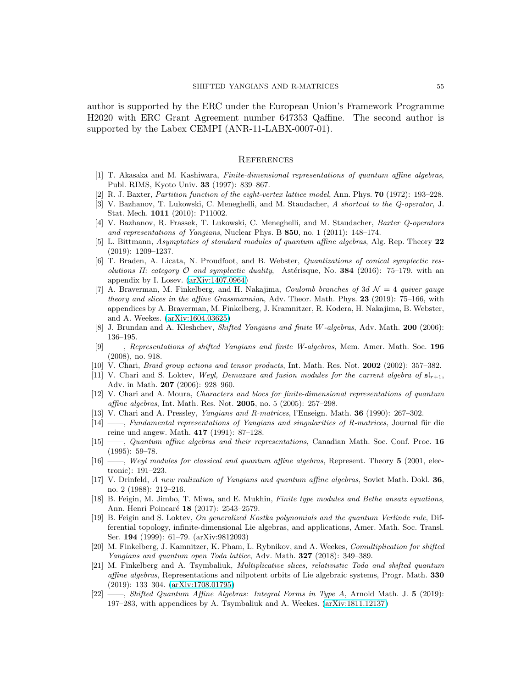author is supported by the ERC under the European Union's Framework Programme H2020 with ERC Grant Agreement number 647353 Qaffine. The second author is supported by the Labex CEMPI (ANR-11-LABX-0007-01).

#### <span id="page-54-0"></span>**REFERENCES**

- <span id="page-54-9"></span><span id="page-54-6"></span>[1] T. Akasaka and M. Kashiwara, Finite-dimensional representations of quantum affine algebras, Publ. RIMS, Kyoto Univ. 33 (1997): 839–867.
- <span id="page-54-19"></span>[2] R. J. Baxter, Partition function of the eight-vertex lattice model, Ann. Phys. 70 (1972): 193–228.
- [3] V. Bazhanov, T. Lukowski, C. Meneghelli, and M. Staudacher, A shortcut to the Q-operator, J. Stat. Mech. 1011 (2010): P11002.
- [4] V. Bazhanov, R. Frassek, T. Lukowski, C. Meneghelli, and M. Staudacher, Baxter Q-operators and representations of Yangians, Nuclear Phys. B 850, no. 1 (2011): 148–174.
- <span id="page-54-21"></span><span id="page-54-15"></span>[5] L. Bittmann, Asymptotics of standard modules of quantum affine algebras, Alg. Rep. Theory 22 (2019): 1209–1237.
- [6] T. Braden, A. Licata, N. Proudfoot, and B. Webster, Quantizations of conical symplectic resolutions II: category  $\mathcal O$  and symplectic duality, Astérisque, No. 384 (2016): 75–179. with an appendix by I. Losev. [\(arXiv:1407.0964\)](http://arxiv.org/abs/1407.0964)
- <span id="page-54-2"></span>[7] A. Braverman, M. Finkelberg, and H. Nakajima, *Coulomb branches of 3d*  $\mathcal{N}=4$  *quiver gauge* theory and slices in the affine Grassmannian, Adv. Theor. Math. Phys. 23 (2019): 75–166, with appendices by A. Braverman, M. Finkelberg, J. Kramnitzer, R. Kodera, H. Nakajima, B. Webster, and A. Weekes. [\(arXiv:1604.03625\)](http://arxiv.org/abs/1604.03625)
- <span id="page-54-20"></span><span id="page-54-1"></span>[8] J. Brundan and A. Kleshchev, Shifted Yangians and finite W-algebras, Adv. Math. 200 (2006): 136–195.
- [9] ——, Representations of shifted Yangians and finite W-algebras, Mem. Amer. Math. Soc. 196 (2008), no. 918.
- <span id="page-54-18"></span><span id="page-54-14"></span>[10] V. Chari, Braid group actions and tensor products, Int. Math. Res. Not. 2002 (2002): 357–382.
- [11] V. Chari and S. Loktev, Weyl, Demazure and fusion modules for the current algebra of  $\mathfrak{sl}_{r+1}$ , Adv. in Math. 207 (2006): 928–960.
- <span id="page-54-17"></span>[12] V. Chari and A. Moura, Characters and blocs for finite-dimensional representations of quantum affine algebras, Int. Math. Res. Not. **2005**, no. 5 (2005): 257-298.
- <span id="page-54-12"></span><span id="page-54-4"></span>[13] V. Chari and A. Pressley, Yangians and R-matrices, l'Enseign. Math. 36 (1990): 267–302.
- $[14]$  ——, Fundamental representations of Yangians and singularities of R-matrices, Journal für die reine und angew. Math. 417 (1991): 87–128.
- <span id="page-54-11"></span>[15] ——, Quantum affine algebras and their representations, Canadian Math. Soc. Conf. Proc. 16 (1995): 59–78.
- <span id="page-54-16"></span>[16] ——, Weyl modules for classical and quantum affine algebras, Represent. Theory 5 (2001, electronic): 191–223.
- <span id="page-54-7"></span>[17] V. Drinfeld, A new realization of Yangians and quantum affine algebras, Soviet Math. Dokl. 36, no. 2 (1988): 212–216.
- <span id="page-54-10"></span>[18] B. Feigin, M. Jimbo, T. Miwa, and E. Mukhin, Finite type modules and Bethe ansatz equations, Ann. Henri Poincaré 18 (2017): 2543–2579.
- <span id="page-54-13"></span>[19] B. Feigin and S. Loktev, On generalized Kostka polynomials and the quantum Verlinde rule, Differential topology, infinite-dimensional Lie algebras, and applications, Amer. Math. Soc. Transl. Ser. 194 (1999): 61–79. (arXiv:9812093)
- <span id="page-54-3"></span>[20] M. Finkelberg, J. Kamnitzer, K. Pham, L. Rybnikov, and A. Weekes, Comultiplication for shifted Yangians and quantum open Toda lattice, Adv. Math. 327 (2018): 349–389.
- <span id="page-54-5"></span>[21] M. Finkelberg and A. Tsymbaliuk, Multiplicative slices, relativistic Toda and shifted quantum affine algebras, Representations and nilpotent orbits of Lie algebraic systems, Progr. Math. 330 (2019): 133–304. [\(arXiv:1708.01795\)](http://arxiv.org/abs/1708.01795)
- <span id="page-54-8"></span>[22] ——, Shifted Quantum Affine Algebras: Integral Forms in Type A, Arnold Math. J. 5 (2019): 197–283, with appendices by A. Tsymbaliuk and A. Weekes. [\(arXiv:1811.12137\)](http://arxiv.org/abs/1811.12137)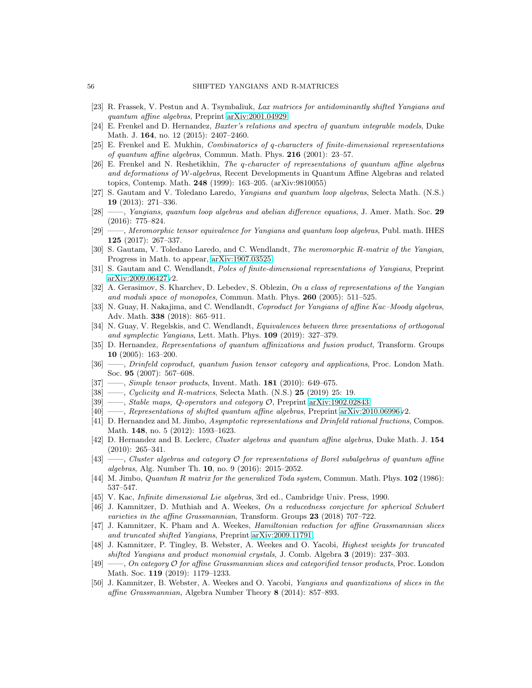- <span id="page-55-27"></span><span id="page-55-18"></span>[23] R. Frassek, V. Pestun and A. Tsymbaliuk, Lax matrices for antidominantly shifted Yangians and quantum affine algebras, Preprint [arXiv:2001.04929.](http://arxiv.org/abs/2001.04929)
- <span id="page-55-5"></span>[24] E. Frenkel and D. Hernandez, Baxter's relations and spectra of quantum integrable models, Duke Math. J. 164, no. 12 (2015): 2407–2460.
- <span id="page-55-21"></span>[25] E. Frenkel and E. Mukhin, Combinatorics of q-characters of finite-dimensional representations of quantum affine algebras, Commun. Math. Phys. 216 (2001): 23–57.
- [26] E. Frenkel and N. Reshetikhin, The q-character of representations of quantum affine algebras and deformations of W-algebras, Recent Developments in Quantum Affine Algebras and related topics, Contemp. Math. 248 (1999): 163–205. (arXiv:9810055)
- <span id="page-55-26"></span><span id="page-55-11"></span>[27] S. Gautam and V. Toledano Laredo, Yangians and quantum loop algebras, Selecta Math. (N.S.) 19 (2013): 271–336.
- [28] ——, Yangians, quantum loop algebras and abelian difference equations, J. Amer. Math. Soc. 29 (2016): 775–824.
- <span id="page-55-12"></span>[29] ——, Meromorphic tensor equivalence for Yangians and quantum loop algebras, Publ. math. IHES 125 (2017): 267–337.
- <span id="page-55-8"></span>[30] S. Gautam, V. Toledano Laredo, and C. Wendlandt, The meromorphic R-matrix of the Yangian, Progress in Math. to appear, [arXiv:1907.03525.](http://arxiv.org/abs/1907.03525)
- <span id="page-55-15"></span><span id="page-55-10"></span>[31] S. Gautam and C. Wendlandt, Poles of finite-dimensional representations of Yangians, Preprint [arXiv:2009.06427v](http://arxiv.org/abs/2009.06427)2.
- [32] A. Gerasimov, S. Kharchev, D. Lebedev, S. Oblezin, On a class of representations of the Yangian and moduli space of monopoles, Commun. Math. Phys.  $260$  (2005): 511–525.
- <span id="page-55-14"></span>[33] N. Guay, H. Nakajima, and C. Wendlandt, Coproduct for Yangians of affine Kac–Moody algebras, Adv. Math. 338 (2018): 865–911.
- <span id="page-55-22"></span>[34] N. Guay, V. Regelskis, and C. Wendlandt, *Equivalences between three presentations of orthogonal* and symplectic Yangians, Lett. Math. Phys. 109 (2019): 327–379.
- <span id="page-55-25"></span>[35] D. Hernandez, Representations of quantum affinizations and fusion product, Transform. Groups 10 (2005): 163–200.
- <span id="page-55-23"></span>[36] ——, Drinfeld coproduct, quantum fusion tensor category and applications, Proc. London Math. Soc. 95 (2007): 567–608.
- <span id="page-55-7"></span><span id="page-55-6"></span>[37] ——, *Simple tensor products*, Invent. Math. **181** (2010): 649–675.
- <span id="page-55-13"></span>[38] ——, Cyclicity and R-matrices, Selecta Math. (N.S.)  $25$  (2019) 25: 19.
- <span id="page-55-3"></span>[39] ——, Stable maps, Q-operators and category O, Preprint [arXiv:1902.02843.](http://arxiv.org/abs/1902.02843)
- <span id="page-55-4"></span>[40] ——, Representations of shifted quantum affine algebras, Preprint [arXiv:2010.06996v](http://arxiv.org/abs/2010.06996)2.
- [41] D. Hernandez and M. Jimbo, Asymptotic representations and Drinfeld rational fractions, Compos. Math. **148**, no. 5 (2012): 1593-1623.
- <span id="page-55-20"></span>[42] D. Hernandez and B. Leclerc, Cluster algebras and quantum affine algebras, Duke Math. J. 154 (2010): 265–341.
- <span id="page-55-19"></span>[43] ——, Cluster algebras and category O for representations of Borel subalgebras of quantum affine algebras, Alg. Number Th. 10, no. 9 (2016): 2015–2052.
- <span id="page-55-24"></span><span id="page-55-9"></span>[44] M. Jimbo, *Quantum R matrix for the generalized Toda system*, Commun. Math. Phys. **102** (1986): 537–547.
- <span id="page-55-17"></span>[45] V. Kac, Infinite dimensional Lie algebras, 3rd ed., Cambridge Univ. Press, 1990.
- [46] J. Kamnitzer, D. Muthiah and A. Weekes, On a reducedness conjecture for spherical Schubert varieties in the affine Grassmannian, Transform. Groups  $23$  (2018) 707–722.
- <span id="page-55-16"></span>[47] J. Kamnitzer, K. Pham and A. Weekes, Hamiltonian reduction for affine Grassmannian slices and truncated shifted Yangians, Preprint [arXiv:2009.11791.](http://arxiv.org/abs/2009.11791)
- <span id="page-55-1"></span>[48] J. Kamnitzer, P. Tingley, B. Webster, A. Weekes and O. Yacobi, Highest weights for truncated shifted Yangians and product monomial crystals, J. Comb. Algebra 3 (2019): 237–303.
- <span id="page-55-2"></span>[49] ——, On category O for affine Grassmannian slices and categorified tensor products, Proc. London Math. Soc. 119 (2019): 1179–1233.
- <span id="page-55-0"></span>[50] J. Kamnitzer, B. Webster, A. Weekes and O. Yacobi, Yangians and quantizations of slices in the affine Grassmannian, Algebra Number Theory 8 (2014): 857–893.